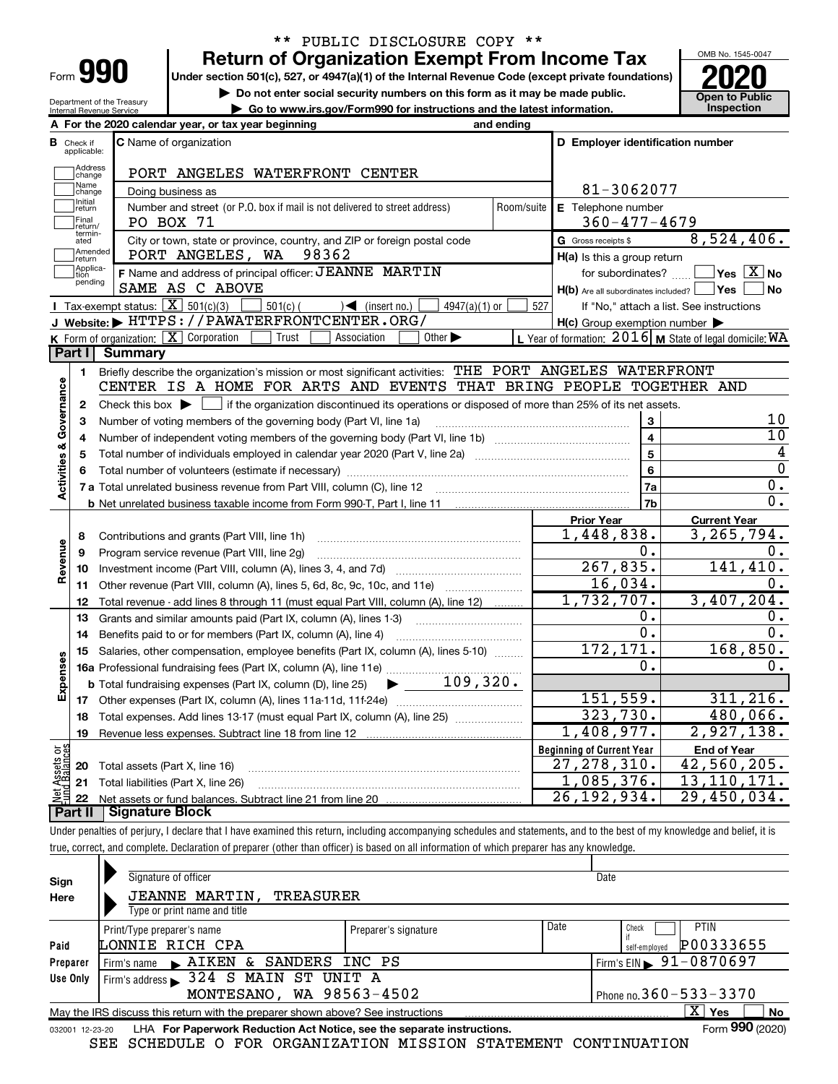| Form |  |
|------|--|

Department of the Treasury Internal Revenue Service

# \*\* PUBLIC DISCLOSURE COPY \*\*

Under section 501(c), 527, or 4947(a)(1) of the Internal Revenue Code (except private foundations) Return of Organization Exempt From Income Tax  $\frac{\text{OMB No. 1545-00}}{2020}$ 

▶ Do not enter social security numbers on this form as it may be made public. <br>• Go to www.irs.gov/Form990 for instructions and the latest information. Inspection

| Go to www.irs.gov/Form990 for instructions and the latest information. Inspection



|                         |                             | A For the 2020 calendar year, or tax year beginning                                                                                                                            | and ending |                                                     |                                                              |
|-------------------------|-----------------------------|--------------------------------------------------------------------------------------------------------------------------------------------------------------------------------|------------|-----------------------------------------------------|--------------------------------------------------------------|
| в                       | Check if<br>applicable:     | <b>C</b> Name of organization                                                                                                                                                  |            | D Employer identification number                    |                                                              |
|                         | Address<br>change           | PORT ANGELES WATERFRONT CENTER                                                                                                                                                 |            |                                                     |                                                              |
|                         | Name<br>change              | Doing business as                                                                                                                                                              |            | 81-3062077                                          |                                                              |
|                         | Initial<br>return           | Number and street (or P.O. box if mail is not delivered to street address)                                                                                                     | Room/suite | E Telephone number                                  |                                                              |
|                         | Final<br>return/            | PO BOX 71                                                                                                                                                                      |            | $360 - 477 - 4679$                                  |                                                              |
|                         | termin-<br>ated             | City or town, state or province, country, and ZIP or foreign postal code                                                                                                       |            | G Gross receipts \$                                 | 8,524,406.                                                   |
|                         | Amended<br>return           | PORT ANGELES, WA<br>98362                                                                                                                                                      |            | $H(a)$ is this a group return                       |                                                              |
|                         | Applica-<br>tion<br>pending | F Name and address of principal officer: JEANNE MARTIN                                                                                                                         |            | for subordinates?                                   | $ {\mathsf Y}{\mathsf e}{\mathsf s} \ \overline{{\rm X}}$ No |
|                         |                             | SAME AS C ABOVE                                                                                                                                                                |            | $H(b)$ Are all subordinates included?               | ∣Yes<br><b>No</b>                                            |
|                         |                             | Tax-exempt status: $\boxed{\mathbf{X}}$ 501(c)(3)<br>$501(c)$ (<br>$\mathcal{A}$ (insert no.)<br>$4947(a)(1)$ or                                                               | 527        |                                                     | If "No," attach a list. See instructions                     |
|                         |                             | J Website: FHTTPS: //PAWATERFRONTCENTER.ORG/                                                                                                                                   |            | $H(c)$ Group exemption number $\blacktriangleright$ |                                                              |
|                         | <b>Part I</b>               | K Form of organization: $\boxed{\mathbf{X}}$ Corporation<br>Trust<br>Association<br>Other $\blacktriangleright$<br>Summary                                                     |            |                                                     | L Year of formation: $2016$ M State of legal domicile: WA    |
|                         |                             |                                                                                                                                                                                |            |                                                     |                                                              |
|                         | 1                           | Briefly describe the organization's mission or most significant activities: THE PORT ANGELES WATERFRONT<br>CENTER IS A HOME FOR ARTS AND EVENTS THAT BRING PEOPLE TOGETHER AND |            |                                                     |                                                              |
| Activities & Governance | $\mathbf{2}$                |                                                                                                                                                                                |            |                                                     |                                                              |
|                         | 3                           | Number of voting members of the governing body (Part VI, line 1a)                                                                                                              |            | 3                                                   | 10                                                           |
|                         | 4                           |                                                                                                                                                                                |            | $\overline{\mathbf{4}}$                             | 10                                                           |
|                         | 5                           |                                                                                                                                                                                |            | $\overline{\mathbf{5}}$                             | 4                                                            |
|                         | 6                           |                                                                                                                                                                                |            | 6                                                   | $\Omega$                                                     |
|                         |                             | 7 a Total unrelated business revenue from Part VIII, column (C), line 12 [11] [12] [11] [12] [11] [11] Total unrelated business revenue from Part VIII, column (C), line 12    |            | 7a                                                  | $\mathbf 0$ .                                                |
|                         |                             |                                                                                                                                                                                |            | 7 <sub>b</sub>                                      | $\overline{0}$ .                                             |
|                         |                             |                                                                                                                                                                                |            | <b>Prior Year</b>                                   | <b>Current Year</b>                                          |
|                         | 8                           | Contributions and grants (Part VIII, line 1h)                                                                                                                                  |            | 1,448,838.                                          | 3,265,794.                                                   |
| Revenue                 | 9                           | Program service revenue (Part VIII, line 2g)                                                                                                                                   |            | Ο.                                                  | 0.                                                           |
|                         | 10                          |                                                                                                                                                                                |            | 267,835.                                            | 141, 410.                                                    |
|                         | 11                          | Other revenue (Part VIII, column (A), lines 5, 6d, 8c, 9c, 10c, and 11e)                                                                                                       |            | 16,034.                                             | 0.                                                           |
|                         | 12                          | Total revenue - add lines 8 through 11 (must equal Part VIII, column (A), line 12)                                                                                             |            | 1,732,707.                                          | 3,407,204.                                                   |
|                         | 13                          | Grants and similar amounts paid (Part IX, column (A), lines 1-3)                                                                                                               |            | ο.                                                  | 0.                                                           |
|                         | 14                          | Benefits paid to or for members (Part IX, column (A), line 4)                                                                                                                  |            | $\overline{0}$ .                                    | $\overline{0}$ .                                             |
|                         | 15                          | Salaries, other compensation, employee benefits (Part IX, column (A), lines 5-10)                                                                                              |            | 172, 171.                                           | 168,850.                                                     |
| Expenses                |                             |                                                                                                                                                                                |            | Ο.                                                  | 0.                                                           |
|                         |                             | $109,320$ .<br><b>b</b> Total fundraising expenses (Part IX, column (D), line 25)<br>$\blacktriangleright$ and $\blacktriangleright$                                           |            |                                                     |                                                              |
|                         | 17 <sub>1</sub>             |                                                                                                                                                                                |            | 151, 559.                                           | 311, 216.                                                    |
|                         | 18                          |                                                                                                                                                                                |            | 323,730.                                            | 480,066.                                                     |
|                         | 19                          |                                                                                                                                                                                |            | 1,408,977.                                          | 2,927,138.                                                   |
| គង្គ                    |                             |                                                                                                                                                                                |            | <b>Beginning of Current Year</b><br>27, 278, 310.   | <b>End of Year</b><br>42,560,205.                            |
| Assets<br>1 Balanc      | 20                          | Total assets (Part X, line 16)                                                                                                                                                 |            | 1,085,376.                                          | 13, 110, 171.                                                |
|                         |                             | 21 Total liabilities (Part X, line 26)                                                                                                                                         |            | 26,192,934.                                         | 29,450,034.                                                  |
|                         | 22<br><b>Part II</b>        | Signature Block                                                                                                                                                                |            |                                                     |                                                              |
|                         |                             |                                                                                                                                                                                |            |                                                     |                                                              |

Under penalties of perjury, I declare that I have examined this return, including accompanying schedules and statements, and to the best of my knowledge and belief, it is true, correct, and complete. Declaration of preparer (other than officer) is based on all information of which preparer has any knowledge.

| Sign            | Signature of officer                                                            |                      | Date                                       |
|-----------------|---------------------------------------------------------------------------------|----------------------|--------------------------------------------|
| Here            | <b>JEANNE MARTIN,</b><br>TREASURER                                              |                      |                                            |
|                 | Type or print name and title                                                    |                      |                                            |
|                 | Print/Type preparer's name                                                      | Preparer's signature | Date<br><b>PTIN</b><br>Check               |
| Paid            | LONNIE RICH CPA                                                                 |                      | P00333655<br>self-employed                 |
| Preparer        | SANDERS INC PS<br>Firm's name $\blacktriangleright$ AIKEN &                     |                      | $1$ Firm's EIN $\triangleright$ 91-0870697 |
| Use Only        | Firm's address > 324 S MAIN ST UNIT A                                           |                      |                                            |
|                 | MONTESANO, WA 98563-4502                                                        |                      | Phone no. $360 - 533 - 3370$               |
|                 | May the IRS discuss this return with the preparer shown above? See instructions |                      | $\mathbf{x}$<br>∣ Yes<br>No                |
| 032001 12-23-20 | LHA For Paperwork Reduction Act Notice, see the separate instructions.          |                      | Form 990 (2020)                            |

SEE SCHEDULE O FOR ORGANIZATION MISSION STATEMENT CONTINUATION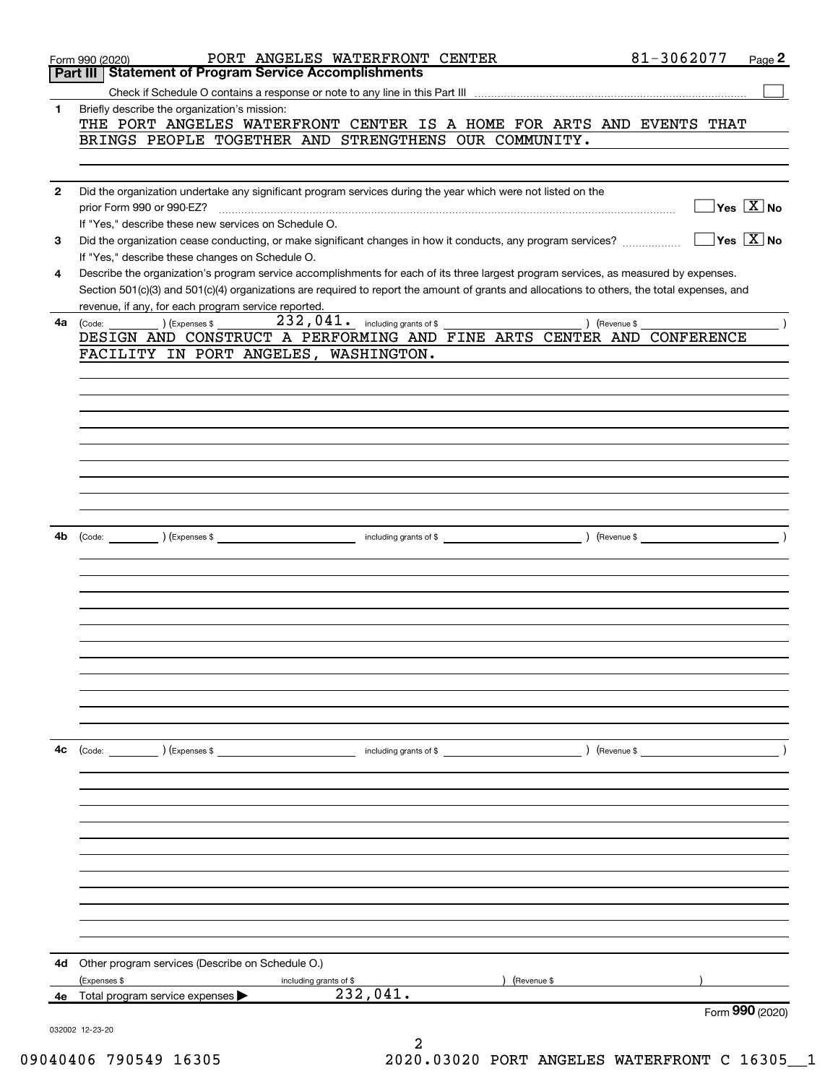|              | PORT ANGELES WATERFRONT CENTER<br>Form 990 (2020)                                                                                            | 81-3062077<br>Page 2   |  |
|--------------|----------------------------------------------------------------------------------------------------------------------------------------------|------------------------|--|
|              | Part III   Statement of Program Service Accomplishments                                                                                      |                        |  |
|              |                                                                                                                                              |                        |  |
| 1            | Briefly describe the organization's mission:                                                                                                 |                        |  |
|              | THE PORT ANGELES WATERFRONT CENTER IS A HOME FOR ARTS AND EVENTS THAT                                                                        |                        |  |
|              | BRINGS PEOPLE TOGETHER AND STRENGTHENS OUR COMMUNITY.                                                                                        |                        |  |
|              |                                                                                                                                              |                        |  |
|              |                                                                                                                                              |                        |  |
| $\mathbf{2}$ | Did the organization undertake any significant program services during the year which were not listed on the                                 |                        |  |
|              | prior Form 990 or 990-EZ?                                                                                                                    | $Yes \quad X$ No       |  |
|              | If "Yes," describe these new services on Schedule O.                                                                                         |                        |  |
| 3            | Did the organization cease conducting, or make significant changes in how it conducts, any program services?                                 | $Yes \top X$ No        |  |
|              | If "Yes," describe these changes on Schedule O.                                                                                              |                        |  |
| 4            | Describe the organization's program service accomplishments for each of its three largest program services, as measured by expenses.         |                        |  |
|              | Section 501(c)(3) and 501(c)(4) organizations are required to report the amount of grants and allocations to others, the total expenses, and |                        |  |
|              | revenue, if any, for each program service reported.                                                                                          |                        |  |
| 4a           | $\left(\text{Code:}\begin{array}{c}\text{Conver} \end{array}\right)$ $\left(\text{Expenses $}\right)$                                        | ) (Revenue \$          |  |
|              | DESIGN AND CONSTRUCT A PERFORMING AND FINE ARTS CENTER AND CONFERENCE                                                                        |                        |  |
|              | FACILITY IN PORT ANGELES, WASHINGTON.                                                                                                        |                        |  |
|              |                                                                                                                                              |                        |  |
|              |                                                                                                                                              |                        |  |
|              |                                                                                                                                              |                        |  |
|              |                                                                                                                                              |                        |  |
|              |                                                                                                                                              |                        |  |
|              |                                                                                                                                              |                        |  |
|              |                                                                                                                                              |                        |  |
|              |                                                                                                                                              |                        |  |
|              |                                                                                                                                              |                        |  |
|              |                                                                                                                                              |                        |  |
| 4b           |                                                                                                                                              | $\sqrt{2}$ (Revenue \$ |  |
|              |                                                                                                                                              |                        |  |
|              |                                                                                                                                              |                        |  |
|              |                                                                                                                                              |                        |  |
|              |                                                                                                                                              |                        |  |
|              |                                                                                                                                              |                        |  |
|              |                                                                                                                                              |                        |  |
|              |                                                                                                                                              |                        |  |
|              |                                                                                                                                              |                        |  |
|              |                                                                                                                                              |                        |  |
|              |                                                                                                                                              |                        |  |
|              |                                                                                                                                              |                        |  |
|              |                                                                                                                                              |                        |  |
| 4с           | (Code: ) (Expenses \$                                                                                                                        |                        |  |
|              |                                                                                                                                              |                        |  |
|              |                                                                                                                                              |                        |  |
|              |                                                                                                                                              |                        |  |
|              |                                                                                                                                              |                        |  |
|              |                                                                                                                                              |                        |  |
|              |                                                                                                                                              |                        |  |
|              |                                                                                                                                              |                        |  |
|              |                                                                                                                                              |                        |  |
|              |                                                                                                                                              |                        |  |
|              |                                                                                                                                              |                        |  |
|              |                                                                                                                                              |                        |  |
|              |                                                                                                                                              |                        |  |
| 4d           | Other program services (Describe on Schedule O.)                                                                                             |                        |  |
|              | (Expenses \$<br>including grants of \$                                                                                                       | (Revenue \$            |  |
| 4е           | 232,041.<br>Total program service expenses                                                                                                   |                        |  |
|              |                                                                                                                                              | Form 990 (2020)        |  |
|              | 032002 12-23-20                                                                                                                              |                        |  |
|              | 2                                                                                                                                            |                        |  |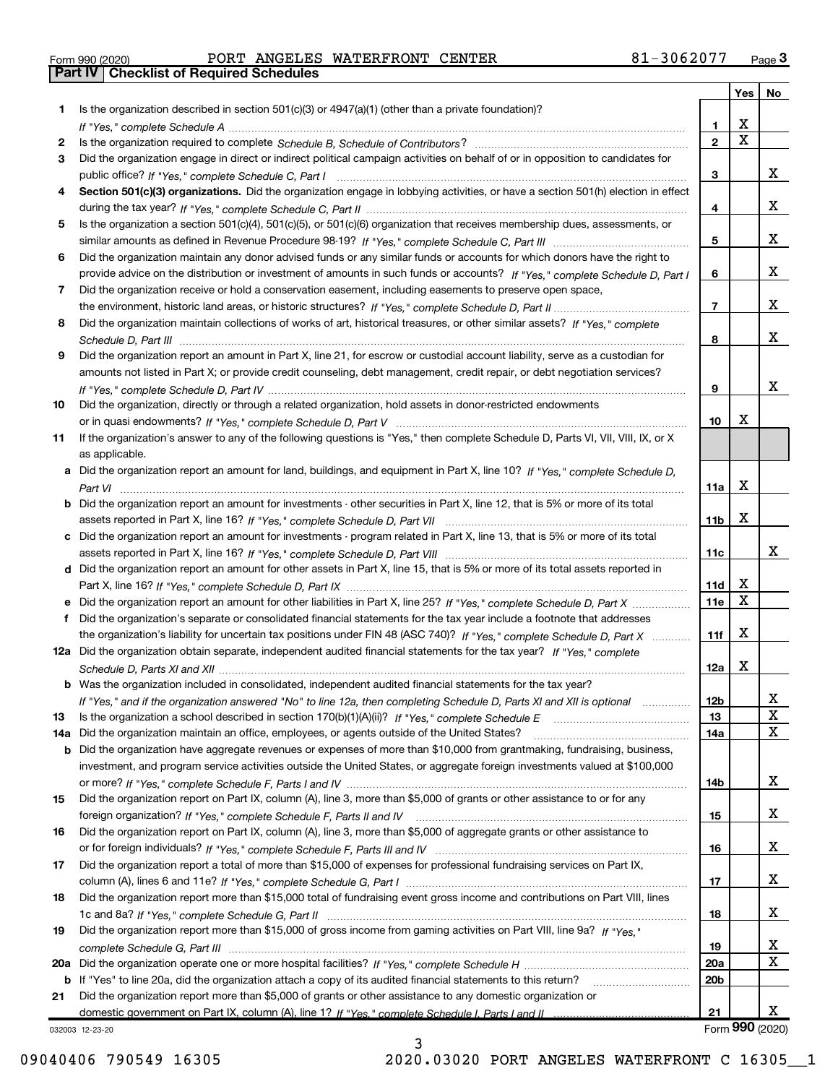|  | Form 990 (2020) |  |
|--|-----------------|--|

**Part IV Checklist of Required Schedules** 

Form 990 (2020) Page PORT ANGELES WATERFRONT CENTER 81-3062077

|     |                                                                                                                                       |                 | Yes $ $     | No              |
|-----|---------------------------------------------------------------------------------------------------------------------------------------|-----------------|-------------|-----------------|
| 1   | Is the organization described in section $501(c)(3)$ or $4947(a)(1)$ (other than a private foundation)?                               |                 |             |                 |
|     |                                                                                                                                       | 1               | х           |                 |
| 2   |                                                                                                                                       | $\mathbf{2}$    | $\mathbf X$ |                 |
| 3   | Did the organization engage in direct or indirect political campaign activities on behalf of or in opposition to candidates for       |                 |             |                 |
|     |                                                                                                                                       | 3               |             | x               |
| 4   | Section 501(c)(3) organizations. Did the organization engage in lobbying activities, or have a section 501(h) election in effect      |                 |             |                 |
|     |                                                                                                                                       | 4               |             | X               |
| 5   | Is the organization a section 501(c)(4), 501(c)(5), or 501(c)(6) organization that receives membership dues, assessments, or          |                 |             |                 |
|     |                                                                                                                                       | 5               |             | x               |
| 6   | Did the organization maintain any donor advised funds or any similar funds or accounts for which donors have the right to             |                 |             |                 |
|     | provide advice on the distribution or investment of amounts in such funds or accounts? If "Yes," complete Schedule D, Part I          | 6               |             | x               |
| 7   | Did the organization receive or hold a conservation easement, including easements to preserve open space,                             |                 |             |                 |
|     |                                                                                                                                       | $\overline{7}$  |             | x               |
| 8   | Did the organization maintain collections of works of art, historical treasures, or other similar assets? If "Yes," complete          |                 |             |                 |
|     |                                                                                                                                       | 8               |             | x               |
| 9   | Did the organization report an amount in Part X, line 21, for escrow or custodial account liability, serve as a custodian for         |                 |             |                 |
|     | amounts not listed in Part X; or provide credit counseling, debt management, credit repair, or debt negotiation services?             |                 |             |                 |
|     |                                                                                                                                       | 9               |             | x               |
| 10  | Did the organization, directly or through a related organization, hold assets in donor-restricted endowments                          |                 |             |                 |
|     |                                                                                                                                       | 10              | X           |                 |
| 11  | If the organization's answer to any of the following questions is "Yes," then complete Schedule D, Parts VI, VII, VIII, IX, or X      |                 |             |                 |
|     | as applicable.                                                                                                                        |                 |             |                 |
|     | a Did the organization report an amount for land, buildings, and equipment in Part X, line 10? If "Yes," complete Schedule D.         |                 | х           |                 |
|     |                                                                                                                                       | 11a             |             |                 |
|     | <b>b</b> Did the organization report an amount for investments - other securities in Part X, line 12, that is 5% or more of its total | 11b             | X           |                 |
|     |                                                                                                                                       |                 |             |                 |
|     | c Did the organization report an amount for investments - program related in Part X, line 13, that is 5% or more of its total         | 11c             |             | x               |
|     | d Did the organization report an amount for other assets in Part X, line 15, that is 5% or more of its total assets reported in       |                 |             |                 |
|     |                                                                                                                                       | 11d             | X           |                 |
|     |                                                                                                                                       | 11e             | X           |                 |
| f   | Did the organization's separate or consolidated financial statements for the tax year include a footnote that addresses               |                 |             |                 |
|     | the organization's liability for uncertain tax positions under FIN 48 (ASC 740)? If "Yes," complete Schedule D, Part X                | 11f             | X           |                 |
|     | 12a Did the organization obtain separate, independent audited financial statements for the tax year? If "Yes," complete               |                 |             |                 |
|     |                                                                                                                                       | 12a             | Х           |                 |
|     | <b>b</b> Was the organization included in consolidated, independent audited financial statements for the tax year?                    |                 |             |                 |
|     | If "Yes," and if the organization answered "No" to line 12a, then completing Schedule D, Parts XI and XII is optional                 | 12 <sub>b</sub> |             | 47              |
| 13  |                                                                                                                                       | 13              |             | X               |
| 14a | Did the organization maintain an office, employees, or agents outside of the United States?                                           | 14a             |             | X               |
| b   | Did the organization have aggregate revenues or expenses of more than \$10,000 from grantmaking, fundraising, business,               |                 |             |                 |
|     | investment, and program service activities outside the United States, or aggregate foreign investments valued at \$100,000            |                 |             |                 |
|     |                                                                                                                                       | 14b             |             | x               |
| 15  | Did the organization report on Part IX, column (A), line 3, more than \$5,000 of grants or other assistance to or for any             |                 |             |                 |
|     |                                                                                                                                       | 15              |             | x               |
| 16  | Did the organization report on Part IX, column (A), line 3, more than \$5,000 of aggregate grants or other assistance to              |                 |             |                 |
|     |                                                                                                                                       | 16              |             | X               |
| 17  | Did the organization report a total of more than \$15,000 of expenses for professional fundraising services on Part IX,               |                 |             |                 |
|     |                                                                                                                                       | 17              |             | X               |
| 18  | Did the organization report more than \$15,000 total of fundraising event gross income and contributions on Part VIII, lines          |                 |             |                 |
|     |                                                                                                                                       | 18              |             | x               |
| 19  | Did the organization report more than \$15,000 of gross income from gaming activities on Part VIII, line 9a? If "Yes."                |                 |             |                 |
|     |                                                                                                                                       | 19              |             | x               |
|     |                                                                                                                                       | <b>20a</b>      |             | X               |
|     | b If "Yes" to line 20a, did the organization attach a copy of its audited financial statements to this return?                        | 20 <sub>b</sub> |             |                 |
| 21  | Did the organization report more than \$5,000 of grants or other assistance to any domestic organization or                           |                 |             |                 |
|     |                                                                                                                                       | 21              |             | x               |
|     | 032003 12-23-20                                                                                                                       |                 |             | Form 990 (2020) |

3

032003 12-23-20

09040406 790549 16305 2020.03020 PORT ANGELES WATERFRONT C 16305 1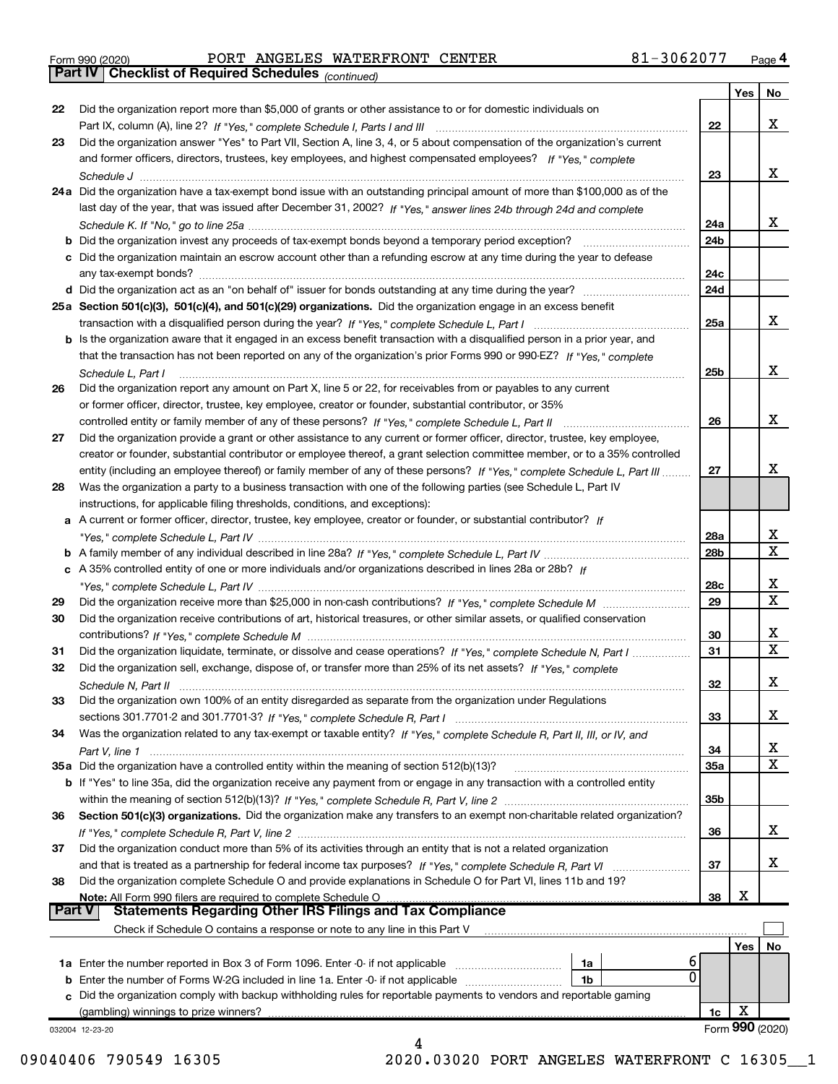|  | Form 990 (2020) |
|--|-----------------|

Part IV | Checklist of Required Schedules

|        |                                                                                                                                   |                 | Yes | No              |
|--------|-----------------------------------------------------------------------------------------------------------------------------------|-----------------|-----|-----------------|
| 22     | Did the organization report more than \$5,000 of grants or other assistance to or for domestic individuals on                     |                 |     |                 |
|        |                                                                                                                                   | 22              |     | x               |
| 23     | Did the organization answer "Yes" to Part VII, Section A, line 3, 4, or 5 about compensation of the organization's current        |                 |     |                 |
|        | and former officers, directors, trustees, key employees, and highest compensated employees? If "Yes," complete                    |                 |     |                 |
|        |                                                                                                                                   | 23              |     | х               |
|        | 24a Did the organization have a tax-exempt bond issue with an outstanding principal amount of more than \$100,000 as of the       |                 |     |                 |
|        | last day of the year, that was issued after December 31, 2002? If "Yes," answer lines 24b through 24d and complete                |                 |     |                 |
|        |                                                                                                                                   | 24a             |     | х               |
|        | <b>b</b> Did the organization invest any proceeds of tax-exempt bonds beyond a temporary period exception?                        | 24 <sub>b</sub> |     |                 |
|        | c Did the organization maintain an escrow account other than a refunding escrow at any time during the year to defease            |                 |     |                 |
|        |                                                                                                                                   | 24c             |     |                 |
|        |                                                                                                                                   | 24d             |     |                 |
|        |                                                                                                                                   |                 |     |                 |
|        | 25a Section 501(c)(3), 501(c)(4), and 501(c)(29) organizations. Did the organization engage in an excess benefit                  |                 |     | х               |
|        |                                                                                                                                   | 25a             |     |                 |
|        | b Is the organization aware that it engaged in an excess benefit transaction with a disqualified person in a prior year, and      |                 |     |                 |
|        | that the transaction has not been reported on any of the organization's prior Forms 990 or 990-EZ? If "Yes," complete             |                 |     |                 |
|        | Schedule L, Part I                                                                                                                | 25b             |     | х               |
| 26     | Did the organization report any amount on Part X, line 5 or 22, for receivables from or payables to any current                   |                 |     |                 |
|        | or former officer, director, trustee, key employee, creator or founder, substantial contributor, or 35%                           |                 |     |                 |
|        |                                                                                                                                   | 26              |     | х               |
| 27     | Did the organization provide a grant or other assistance to any current or former officer, director, trustee, key employee,       |                 |     |                 |
|        | creator or founder, substantial contributor or employee thereof, a grant selection committee member, or to a 35% controlled       |                 |     |                 |
|        | entity (including an employee thereof) or family member of any of these persons? If "Yes," complete Schedule L, Part III          | 27              |     | x               |
| 28     | Was the organization a party to a business transaction with one of the following parties (see Schedule L, Part IV                 |                 |     |                 |
|        | instructions, for applicable filing thresholds, conditions, and exceptions):                                                      |                 |     |                 |
|        | a A current or former officer, director, trustee, key employee, creator or founder, or substantial contributor? If                |                 |     |                 |
|        |                                                                                                                                   | 28a             |     | x               |
|        |                                                                                                                                   | 28b             |     | $\mathbf X$     |
|        | c A 35% controlled entity of one or more individuals and/or organizations described in lines 28a or 28b? If                       |                 |     |                 |
|        |                                                                                                                                   | 28c             |     | x               |
| 29     |                                                                                                                                   | 29              |     | $\mathbf x$     |
| 30     | Did the organization receive contributions of art, historical treasures, or other similar assets, or qualified conservation       |                 |     |                 |
|        |                                                                                                                                   | 30              |     | x               |
| 31     | Did the organization liquidate, terminate, or dissolve and cease operations? If "Yes," complete Schedule N, Part I                | 31              |     | $\mathbf X$     |
| 32     | Did the organization sell, exchange, dispose of, or transfer more than 25% of its net assets? If "Yes," complete                  |                 |     |                 |
|        | Schedule N, Part II                                                                                                               | 32              |     | х               |
| 33     | Did the organization own 100% of an entity disregarded as separate from the organization under Regulations                        |                 |     |                 |
|        |                                                                                                                                   | 33              |     | х               |
| 34     | Was the organization related to any tax-exempt or taxable entity? If "Yes," complete Schedule R, Part II, III, or IV, and         |                 |     |                 |
|        |                                                                                                                                   | 34              |     | x               |
|        | 35a Did the organization have a controlled entity within the meaning of section 512(b)(13)?                                       | <b>35a</b>      |     | X               |
|        | b If "Yes" to line 35a, did the organization receive any payment from or engage in any transaction with a controlled entity       |                 |     |                 |
|        |                                                                                                                                   | 35b             |     |                 |
| 36     | Section 501(c)(3) organizations. Did the organization make any transfers to an exempt non-charitable related organization?        |                 |     |                 |
|        |                                                                                                                                   |                 |     | x               |
|        | Did the organization conduct more than 5% of its activities through an entity that is not a related organization                  | 36              |     |                 |
| 37     |                                                                                                                                   |                 |     | х               |
|        | and that is treated as a partnership for federal income tax purposes? If "Yes," complete Schedule R, Part VI                      | 37              |     |                 |
| 38     | Did the organization complete Schedule O and provide explanations in Schedule O for Part VI, lines 11b and 19?                    |                 | X   |                 |
| Part V | Note: All Form 990 filers are required to complete Schedule O<br><b>Statements Regarding Other IRS Filings and Tax Compliance</b> | 38              |     |                 |
|        | Check if Schedule O contains a response or note to any line in this Part V                                                        |                 |     |                 |
|        |                                                                                                                                   |                 |     |                 |
|        | ь                                                                                                                                 |                 | Yes | No              |
|        | 1a Enter the number reported in Box 3 of Form 1096. Enter -0- if not applicable<br>1a<br>0                                        |                 |     |                 |
|        | 1b<br>c Did the organization comply with backup withholding rules for reportable payments to vendors and reportable gaming        |                 |     |                 |
|        | (gambling) winnings to prize winners?                                                                                             |                 | X   |                 |
|        |                                                                                                                                   | 1c              |     | Form 990 (2020) |
|        | 032004 12-23-20<br>4                                                                                                              |                 |     |                 |

09040406 790549 16305 2020.03020 PORT ANGELES WATERFRONT C 16305 1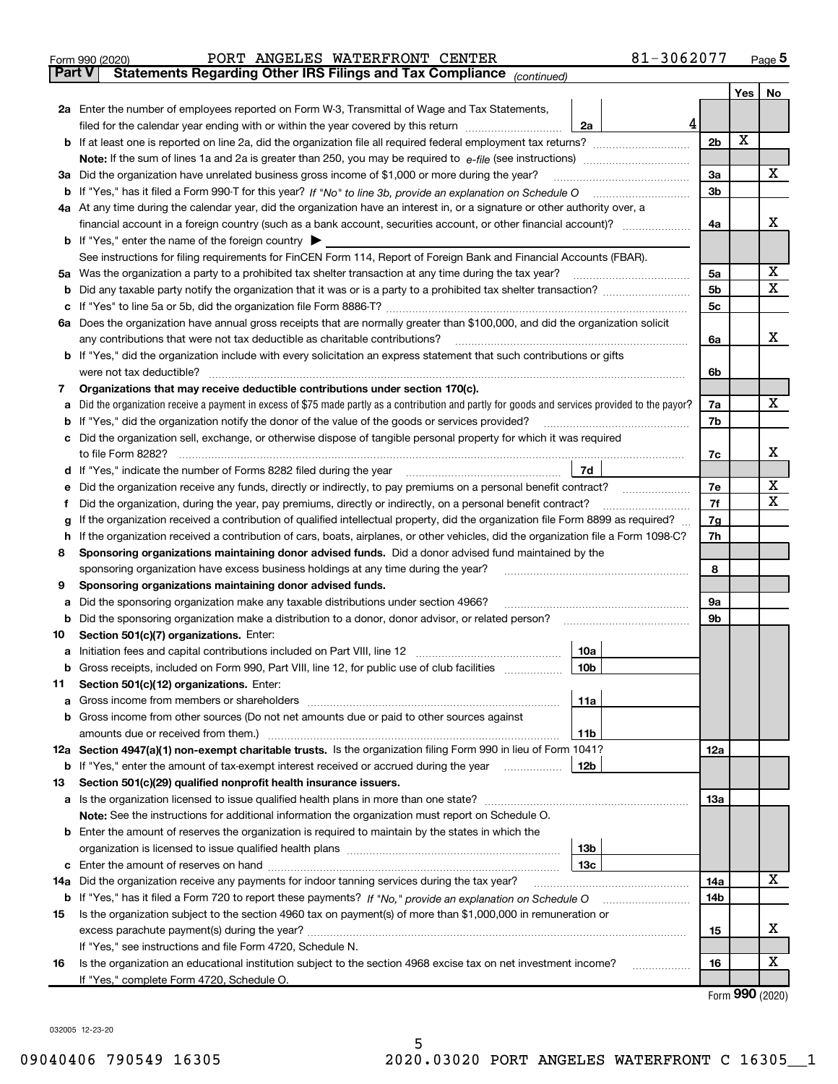|               | 81-3062077<br>PORT ANGELES WATERFRONT CENTER<br>Form 990 (2020)                                                                                   |                |     | $Page$ <sup>5</sup> |
|---------------|---------------------------------------------------------------------------------------------------------------------------------------------------|----------------|-----|---------------------|
| <b>Part V</b> | Statements Regarding Other IRS Filings and Tax Compliance (continued)                                                                             |                |     |                     |
|               |                                                                                                                                                   |                | Yes | No                  |
|               | 2a Enter the number of employees reported on Form W-3, Transmittal of Wage and Tax Statements,                                                    |                |     |                     |
|               | 4<br>filed for the calendar year ending with or within the year covered by this return<br>2a                                                      |                |     |                     |
|               | <b>b</b> If at least one is reported on line 2a, did the organization file all required federal employment tax returns?                           | 2 <sub>b</sub> | X   |                     |
|               | <b>Note:</b> If the sum of lines 1a and 2a is greater than 250, you may be required to $e$ -file (see instructions) <i>marrouum</i> manu-         |                |     |                     |
|               | 3a Did the organization have unrelated business gross income of \$1,000 or more during the year?                                                  | 3a             |     | X                   |
|               |                                                                                                                                                   | 3 <sub>b</sub> |     |                     |
|               | 4a At any time during the calendar year, did the organization have an interest in, or a signature or other authority over, a                      |                |     |                     |
|               | financial account in a foreign country (such as a bank account, securities account, or other financial account)?                                  | 4a             |     | х                   |
|               | <b>b</b> If "Yes," enter the name of the foreign country $\triangleright$                                                                         |                |     |                     |
|               | See instructions for filing requirements for FinCEN Form 114, Report of Foreign Bank and Financial Accounts (FBAR).                               |                |     |                     |
|               | 5a Was the organization a party to a prohibited tax shelter transaction at any time during the tax year?                                          | 5a             |     | х                   |
|               |                                                                                                                                                   | 5b             |     | $\mathbf X$         |
| c             | If "Yes" to line 5a or 5b, did the organization file Form 8886-T?                                                                                 | 5c             |     |                     |
|               | 6a Does the organization have annual gross receipts that are normally greater than \$100,000, and did the organization solicit                    |                |     |                     |
|               | any contributions that were not tax deductible as charitable contributions?                                                                       | 6a             |     | X.                  |
|               | <b>b</b> If "Yes," did the organization include with every solicitation an express statement that such contributions or gifts                     |                |     |                     |
|               | were not tax deductible?                                                                                                                          | 6b             |     |                     |
| 7             | Organizations that may receive deductible contributions under section 170(c).                                                                     |                |     |                     |
|               | a Did the organization receive a payment in excess of \$75 made partly as a contribution and partly for goods and services provided to the payor? | 7a             |     | X                   |
|               | <b>b</b> If "Yes," did the organization notify the donor of the value of the goods or services provided?                                          | 7b             |     |                     |
|               | c Did the organization sell, exchange, or otherwise dispose of tangible personal property for which it was required                               |                |     |                     |
|               | to file Form 8282?                                                                                                                                | 7c             |     | х                   |
|               | 7d<br>d If "Yes," indicate the number of Forms 8282 filed during the year                                                                         |                |     |                     |
| е             | Did the organization receive any funds, directly or indirectly, to pay premiums on a personal benefit contract?                                   | 7e             |     | х                   |
| f             | Did the organization, during the year, pay premiums, directly or indirectly, on a personal benefit contract?                                      | 7f             |     | $\mathbf X$         |
| g             | If the organization received a contribution of qualified intellectual property, did the organization file Form 8899 as required?                  | 7g             |     |                     |
|               | h If the organization received a contribution of cars, boats, airplanes, or other vehicles, did the organization file a Form 1098-C?              | 7h             |     |                     |
| 8             | Sponsoring organizations maintaining donor advised funds. Did a donor advised fund maintained by the                                              |                |     |                     |
|               | sponsoring organization have excess business holdings at any time during the year?                                                                | 8              |     |                     |
| 9             | Sponsoring organizations maintaining donor advised funds.                                                                                         |                |     |                     |
| а             | Did the sponsoring organization make any taxable distributions under section 4966?                                                                | 9а             |     |                     |
|               | <b>b</b> Did the sponsoring organization make a distribution to a donor, donor advisor, or related person?                                        | 9b             |     |                     |
| 10            | Section 501(c)(7) organizations. Enter:                                                                                                           |                |     |                     |
|               | 10a<br>a Initiation fees and capital contributions included on Part VIII, line 12                                                                 |                |     |                     |
|               | 10 <sub>b</sub><br><b>b</b> Gross receipts, included on Form 990, Part VIII, line 12, for public use of club facilities                           |                |     |                     |
| 11            | Section 501(c)(12) organizations. Enter:                                                                                                          |                |     |                     |
| a             | 11a                                                                                                                                               |                |     |                     |
| b             | Gross income from other sources (Do not net amounts due or paid to other sources against                                                          |                |     |                     |
|               | 11 <sub>b</sub>                                                                                                                                   |                |     |                     |
|               | 12a Section 4947(a)(1) non-exempt charitable trusts. Is the organization filing Form 990 in lieu of Form 1041?                                    | 12a            |     |                     |
|               | <b>b</b> If "Yes," enter the amount of tax-exempt interest received or accrued during the year <i>manument</i><br>12b                             |                |     |                     |
| 13            | Section 501(c)(29) qualified nonprofit health insurance issuers.                                                                                  |                |     |                     |
|               | a Is the organization licensed to issue qualified health plans in more than one state?                                                            | 13a            |     |                     |
|               | Note: See the instructions for additional information the organization must report on Schedule O.                                                 |                |     |                     |
|               | <b>b</b> Enter the amount of reserves the organization is required to maintain by the states in which the                                         |                |     |                     |
|               | 13b                                                                                                                                               |                |     |                     |
| c             | 13с                                                                                                                                               |                |     |                     |
| 14a           | Did the organization receive any payments for indoor tanning services during the tax year?                                                        | 14a            |     | X                   |
|               |                                                                                                                                                   | 14b            |     |                     |
| 15            | Is the organization subject to the section 4960 tax on payment(s) of more than \$1,000,000 in remuneration or                                     |                |     |                     |
|               |                                                                                                                                                   | 15             |     | х                   |
|               | If "Yes," see instructions and file Form 4720, Schedule N.                                                                                        |                |     |                     |
| 16            | Is the organization an educational institution subject to the section 4968 excise tax on net investment income?<br>.                              | 16             |     | х                   |
|               | If "Yes," complete Form 4720, Schedule O.                                                                                                         |                |     |                     |

Form 990 (2020)

032005 12-23-20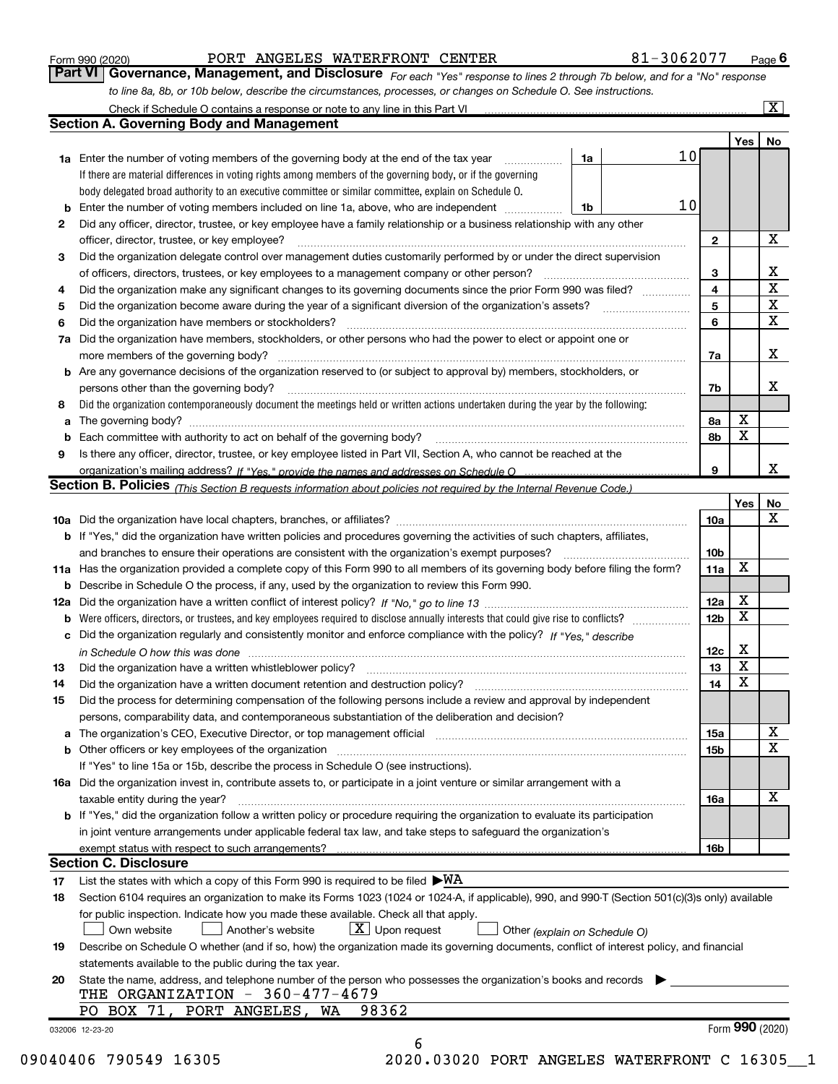|    |                                                                                                                                                                                                                                |    |                 |              | Yes             | No                      |
|----|--------------------------------------------------------------------------------------------------------------------------------------------------------------------------------------------------------------------------------|----|-----------------|--------------|-----------------|-------------------------|
|    | 1a Enter the number of voting members of the governing body at the end of the tax year                                                                                                                                         | 1a | 10 <sub>l</sub> |              |                 |                         |
|    | If there are material differences in voting rights among members of the governing body, or if the governing                                                                                                                    |    |                 |              |                 |                         |
|    | body delegated broad authority to an executive committee or similar committee, explain on Schedule O.                                                                                                                          |    |                 |              |                 |                         |
|    |                                                                                                                                                                                                                                | 1b | 10              |              |                 |                         |
| 2  | Did any officer, director, trustee, or key employee have a family relationship or a business relationship with any other                                                                                                       |    |                 |              |                 |                         |
|    | officer, director, trustee, or key employee?                                                                                                                                                                                   |    |                 | $\mathbf{2}$ |                 | X                       |
| 3  | Did the organization delegate control over management duties customarily performed by or under the direct supervision                                                                                                          |    |                 |              |                 |                         |
|    |                                                                                                                                                                                                                                |    |                 | 3            |                 | $\mathbf{X}$            |
| 4  | Did the organization make any significant changes to its governing documents since the prior Form 990 was filed?                                                                                                               |    |                 | 4            |                 | $\overline{\mathbf{x}}$ |
| 5  |                                                                                                                                                                                                                                |    |                 | 5            |                 | $\mathbf{x}$            |
| 6  | Did the organization have members or stockholders?                                                                                                                                                                             |    |                 | 6            |                 | X                       |
| 7а | Did the organization have members, stockholders, or other persons who had the power to elect or appoint one or                                                                                                                 |    |                 |              |                 |                         |
|    |                                                                                                                                                                                                                                |    |                 | 7a           |                 | X                       |
|    | <b>b</b> Are any governance decisions of the organization reserved to (or subject to approval by) members, stockholders, or                                                                                                    |    |                 |              |                 |                         |
|    | persons other than the governing body?                                                                                                                                                                                         |    |                 | 7b           |                 | X                       |
| 8  | Did the organization contemporaneously document the meetings held or written actions undertaken during the year by the following:                                                                                              |    |                 |              |                 |                         |
| a  |                                                                                                                                                                                                                                |    |                 | 8а           | X               |                         |
|    |                                                                                                                                                                                                                                |    |                 | 8b           | X               |                         |
|    |                                                                                                                                                                                                                                |    |                 |              |                 |                         |
| 9  | Is there any officer, director, trustee, or key employee listed in Part VII, Section A, who cannot be reached at the                                                                                                           |    |                 | 9            |                 | x                       |
|    |                                                                                                                                                                                                                                |    |                 |              |                 |                         |
|    | <b>Section B. Policies</b> (This Section B requests information about policies not required by the Internal Revenue Code.)                                                                                                     |    |                 |              |                 |                         |
|    |                                                                                                                                                                                                                                |    |                 |              | Yes             | No<br>X                 |
|    |                                                                                                                                                                                                                                |    |                 | 10a          |                 |                         |
|    | <b>b</b> If "Yes," did the organization have written policies and procedures governing the activities of such chapters, affiliates,                                                                                            |    |                 |              |                 |                         |
|    |                                                                                                                                                                                                                                |    |                 | 10b          |                 |                         |
|    | 11a Has the organization provided a complete copy of this Form 990 to all members of its governing body before filing the form?                                                                                                |    |                 | 11a          | X               |                         |
|    | <b>b</b> Describe in Schedule O the process, if any, used by the organization to review this Form 990.                                                                                                                         |    |                 |              |                 |                         |
|    |                                                                                                                                                                                                                                |    |                 | 12a          | X               |                         |
| b  |                                                                                                                                                                                                                                |    |                 | 12b          | Χ               |                         |
|    | c Did the organization regularly and consistently monitor and enforce compliance with the policy? If "Yes," describe                                                                                                           |    |                 |              |                 |                         |
|    | in Schedule O how this was done manufactured and continuum control of the Schedule O how this was done manufactured and continuum control of the Schedule O how this was done                                                  |    |                 | 12c          | Х               |                         |
| 13 | Did the organization have a written whistleblower policy? [11] matter content to the organization have a written whistleblower policy? [11] matter content content content of the organization have a written whistleblower po |    |                 | 13           | X               |                         |
| 14 | Did the organization have a written document retention and destruction policy? [11] manufacture organization have a written document retention and destruction policy? [11] manufacture or an analyze or an analyze or an anal |    |                 | 14           | X               |                         |
| 15 | Did the process for determining compensation of the following persons include a review and approval by independent                                                                                                             |    |                 |              |                 |                         |
|    | persons, comparability data, and contemporaneous substantiation of the deliberation and decision?                                                                                                                              |    |                 |              |                 |                         |
|    | The organization's CEO, Executive Director, or top management official [111] [11] manument content or organization's CEO, Executive Director, or top management official [11] manument content and the organization of the con |    |                 | 15a          |                 | $\overline{\mathbf{x}}$ |
|    |                                                                                                                                                                                                                                |    |                 | 15b          |                 | X                       |
|    | If "Yes" to line 15a or 15b, describe the process in Schedule O (see instructions).                                                                                                                                            |    |                 |              |                 |                         |
|    | 16a Did the organization invest in, contribute assets to, or participate in a joint venture or similar arrangement with a                                                                                                      |    |                 |              |                 |                         |
|    | taxable entity during the year?                                                                                                                                                                                                |    |                 | 16a          |                 | X                       |
|    | b If "Yes," did the organization follow a written policy or procedure requiring the organization to evaluate its participation                                                                                                 |    |                 |              |                 |                         |
|    | in joint venture arrangements under applicable federal tax law, and take steps to safeguard the organization's                                                                                                                 |    |                 |              |                 |                         |
|    | exempt status with respect to such arrangements?                                                                                                                                                                               |    |                 | 16b          |                 |                         |
|    | <b>Section C. Disclosure</b>                                                                                                                                                                                                   |    |                 |              |                 |                         |
| 17 | List the states with which a copy of this Form 990 is required to be filed $\blacktriangleright$ WA                                                                                                                            |    |                 |              |                 |                         |
| 18 | Section 6104 requires an organization to make its Forms 1023 (1024 or 1024-A, if applicable), 990, and 990-T (Section 501(c)(3)s only) available                                                                               |    |                 |              |                 |                         |
|    | for public inspection. Indicate how you made these available. Check all that apply.                                                                                                                                            |    |                 |              |                 |                         |
|    | $X$ Upon request<br>Own website<br>Another's website                                                                                                                                                                           |    |                 |              |                 |                         |
|    | Other (explain on Schedule O)<br>Describe on Schedule O whether (and if so, how) the organization made its governing documents, conflict of interest policy, and financial                                                     |    |                 |              |                 |                         |
| 19 |                                                                                                                                                                                                                                |    |                 |              |                 |                         |
|    | statements available to the public during the tax year.                                                                                                                                                                        |    |                 |              |                 |                         |
| 20 | State the name, address, and telephone number of the person who possesses the organization's books and records                                                                                                                 |    |                 |              |                 |                         |
|    | THE ORGANIZATION $-360-477-4679$                                                                                                                                                                                               |    |                 |              |                 |                         |
|    |                                                                                                                                                                                                                                |    |                 |              |                 |                         |
|    | 98362<br>PO BOX 71, PORT ANGELES,<br>WA<br>032006 12-23-20                                                                                                                                                                     |    |                 |              | Form 990 (2020) |                         |

Part VI | Governance, Management, and Disclosure  $F_{Or}$  each "Yes" response to lines 2 through 7b below, and for a "No" response

Form 990 (2020) Page PORT ANGELES WATERFRONT CENTER 81-3062077

 $Page 6$ 

 $\boxed{\text{X}}$ 

to line 8a, 8b, or 10b below, describe the circumstances, processes, or changes on Schedule O. See instructions.

Check if Schedule O contains a response or note to any line in this Part VI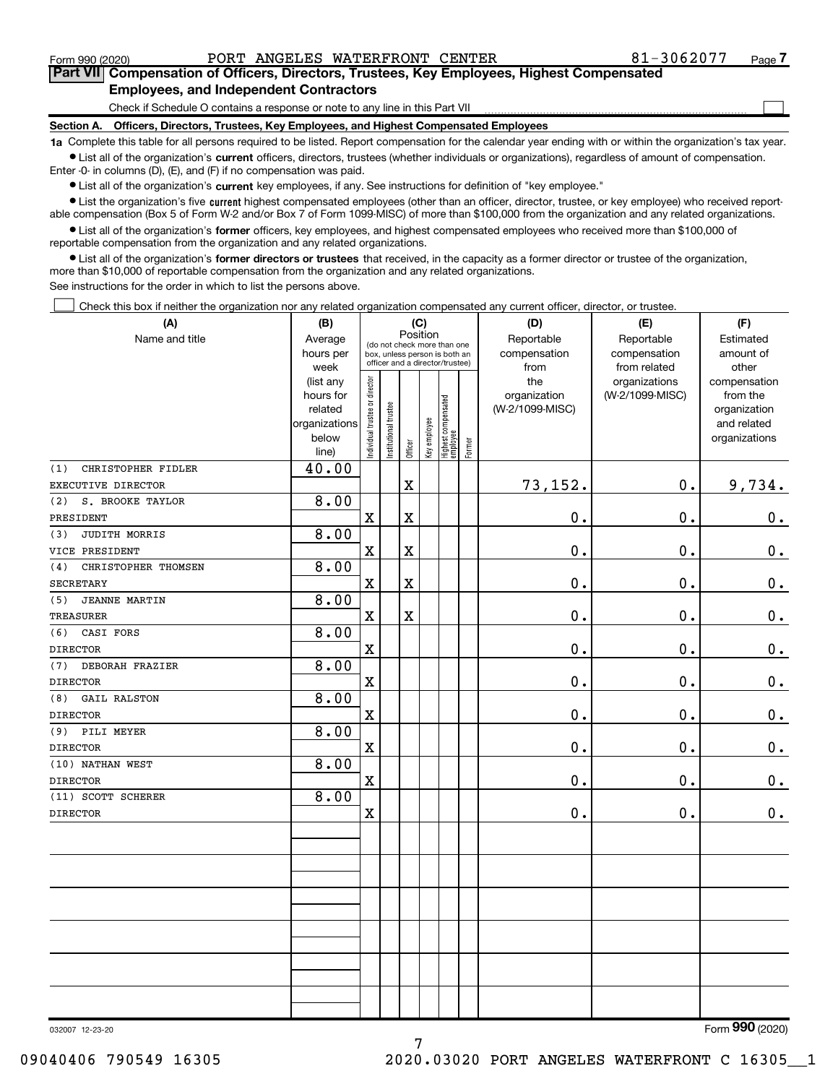$\Box$ 

# Part VII Compensation of Officers, Directors, Trustees, Key Employees, Highest Compensated Employees, and Independent Contractors

Check if Schedule O contains a response or note to any line in this Part VII

Section A. Officers, Directors, Trustees, Key Employees, and Highest Compensated Employees

1a Complete this table for all persons required to be listed. Report compensation for the calendar year ending with or within the organization's tax year. Ist all of the organization's current officers, directors, trustees (whether individuals or organizations), regardless of amount of compensation.

Enter -0- in columns (D), (E), and (F) if no compensation was paid.

**•** List all of the organization's current key employees, if any. See instructions for definition of "key employee."

● List the organization's five current highest compensated employees (other than an officer, director, trustee, or key employee) who received reportable compensation (Box 5 of Form W-2 and/or Box 7 of Form 1099-MISC) of more than \$100,000 from the organization and any related organizations.

List all of the organization's former officers, key employees, and highest compensated employees who received more than \$100,000 of reportable compensation from the organization and any related organizations.

• List all of the organization's former directors or trustees that received, in the capacity as a former director or trustee of the organization, more than \$10,000 of reportable compensation from the organization and any related organizations.

See instructions for the order in which to list the persons above.

Check this box if neither the organization nor any related organization compensated any current officer, director, or trustee.  $\Box$ 

| (A)                         | (B)                  |                               |                                                                  | (C)                     |              |                                 |        | (D)                             | (E)             | (F)                      |
|-----------------------------|----------------------|-------------------------------|------------------------------------------------------------------|-------------------------|--------------|---------------------------------|--------|---------------------------------|-----------------|--------------------------|
| Name and title              | Average              |                               | (do not check more than one                                      | Position                |              |                                 |        | Reportable                      | Reportable      | Estimated                |
|                             | hours per            |                               | box, unless person is both an<br>officer and a director/trustee) |                         |              |                                 |        | compensation                    | compensation    | amount of                |
|                             | week                 |                               |                                                                  |                         |              |                                 |        | from                            | from related    | other                    |
|                             | (list any            |                               |                                                                  |                         |              |                                 |        | the                             | organizations   | compensation             |
|                             | hours for<br>related |                               |                                                                  |                         |              |                                 |        | organization<br>(W-2/1099-MISC) | (W-2/1099-MISC) | from the<br>organization |
|                             | organizations        |                               |                                                                  |                         |              |                                 |        |                                 |                 | and related              |
|                             | below                |                               |                                                                  |                         |              |                                 |        |                                 |                 | organizations            |
|                             | line)                | ndividual trustee or director | Institutional trustee                                            | Officer                 | Key employee | Highest compensated<br>employee | Former |                                 |                 |                          |
| CHRISTOPHER FIDLER<br>(1)   | 40.00                |                               |                                                                  |                         |              |                                 |        |                                 |                 |                          |
| EXECUTIVE DIRECTOR          |                      |                               |                                                                  | X                       |              |                                 |        | 73,152.                         | $\mathbf 0$ .   | 9,734.                   |
| (2)<br>S. BROOKE TAYLOR     | 8.00                 |                               |                                                                  |                         |              |                                 |        |                                 |                 |                          |
| PRESIDENT                   |                      | $\mathbf X$                   |                                                                  | X                       |              |                                 |        | 0.                              | $\mathbf 0$ .   | $\mathbf 0$ .            |
| JUDITH MORRIS<br>(3)        | 8.00                 |                               |                                                                  |                         |              |                                 |        |                                 |                 |                          |
| VICE PRESIDENT              |                      | $\mathbf X$                   |                                                                  | $\mathbf x$             |              |                                 |        | 0.                              | $\mathbf 0$ .   | $\mathbf 0$ .            |
| CHRISTOPHER THOMSEN<br>(4)  | 8.00                 |                               |                                                                  |                         |              |                                 |        |                                 |                 |                          |
| <b>SECRETARY</b>            |                      | $\mathbf X$                   |                                                                  | $\overline{\textbf{X}}$ |              |                                 |        | 0.                              | $\mathbf 0$ .   | $\mathbf 0$ .            |
| <b>JEANNE MARTIN</b><br>(5) | 8.00                 |                               |                                                                  |                         |              |                                 |        |                                 |                 |                          |
| <b>TREASURER</b>            |                      | $\mathbf X$                   |                                                                  | X                       |              |                                 |        | 0.                              | 0.              | 0.                       |
| (6)<br>CASI FORS            | 8.00                 |                               |                                                                  |                         |              |                                 |        |                                 |                 |                          |
| <b>DIRECTOR</b>             |                      | $\mathbf X$                   |                                                                  |                         |              |                                 |        | 0.                              | $\mathbf 0$ .   | $0_{\cdot}$              |
| (7)<br>DEBORAH FRAZIER      | 8.00                 |                               |                                                                  |                         |              |                                 |        |                                 |                 |                          |
| <b>DIRECTOR</b>             |                      | $\mathbf x$                   |                                                                  |                         |              |                                 |        | 0.                              | $\mathbf 0$ .   | $\mathbf 0$ .            |
| <b>GAIL RALSTON</b><br>(8)  | 8.00                 |                               |                                                                  |                         |              |                                 |        |                                 |                 |                          |
| <b>DIRECTOR</b>             |                      | $\mathbf X$                   |                                                                  |                         |              |                                 |        | 0.                              | $\mathbf 0$ .   | $\mathbf 0$ .            |
| PILI MEYER<br>(9)           | 8.00                 |                               |                                                                  |                         |              |                                 |        |                                 |                 |                          |
| <b>DIRECTOR</b>             |                      | $\mathbf X$                   |                                                                  |                         |              |                                 |        | 0.                              | $\mathbf 0$ .   | 0.                       |
| (10) NATHAN WEST            | 8.00                 |                               |                                                                  |                         |              |                                 |        |                                 |                 |                          |
| <b>DIRECTOR</b>             |                      | $\mathbf X$                   |                                                                  |                         |              |                                 |        | $\mathbf 0$ .                   | 0.              | $\mathbf 0$ .            |
| (11) SCOTT SCHERER          | 8.00                 |                               |                                                                  |                         |              |                                 |        |                                 |                 |                          |
| <b>DIRECTOR</b>             |                      | $\mathbf x$                   |                                                                  |                         |              |                                 |        | $\mathbf 0$ .                   | $\mathbf 0$ .   | 0.                       |
|                             |                      |                               |                                                                  |                         |              |                                 |        |                                 |                 |                          |
|                             |                      |                               |                                                                  |                         |              |                                 |        |                                 |                 |                          |
|                             |                      |                               |                                                                  |                         |              |                                 |        |                                 |                 |                          |
|                             |                      |                               |                                                                  |                         |              |                                 |        |                                 |                 |                          |
|                             |                      |                               |                                                                  |                         |              |                                 |        |                                 |                 |                          |
|                             |                      |                               |                                                                  |                         |              |                                 |        |                                 |                 |                          |
|                             |                      |                               |                                                                  |                         |              |                                 |        |                                 |                 |                          |
|                             |                      |                               |                                                                  |                         |              |                                 |        |                                 |                 |                          |
|                             |                      |                               |                                                                  |                         |              |                                 |        |                                 |                 |                          |
|                             |                      |                               |                                                                  |                         |              |                                 |        |                                 |                 |                          |
|                             |                      |                               |                                                                  |                         |              |                                 |        |                                 |                 |                          |
|                             |                      |                               |                                                                  |                         |              |                                 |        |                                 |                 |                          |

7

032007 12-23-20

Form 990 (2020)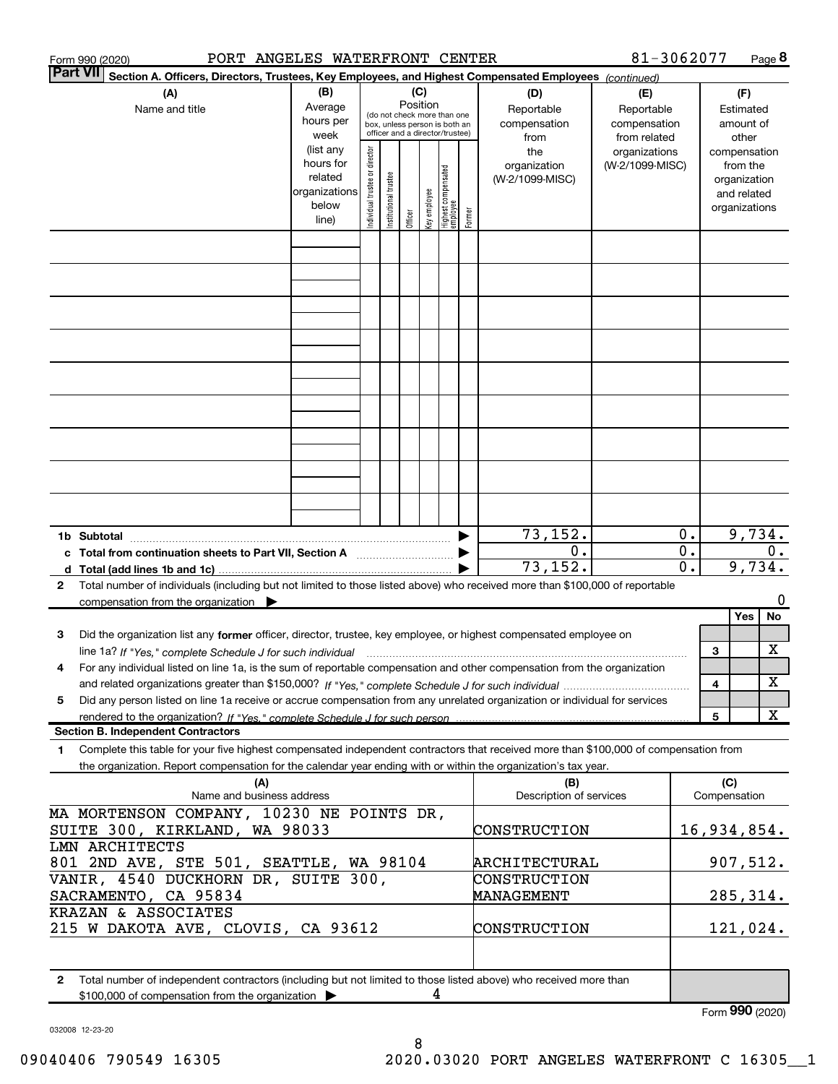| PORT ANGELES WATERFRONT CENTER<br>Form 990 (2020)                                                                                                                                                                                                                                                        |                                                                      |                               |                      |                                                                                                                    |              |                                 |        |                                           | 81-3062077                                        |                        |                                                                          | Page $8$        |
|----------------------------------------------------------------------------------------------------------------------------------------------------------------------------------------------------------------------------------------------------------------------------------------------------------|----------------------------------------------------------------------|-------------------------------|----------------------|--------------------------------------------------------------------------------------------------------------------|--------------|---------------------------------|--------|-------------------------------------------|---------------------------------------------------|------------------------|--------------------------------------------------------------------------|-----------------|
| <b>Part VII</b><br>Section A. Officers, Directors, Trustees, Key Employees, and Highest Compensated Employees (continued)                                                                                                                                                                                |                                                                      |                               |                      |                                                                                                                    |              |                                 |        |                                           |                                                   |                        |                                                                          |                 |
| (A)<br>Name and title                                                                                                                                                                                                                                                                                    | (B)<br>Average<br>hours per<br>week                                  |                               |                      | (C)<br>Position<br>(do not check more than one<br>box, unless person is both an<br>officer and a director/trustee) |              |                                 |        | (D)<br>Reportable<br>compensation<br>from | (E)<br>Reportable<br>compensation<br>from related |                        | (F)<br>Estimated<br>amount of<br>other                                   |                 |
|                                                                                                                                                                                                                                                                                                          | (list any<br>hours for<br>related<br>organizations<br>below<br>line) | ndividual trustee or director | nstitutional trustee | Officer                                                                                                            | Key employee | Highest compensated<br>employee | Former | the<br>organization<br>(W-2/1099-MISC)    | organizations<br>(W-2/1099-MISC)                  |                        | compensation<br>from the<br>organization<br>and related<br>organizations |                 |
|                                                                                                                                                                                                                                                                                                          |                                                                      |                               |                      |                                                                                                                    |              |                                 |        |                                           |                                                   |                        |                                                                          |                 |
|                                                                                                                                                                                                                                                                                                          |                                                                      |                               |                      |                                                                                                                    |              |                                 |        |                                           |                                                   |                        |                                                                          |                 |
|                                                                                                                                                                                                                                                                                                          |                                                                      |                               |                      |                                                                                                                    |              |                                 |        |                                           |                                                   |                        |                                                                          |                 |
|                                                                                                                                                                                                                                                                                                          |                                                                      |                               |                      |                                                                                                                    |              |                                 |        |                                           |                                                   |                        |                                                                          |                 |
|                                                                                                                                                                                                                                                                                                          |                                                                      |                               |                      |                                                                                                                    |              |                                 |        |                                           |                                                   |                        |                                                                          |                 |
|                                                                                                                                                                                                                                                                                                          |                                                                      |                               |                      |                                                                                                                    |              |                                 |        |                                           |                                                   |                        |                                                                          |                 |
|                                                                                                                                                                                                                                                                                                          |                                                                      |                               |                      |                                                                                                                    |              |                                 |        |                                           |                                                   |                        |                                                                          |                 |
| 1b Subtotal                                                                                                                                                                                                                                                                                              |                                                                      |                               |                      |                                                                                                                    |              |                                 |        | 73,152.                                   |                                                   | 0.                     |                                                                          | 9,734.          |
| c Total from continuation sheets to Part VII, Section A<br>d Total (add lines 1b and 1c)                                                                                                                                                                                                                 |                                                                      |                               |                      |                                                                                                                    |              |                                 |        | 0.<br>73, 152.                            |                                                   | 0.<br>$\overline{0}$ . |                                                                          | $0$ .<br>9,734. |
| Total number of individuals (including but not limited to those listed above) who received more than \$100,000 of reportable<br>2<br>compensation from the organization $\triangleright$                                                                                                                 |                                                                      |                               |                      |                                                                                                                    |              |                                 |        |                                           |                                                   |                        |                                                                          | 0               |
| Did the organization list any former officer, director, trustee, key employee, or highest compensated employee on<br>з                                                                                                                                                                                   |                                                                      |                               |                      |                                                                                                                    |              |                                 |        |                                           |                                                   |                        | Yes<br>3                                                                 | No<br>х         |
| line 1a? If "Yes," complete Schedule J for such individual<br>For any individual listed on line 1a, is the sum of reportable compensation and other compensation from the organization<br>4                                                                                                              |                                                                      |                               |                      |                                                                                                                    |              |                                 |        |                                           |                                                   |                        | 4                                                                        | х               |
| Did any person listed on line 1a receive or accrue compensation from any unrelated organization or individual for services<br>5                                                                                                                                                                          |                                                                      |                               |                      |                                                                                                                    |              |                                 |        |                                           |                                                   |                        | 5                                                                        | X               |
| <b>Section B. Independent Contractors</b><br>Complete this table for your five highest compensated independent contractors that received more than \$100,000 of compensation from<br>1<br>the organization. Report compensation for the calendar year ending with or within the organization's tax year. |                                                                      |                               |                      |                                                                                                                    |              |                                 |        |                                           |                                                   |                        |                                                                          |                 |
| (A)<br>Name and business address                                                                                                                                                                                                                                                                         |                                                                      |                               |                      |                                                                                                                    |              |                                 |        | (B)<br>Description of services            |                                                   |                        | (C)<br>Compensation                                                      |                 |
| MA MORTENSON COMPANY, 10230 NE POINTS DR,<br>SUITE 300, KIRKLAND, WA 98033                                                                                                                                                                                                                               |                                                                      |                               |                      |                                                                                                                    |              |                                 |        | CONSTRUCTION                              |                                                   |                        |                                                                          | 16,934,854.     |
| LMN ARCHITECTS<br>801 2ND AVE, STE 501, SEATTLE, WA 98104<br>VANIR, 4540 DUCKHORN DR, SUITE 300,                                                                                                                                                                                                         |                                                                      |                               |                      |                                                                                                                    |              |                                 |        | ARCHITECTURAL<br>CONSTRUCTION             |                                                   |                        |                                                                          | 907,512.        |
| SACRAMENTO, CA 95834<br>KRAZAN & ASSOCIATES                                                                                                                                                                                                                                                              |                                                                      |                               |                      |                                                                                                                    |              |                                 |        | MANAGEMENT                                |                                                   |                        |                                                                          | 285,314.        |
| 215 W DAKOTA AVE, CLOVIS, CA 93612                                                                                                                                                                                                                                                                       |                                                                      |                               |                      |                                                                                                                    |              |                                 |        | CONSTRUCTION                              |                                                   |                        |                                                                          | 121,024.        |
| $\mathbf{2}$<br>Total number of independent contractors (including but not limited to those listed above) who received more than<br>\$100,000 of compensation from the organization                                                                                                                      |                                                                      |                               |                      |                                                                                                                    | 4            |                                 |        |                                           |                                                   |                        |                                                                          |                 |
|                                                                                                                                                                                                                                                                                                          |                                                                      |                               |                      |                                                                                                                    |              |                                 |        |                                           |                                                   |                        |                                                                          | Form 990 (2020) |

032008 12-23-20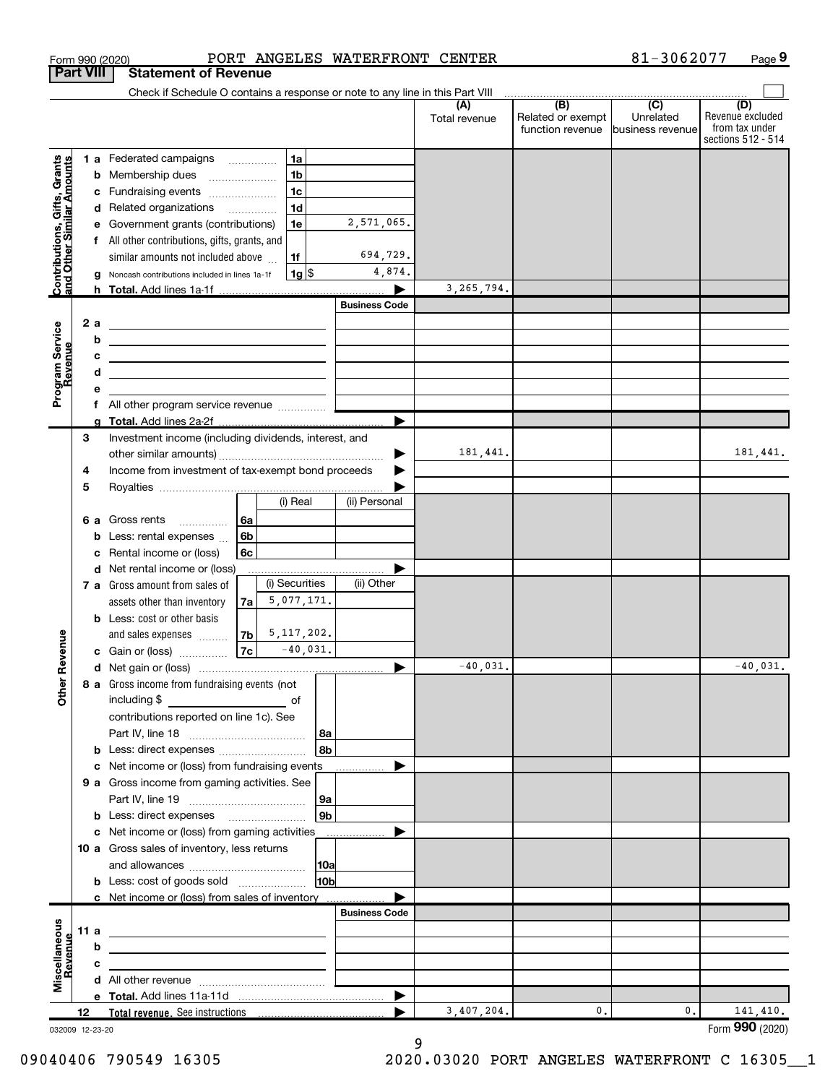| <b>Part VIII</b><br><b>Statement of Revenue</b><br>Check if Schedule O contains a response or note to any line in this Part VIII<br>$\overline{(\mathsf{B})}$ $\overline{(\mathsf{C})}$<br>(D)<br>Unrelated<br>Related or exempt<br>Total revenue<br>function revenue<br>business revenue<br>1a<br>Contributions, Gifts, Grants<br>and Other Similar Amounts<br>1 a Federated campaigns<br>1 <sub>b</sub><br>Membership dues<br>b<br>1 <sub>c</sub><br>Fundraising events<br>c<br>1 <sub>d</sub><br>Related organizations<br>d<br>2,571,065.<br>1e<br>Government grants (contributions)<br>All other contributions, gifts, grants, and<br>f<br>694,729.<br>similar amounts not included above<br>1f<br>4,874.<br> 1g <br>Noncash contributions included in lines 1a-1f<br>3,265,794.<br>h Total. Add lines 1a-1f<br><b>Business Code</b><br>Program Service<br>Revenue<br>2 a<br><u> 1989 - Johann Harry Harry Harry Harry Harry Harry Harry Harry Harry Harry Harry Harry Harry Harry Harry Harry</u><br>b<br><u> 1989 - Andrea Stadt Britain, amerikansk politiker (</u><br>c<br><u> 1989 - Johann John Stone, marking and de families and design and design and design and design and design and</u><br>d<br><u> 1989 - Johann Barn, amerikansk politiker (d. 1989)</u><br>$\blacktriangleright$<br>3<br>Investment income (including dividends, interest, and<br>181,441.<br>Income from investment of tax-exempt bond proceeds<br>4<br>5<br>(i) Real<br>(ii) Personal<br>Gross rents<br>l 6a<br>6а<br>6 <sub>b</sub><br>Less: rental expenses<br>b<br>Rental income or (loss)<br>6c<br>Net rental income or (loss)<br>d<br>(i) Securities<br>(ii) Other<br>7 a Gross amount from sales of<br>5,077,171.<br>assets other than inventory<br>7a<br><b>b</b> Less: cost or other basis<br>5, 117, 202.<br>evenue<br>and sales expenses<br>7b  <br>7c<br>$-40,031.$<br>c Gain or (loss)<br>40,031.<br>Œ<br>Other<br>8 a Gross income from fundraising events (not<br>including \$<br>contributions reported on line 1c). See<br>l 8a<br>8b<br><b>b</b> Less: direct expenses<br>c Net income or (loss) from fundraising events<br>9 a Gross income from gaming activities. See<br>l 9a<br>9 <sub>b</sub><br><b>b</b> Less: direct expenses <b>manually</b><br>c Net income or (loss) from gaming activities<br>10 a Gross sales of inventory, less returns<br> 10a<br>10b<br><b>b</b> Less: cost of goods sold<br>c Net income or (loss) from sales of inventory<br><b>Business Code</b><br>Miscellaneous<br>11 a<br><u> 1989 - Johann Stein, mars an deus Amerikaansk kommunister (</u><br>Revenue<br>b<br>the control of the control of the control of the control of the control of the control of<br>с<br>the contract of the contract of the contract of the contract of the contract of<br>$\blacktriangleright$<br>3,407,204.<br>0.<br>0.<br>12<br>032009 12-23-20 |  | Form 990 (2020) |  |  | PORT ANGELES WATERFRONT CENTER | 81-3062077 | Page 9                                                   |
|---------------------------------------------------------------------------------------------------------------------------------------------------------------------------------------------------------------------------------------------------------------------------------------------------------------------------------------------------------------------------------------------------------------------------------------------------------------------------------------------------------------------------------------------------------------------------------------------------------------------------------------------------------------------------------------------------------------------------------------------------------------------------------------------------------------------------------------------------------------------------------------------------------------------------------------------------------------------------------------------------------------------------------------------------------------------------------------------------------------------------------------------------------------------------------------------------------------------------------------------------------------------------------------------------------------------------------------------------------------------------------------------------------------------------------------------------------------------------------------------------------------------------------------------------------------------------------------------------------------------------------------------------------------------------------------------------------------------------------------------------------------------------------------------------------------------------------------------------------------------------------------------------------------------------------------------------------------------------------------------------------------------------------------------------------------------------------------------------------------------------------------------------------------------------------------------------------------------------------------------------------------------------------------------------------------------------------------------------------------------------------------------------------------------------------------------------------------------------------------------------------------------------------------------------------------------------------------------------------------------------------------------------------------------------------------------------------------------------------------------------------------------------------------------------------------------------------------------------------------------------|--|-----------------|--|--|--------------------------------|------------|----------------------------------------------------------|
|                                                                                                                                                                                                                                                                                                                                                                                                                                                                                                                                                                                                                                                                                                                                                                                                                                                                                                                                                                                                                                                                                                                                                                                                                                                                                                                                                                                                                                                                                                                                                                                                                                                                                                                                                                                                                                                                                                                                                                                                                                                                                                                                                                                                                                                                                                                                                                                                                                                                                                                                                                                                                                                                                                                                                                                                                                                                           |  |                 |  |  |                                |            |                                                          |
|                                                                                                                                                                                                                                                                                                                                                                                                                                                                                                                                                                                                                                                                                                                                                                                                                                                                                                                                                                                                                                                                                                                                                                                                                                                                                                                                                                                                                                                                                                                                                                                                                                                                                                                                                                                                                                                                                                                                                                                                                                                                                                                                                                                                                                                                                                                                                                                                                                                                                                                                                                                                                                                                                                                                                                                                                                                                           |  |                 |  |  |                                |            |                                                          |
|                                                                                                                                                                                                                                                                                                                                                                                                                                                                                                                                                                                                                                                                                                                                                                                                                                                                                                                                                                                                                                                                                                                                                                                                                                                                                                                                                                                                                                                                                                                                                                                                                                                                                                                                                                                                                                                                                                                                                                                                                                                                                                                                                                                                                                                                                                                                                                                                                                                                                                                                                                                                                                                                                                                                                                                                                                                                           |  |                 |  |  |                                |            | Revenue excluded<br>from tax under<br>sections 512 - 514 |
|                                                                                                                                                                                                                                                                                                                                                                                                                                                                                                                                                                                                                                                                                                                                                                                                                                                                                                                                                                                                                                                                                                                                                                                                                                                                                                                                                                                                                                                                                                                                                                                                                                                                                                                                                                                                                                                                                                                                                                                                                                                                                                                                                                                                                                                                                                                                                                                                                                                                                                                                                                                                                                                                                                                                                                                                                                                                           |  |                 |  |  |                                |            |                                                          |
|                                                                                                                                                                                                                                                                                                                                                                                                                                                                                                                                                                                                                                                                                                                                                                                                                                                                                                                                                                                                                                                                                                                                                                                                                                                                                                                                                                                                                                                                                                                                                                                                                                                                                                                                                                                                                                                                                                                                                                                                                                                                                                                                                                                                                                                                                                                                                                                                                                                                                                                                                                                                                                                                                                                                                                                                                                                                           |  |                 |  |  |                                |            |                                                          |
|                                                                                                                                                                                                                                                                                                                                                                                                                                                                                                                                                                                                                                                                                                                                                                                                                                                                                                                                                                                                                                                                                                                                                                                                                                                                                                                                                                                                                                                                                                                                                                                                                                                                                                                                                                                                                                                                                                                                                                                                                                                                                                                                                                                                                                                                                                                                                                                                                                                                                                                                                                                                                                                                                                                                                                                                                                                                           |  |                 |  |  |                                |            |                                                          |
|                                                                                                                                                                                                                                                                                                                                                                                                                                                                                                                                                                                                                                                                                                                                                                                                                                                                                                                                                                                                                                                                                                                                                                                                                                                                                                                                                                                                                                                                                                                                                                                                                                                                                                                                                                                                                                                                                                                                                                                                                                                                                                                                                                                                                                                                                                                                                                                                                                                                                                                                                                                                                                                                                                                                                                                                                                                                           |  |                 |  |  |                                |            |                                                          |
|                                                                                                                                                                                                                                                                                                                                                                                                                                                                                                                                                                                                                                                                                                                                                                                                                                                                                                                                                                                                                                                                                                                                                                                                                                                                                                                                                                                                                                                                                                                                                                                                                                                                                                                                                                                                                                                                                                                                                                                                                                                                                                                                                                                                                                                                                                                                                                                                                                                                                                                                                                                                                                                                                                                                                                                                                                                                           |  |                 |  |  |                                |            |                                                          |
|                                                                                                                                                                                                                                                                                                                                                                                                                                                                                                                                                                                                                                                                                                                                                                                                                                                                                                                                                                                                                                                                                                                                                                                                                                                                                                                                                                                                                                                                                                                                                                                                                                                                                                                                                                                                                                                                                                                                                                                                                                                                                                                                                                                                                                                                                                                                                                                                                                                                                                                                                                                                                                                                                                                                                                                                                                                                           |  |                 |  |  |                                |            |                                                          |
|                                                                                                                                                                                                                                                                                                                                                                                                                                                                                                                                                                                                                                                                                                                                                                                                                                                                                                                                                                                                                                                                                                                                                                                                                                                                                                                                                                                                                                                                                                                                                                                                                                                                                                                                                                                                                                                                                                                                                                                                                                                                                                                                                                                                                                                                                                                                                                                                                                                                                                                                                                                                                                                                                                                                                                                                                                                                           |  |                 |  |  |                                |            |                                                          |
|                                                                                                                                                                                                                                                                                                                                                                                                                                                                                                                                                                                                                                                                                                                                                                                                                                                                                                                                                                                                                                                                                                                                                                                                                                                                                                                                                                                                                                                                                                                                                                                                                                                                                                                                                                                                                                                                                                                                                                                                                                                                                                                                                                                                                                                                                                                                                                                                                                                                                                                                                                                                                                                                                                                                                                                                                                                                           |  |                 |  |  |                                |            |                                                          |
|                                                                                                                                                                                                                                                                                                                                                                                                                                                                                                                                                                                                                                                                                                                                                                                                                                                                                                                                                                                                                                                                                                                                                                                                                                                                                                                                                                                                                                                                                                                                                                                                                                                                                                                                                                                                                                                                                                                                                                                                                                                                                                                                                                                                                                                                                                                                                                                                                                                                                                                                                                                                                                                                                                                                                                                                                                                                           |  |                 |  |  |                                |            |                                                          |
|                                                                                                                                                                                                                                                                                                                                                                                                                                                                                                                                                                                                                                                                                                                                                                                                                                                                                                                                                                                                                                                                                                                                                                                                                                                                                                                                                                                                                                                                                                                                                                                                                                                                                                                                                                                                                                                                                                                                                                                                                                                                                                                                                                                                                                                                                                                                                                                                                                                                                                                                                                                                                                                                                                                                                                                                                                                                           |  |                 |  |  |                                |            |                                                          |
|                                                                                                                                                                                                                                                                                                                                                                                                                                                                                                                                                                                                                                                                                                                                                                                                                                                                                                                                                                                                                                                                                                                                                                                                                                                                                                                                                                                                                                                                                                                                                                                                                                                                                                                                                                                                                                                                                                                                                                                                                                                                                                                                                                                                                                                                                                                                                                                                                                                                                                                                                                                                                                                                                                                                                                                                                                                                           |  |                 |  |  |                                |            |                                                          |
|                                                                                                                                                                                                                                                                                                                                                                                                                                                                                                                                                                                                                                                                                                                                                                                                                                                                                                                                                                                                                                                                                                                                                                                                                                                                                                                                                                                                                                                                                                                                                                                                                                                                                                                                                                                                                                                                                                                                                                                                                                                                                                                                                                                                                                                                                                                                                                                                                                                                                                                                                                                                                                                                                                                                                                                                                                                                           |  |                 |  |  |                                |            |                                                          |
|                                                                                                                                                                                                                                                                                                                                                                                                                                                                                                                                                                                                                                                                                                                                                                                                                                                                                                                                                                                                                                                                                                                                                                                                                                                                                                                                                                                                                                                                                                                                                                                                                                                                                                                                                                                                                                                                                                                                                                                                                                                                                                                                                                                                                                                                                                                                                                                                                                                                                                                                                                                                                                                                                                                                                                                                                                                                           |  |                 |  |  |                                |            |                                                          |
|                                                                                                                                                                                                                                                                                                                                                                                                                                                                                                                                                                                                                                                                                                                                                                                                                                                                                                                                                                                                                                                                                                                                                                                                                                                                                                                                                                                                                                                                                                                                                                                                                                                                                                                                                                                                                                                                                                                                                                                                                                                                                                                                                                                                                                                                                                                                                                                                                                                                                                                                                                                                                                                                                                                                                                                                                                                                           |  |                 |  |  |                                |            |                                                          |
|                                                                                                                                                                                                                                                                                                                                                                                                                                                                                                                                                                                                                                                                                                                                                                                                                                                                                                                                                                                                                                                                                                                                                                                                                                                                                                                                                                                                                                                                                                                                                                                                                                                                                                                                                                                                                                                                                                                                                                                                                                                                                                                                                                                                                                                                                                                                                                                                                                                                                                                                                                                                                                                                                                                                                                                                                                                                           |  |                 |  |  |                                |            |                                                          |
|                                                                                                                                                                                                                                                                                                                                                                                                                                                                                                                                                                                                                                                                                                                                                                                                                                                                                                                                                                                                                                                                                                                                                                                                                                                                                                                                                                                                                                                                                                                                                                                                                                                                                                                                                                                                                                                                                                                                                                                                                                                                                                                                                                                                                                                                                                                                                                                                                                                                                                                                                                                                                                                                                                                                                                                                                                                                           |  |                 |  |  |                                |            |                                                          |
|                                                                                                                                                                                                                                                                                                                                                                                                                                                                                                                                                                                                                                                                                                                                                                                                                                                                                                                                                                                                                                                                                                                                                                                                                                                                                                                                                                                                                                                                                                                                                                                                                                                                                                                                                                                                                                                                                                                                                                                                                                                                                                                                                                                                                                                                                                                                                                                                                                                                                                                                                                                                                                                                                                                                                                                                                                                                           |  |                 |  |  |                                |            |                                                          |
|                                                                                                                                                                                                                                                                                                                                                                                                                                                                                                                                                                                                                                                                                                                                                                                                                                                                                                                                                                                                                                                                                                                                                                                                                                                                                                                                                                                                                                                                                                                                                                                                                                                                                                                                                                                                                                                                                                                                                                                                                                                                                                                                                                                                                                                                                                                                                                                                                                                                                                                                                                                                                                                                                                                                                                                                                                                                           |  |                 |  |  |                                |            |                                                          |
|                                                                                                                                                                                                                                                                                                                                                                                                                                                                                                                                                                                                                                                                                                                                                                                                                                                                                                                                                                                                                                                                                                                                                                                                                                                                                                                                                                                                                                                                                                                                                                                                                                                                                                                                                                                                                                                                                                                                                                                                                                                                                                                                                                                                                                                                                                                                                                                                                                                                                                                                                                                                                                                                                                                                                                                                                                                                           |  |                 |  |  |                                |            | 181,441.                                                 |
|                                                                                                                                                                                                                                                                                                                                                                                                                                                                                                                                                                                                                                                                                                                                                                                                                                                                                                                                                                                                                                                                                                                                                                                                                                                                                                                                                                                                                                                                                                                                                                                                                                                                                                                                                                                                                                                                                                                                                                                                                                                                                                                                                                                                                                                                                                                                                                                                                                                                                                                                                                                                                                                                                                                                                                                                                                                                           |  |                 |  |  |                                |            |                                                          |
|                                                                                                                                                                                                                                                                                                                                                                                                                                                                                                                                                                                                                                                                                                                                                                                                                                                                                                                                                                                                                                                                                                                                                                                                                                                                                                                                                                                                                                                                                                                                                                                                                                                                                                                                                                                                                                                                                                                                                                                                                                                                                                                                                                                                                                                                                                                                                                                                                                                                                                                                                                                                                                                                                                                                                                                                                                                                           |  |                 |  |  |                                |            |                                                          |
|                                                                                                                                                                                                                                                                                                                                                                                                                                                                                                                                                                                                                                                                                                                                                                                                                                                                                                                                                                                                                                                                                                                                                                                                                                                                                                                                                                                                                                                                                                                                                                                                                                                                                                                                                                                                                                                                                                                                                                                                                                                                                                                                                                                                                                                                                                                                                                                                                                                                                                                                                                                                                                                                                                                                                                                                                                                                           |  |                 |  |  |                                |            |                                                          |
|                                                                                                                                                                                                                                                                                                                                                                                                                                                                                                                                                                                                                                                                                                                                                                                                                                                                                                                                                                                                                                                                                                                                                                                                                                                                                                                                                                                                                                                                                                                                                                                                                                                                                                                                                                                                                                                                                                                                                                                                                                                                                                                                                                                                                                                                                                                                                                                                                                                                                                                                                                                                                                                                                                                                                                                                                                                                           |  |                 |  |  |                                |            |                                                          |
|                                                                                                                                                                                                                                                                                                                                                                                                                                                                                                                                                                                                                                                                                                                                                                                                                                                                                                                                                                                                                                                                                                                                                                                                                                                                                                                                                                                                                                                                                                                                                                                                                                                                                                                                                                                                                                                                                                                                                                                                                                                                                                                                                                                                                                                                                                                                                                                                                                                                                                                                                                                                                                                                                                                                                                                                                                                                           |  |                 |  |  |                                |            |                                                          |
|                                                                                                                                                                                                                                                                                                                                                                                                                                                                                                                                                                                                                                                                                                                                                                                                                                                                                                                                                                                                                                                                                                                                                                                                                                                                                                                                                                                                                                                                                                                                                                                                                                                                                                                                                                                                                                                                                                                                                                                                                                                                                                                                                                                                                                                                                                                                                                                                                                                                                                                                                                                                                                                                                                                                                                                                                                                                           |  |                 |  |  |                                |            |                                                          |
|                                                                                                                                                                                                                                                                                                                                                                                                                                                                                                                                                                                                                                                                                                                                                                                                                                                                                                                                                                                                                                                                                                                                                                                                                                                                                                                                                                                                                                                                                                                                                                                                                                                                                                                                                                                                                                                                                                                                                                                                                                                                                                                                                                                                                                                                                                                                                                                                                                                                                                                                                                                                                                                                                                                                                                                                                                                                           |  |                 |  |  |                                |            |                                                          |
|                                                                                                                                                                                                                                                                                                                                                                                                                                                                                                                                                                                                                                                                                                                                                                                                                                                                                                                                                                                                                                                                                                                                                                                                                                                                                                                                                                                                                                                                                                                                                                                                                                                                                                                                                                                                                                                                                                                                                                                                                                                                                                                                                                                                                                                                                                                                                                                                                                                                                                                                                                                                                                                                                                                                                                                                                                                                           |  |                 |  |  |                                |            |                                                          |
|                                                                                                                                                                                                                                                                                                                                                                                                                                                                                                                                                                                                                                                                                                                                                                                                                                                                                                                                                                                                                                                                                                                                                                                                                                                                                                                                                                                                                                                                                                                                                                                                                                                                                                                                                                                                                                                                                                                                                                                                                                                                                                                                                                                                                                                                                                                                                                                                                                                                                                                                                                                                                                                                                                                                                                                                                                                                           |  |                 |  |  |                                |            |                                                          |
|                                                                                                                                                                                                                                                                                                                                                                                                                                                                                                                                                                                                                                                                                                                                                                                                                                                                                                                                                                                                                                                                                                                                                                                                                                                                                                                                                                                                                                                                                                                                                                                                                                                                                                                                                                                                                                                                                                                                                                                                                                                                                                                                                                                                                                                                                                                                                                                                                                                                                                                                                                                                                                                                                                                                                                                                                                                                           |  |                 |  |  |                                |            |                                                          |
|                                                                                                                                                                                                                                                                                                                                                                                                                                                                                                                                                                                                                                                                                                                                                                                                                                                                                                                                                                                                                                                                                                                                                                                                                                                                                                                                                                                                                                                                                                                                                                                                                                                                                                                                                                                                                                                                                                                                                                                                                                                                                                                                                                                                                                                                                                                                                                                                                                                                                                                                                                                                                                                                                                                                                                                                                                                                           |  |                 |  |  |                                |            |                                                          |
|                                                                                                                                                                                                                                                                                                                                                                                                                                                                                                                                                                                                                                                                                                                                                                                                                                                                                                                                                                                                                                                                                                                                                                                                                                                                                                                                                                                                                                                                                                                                                                                                                                                                                                                                                                                                                                                                                                                                                                                                                                                                                                                                                                                                                                                                                                                                                                                                                                                                                                                                                                                                                                                                                                                                                                                                                                                                           |  |                 |  |  |                                |            |                                                          |
|                                                                                                                                                                                                                                                                                                                                                                                                                                                                                                                                                                                                                                                                                                                                                                                                                                                                                                                                                                                                                                                                                                                                                                                                                                                                                                                                                                                                                                                                                                                                                                                                                                                                                                                                                                                                                                                                                                                                                                                                                                                                                                                                                                                                                                                                                                                                                                                                                                                                                                                                                                                                                                                                                                                                                                                                                                                                           |  |                 |  |  |                                |            | 40,031.                                                  |
|                                                                                                                                                                                                                                                                                                                                                                                                                                                                                                                                                                                                                                                                                                                                                                                                                                                                                                                                                                                                                                                                                                                                                                                                                                                                                                                                                                                                                                                                                                                                                                                                                                                                                                                                                                                                                                                                                                                                                                                                                                                                                                                                                                                                                                                                                                                                                                                                                                                                                                                                                                                                                                                                                                                                                                                                                                                                           |  |                 |  |  |                                |            |                                                          |
|                                                                                                                                                                                                                                                                                                                                                                                                                                                                                                                                                                                                                                                                                                                                                                                                                                                                                                                                                                                                                                                                                                                                                                                                                                                                                                                                                                                                                                                                                                                                                                                                                                                                                                                                                                                                                                                                                                                                                                                                                                                                                                                                                                                                                                                                                                                                                                                                                                                                                                                                                                                                                                                                                                                                                                                                                                                                           |  |                 |  |  |                                |            |                                                          |
|                                                                                                                                                                                                                                                                                                                                                                                                                                                                                                                                                                                                                                                                                                                                                                                                                                                                                                                                                                                                                                                                                                                                                                                                                                                                                                                                                                                                                                                                                                                                                                                                                                                                                                                                                                                                                                                                                                                                                                                                                                                                                                                                                                                                                                                                                                                                                                                                                                                                                                                                                                                                                                                                                                                                                                                                                                                                           |  |                 |  |  |                                |            |                                                          |
|                                                                                                                                                                                                                                                                                                                                                                                                                                                                                                                                                                                                                                                                                                                                                                                                                                                                                                                                                                                                                                                                                                                                                                                                                                                                                                                                                                                                                                                                                                                                                                                                                                                                                                                                                                                                                                                                                                                                                                                                                                                                                                                                                                                                                                                                                                                                                                                                                                                                                                                                                                                                                                                                                                                                                                                                                                                                           |  |                 |  |  |                                |            |                                                          |
|                                                                                                                                                                                                                                                                                                                                                                                                                                                                                                                                                                                                                                                                                                                                                                                                                                                                                                                                                                                                                                                                                                                                                                                                                                                                                                                                                                                                                                                                                                                                                                                                                                                                                                                                                                                                                                                                                                                                                                                                                                                                                                                                                                                                                                                                                                                                                                                                                                                                                                                                                                                                                                                                                                                                                                                                                                                                           |  |                 |  |  |                                |            |                                                          |
|                                                                                                                                                                                                                                                                                                                                                                                                                                                                                                                                                                                                                                                                                                                                                                                                                                                                                                                                                                                                                                                                                                                                                                                                                                                                                                                                                                                                                                                                                                                                                                                                                                                                                                                                                                                                                                                                                                                                                                                                                                                                                                                                                                                                                                                                                                                                                                                                                                                                                                                                                                                                                                                                                                                                                                                                                                                                           |  |                 |  |  |                                |            |                                                          |
|                                                                                                                                                                                                                                                                                                                                                                                                                                                                                                                                                                                                                                                                                                                                                                                                                                                                                                                                                                                                                                                                                                                                                                                                                                                                                                                                                                                                                                                                                                                                                                                                                                                                                                                                                                                                                                                                                                                                                                                                                                                                                                                                                                                                                                                                                                                                                                                                                                                                                                                                                                                                                                                                                                                                                                                                                                                                           |  |                 |  |  |                                |            |                                                          |
|                                                                                                                                                                                                                                                                                                                                                                                                                                                                                                                                                                                                                                                                                                                                                                                                                                                                                                                                                                                                                                                                                                                                                                                                                                                                                                                                                                                                                                                                                                                                                                                                                                                                                                                                                                                                                                                                                                                                                                                                                                                                                                                                                                                                                                                                                                                                                                                                                                                                                                                                                                                                                                                                                                                                                                                                                                                                           |  |                 |  |  |                                |            |                                                          |
|                                                                                                                                                                                                                                                                                                                                                                                                                                                                                                                                                                                                                                                                                                                                                                                                                                                                                                                                                                                                                                                                                                                                                                                                                                                                                                                                                                                                                                                                                                                                                                                                                                                                                                                                                                                                                                                                                                                                                                                                                                                                                                                                                                                                                                                                                                                                                                                                                                                                                                                                                                                                                                                                                                                                                                                                                                                                           |  |                 |  |  |                                |            |                                                          |
|                                                                                                                                                                                                                                                                                                                                                                                                                                                                                                                                                                                                                                                                                                                                                                                                                                                                                                                                                                                                                                                                                                                                                                                                                                                                                                                                                                                                                                                                                                                                                                                                                                                                                                                                                                                                                                                                                                                                                                                                                                                                                                                                                                                                                                                                                                                                                                                                                                                                                                                                                                                                                                                                                                                                                                                                                                                                           |  |                 |  |  |                                |            |                                                          |
|                                                                                                                                                                                                                                                                                                                                                                                                                                                                                                                                                                                                                                                                                                                                                                                                                                                                                                                                                                                                                                                                                                                                                                                                                                                                                                                                                                                                                                                                                                                                                                                                                                                                                                                                                                                                                                                                                                                                                                                                                                                                                                                                                                                                                                                                                                                                                                                                                                                                                                                                                                                                                                                                                                                                                                                                                                                                           |  |                 |  |  |                                |            |                                                          |
|                                                                                                                                                                                                                                                                                                                                                                                                                                                                                                                                                                                                                                                                                                                                                                                                                                                                                                                                                                                                                                                                                                                                                                                                                                                                                                                                                                                                                                                                                                                                                                                                                                                                                                                                                                                                                                                                                                                                                                                                                                                                                                                                                                                                                                                                                                                                                                                                                                                                                                                                                                                                                                                                                                                                                                                                                                                                           |  |                 |  |  |                                |            |                                                          |
|                                                                                                                                                                                                                                                                                                                                                                                                                                                                                                                                                                                                                                                                                                                                                                                                                                                                                                                                                                                                                                                                                                                                                                                                                                                                                                                                                                                                                                                                                                                                                                                                                                                                                                                                                                                                                                                                                                                                                                                                                                                                                                                                                                                                                                                                                                                                                                                                                                                                                                                                                                                                                                                                                                                                                                                                                                                                           |  |                 |  |  |                                |            |                                                          |
|                                                                                                                                                                                                                                                                                                                                                                                                                                                                                                                                                                                                                                                                                                                                                                                                                                                                                                                                                                                                                                                                                                                                                                                                                                                                                                                                                                                                                                                                                                                                                                                                                                                                                                                                                                                                                                                                                                                                                                                                                                                                                                                                                                                                                                                                                                                                                                                                                                                                                                                                                                                                                                                                                                                                                                                                                                                                           |  |                 |  |  |                                |            |                                                          |
|                                                                                                                                                                                                                                                                                                                                                                                                                                                                                                                                                                                                                                                                                                                                                                                                                                                                                                                                                                                                                                                                                                                                                                                                                                                                                                                                                                                                                                                                                                                                                                                                                                                                                                                                                                                                                                                                                                                                                                                                                                                                                                                                                                                                                                                                                                                                                                                                                                                                                                                                                                                                                                                                                                                                                                                                                                                                           |  |                 |  |  |                                |            |                                                          |
|                                                                                                                                                                                                                                                                                                                                                                                                                                                                                                                                                                                                                                                                                                                                                                                                                                                                                                                                                                                                                                                                                                                                                                                                                                                                                                                                                                                                                                                                                                                                                                                                                                                                                                                                                                                                                                                                                                                                                                                                                                                                                                                                                                                                                                                                                                                                                                                                                                                                                                                                                                                                                                                                                                                                                                                                                                                                           |  |                 |  |  |                                |            |                                                          |
|                                                                                                                                                                                                                                                                                                                                                                                                                                                                                                                                                                                                                                                                                                                                                                                                                                                                                                                                                                                                                                                                                                                                                                                                                                                                                                                                                                                                                                                                                                                                                                                                                                                                                                                                                                                                                                                                                                                                                                                                                                                                                                                                                                                                                                                                                                                                                                                                                                                                                                                                                                                                                                                                                                                                                                                                                                                                           |  |                 |  |  |                                |            |                                                          |
|                                                                                                                                                                                                                                                                                                                                                                                                                                                                                                                                                                                                                                                                                                                                                                                                                                                                                                                                                                                                                                                                                                                                                                                                                                                                                                                                                                                                                                                                                                                                                                                                                                                                                                                                                                                                                                                                                                                                                                                                                                                                                                                                                                                                                                                                                                                                                                                                                                                                                                                                                                                                                                                                                                                                                                                                                                                                           |  |                 |  |  |                                |            |                                                          |
|                                                                                                                                                                                                                                                                                                                                                                                                                                                                                                                                                                                                                                                                                                                                                                                                                                                                                                                                                                                                                                                                                                                                                                                                                                                                                                                                                                                                                                                                                                                                                                                                                                                                                                                                                                                                                                                                                                                                                                                                                                                                                                                                                                                                                                                                                                                                                                                                                                                                                                                                                                                                                                                                                                                                                                                                                                                                           |  |                 |  |  |                                |            |                                                          |
|                                                                                                                                                                                                                                                                                                                                                                                                                                                                                                                                                                                                                                                                                                                                                                                                                                                                                                                                                                                                                                                                                                                                                                                                                                                                                                                                                                                                                                                                                                                                                                                                                                                                                                                                                                                                                                                                                                                                                                                                                                                                                                                                                                                                                                                                                                                                                                                                                                                                                                                                                                                                                                                                                                                                                                                                                                                                           |  |                 |  |  |                                |            | 141,410.                                                 |
|                                                                                                                                                                                                                                                                                                                                                                                                                                                                                                                                                                                                                                                                                                                                                                                                                                                                                                                                                                                                                                                                                                                                                                                                                                                                                                                                                                                                                                                                                                                                                                                                                                                                                                                                                                                                                                                                                                                                                                                                                                                                                                                                                                                                                                                                                                                                                                                                                                                                                                                                                                                                                                                                                                                                                                                                                                                                           |  |                 |  |  |                                |            | Form 990 (2020)                                          |

<sup>032009 12-23-20</sup>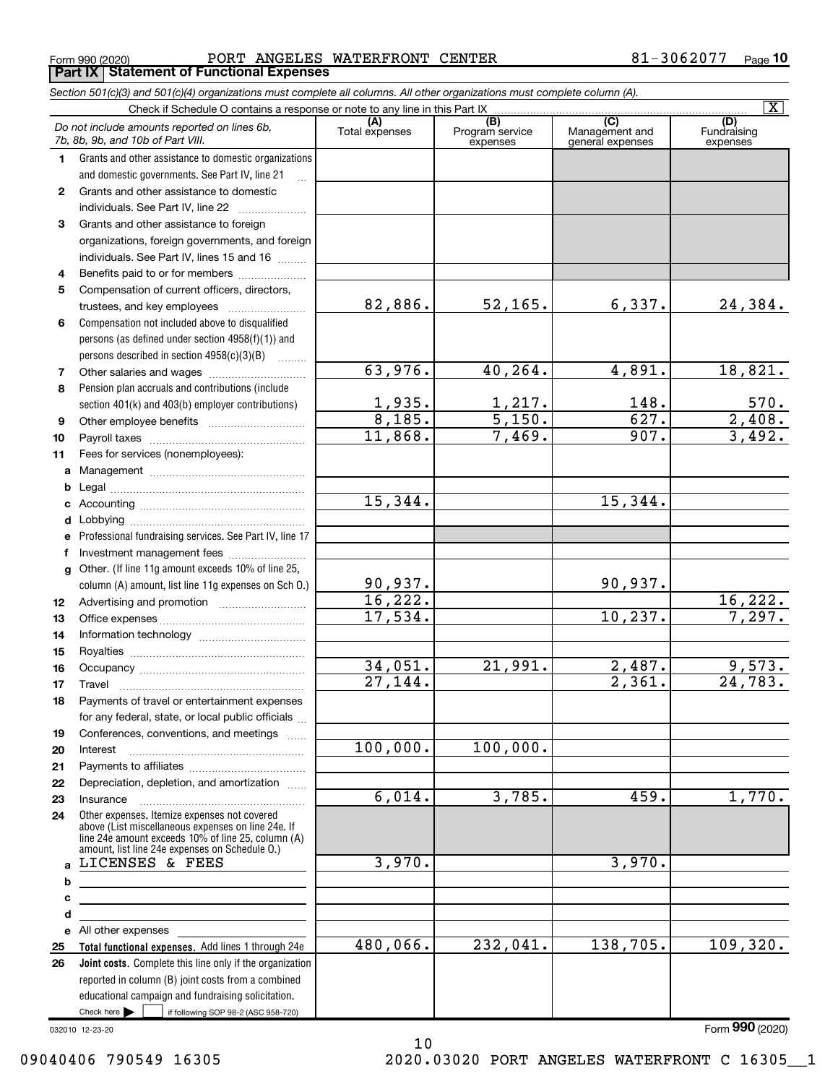$_{\rm Form}$   $_{990}$  (2020)  $_{\rm PQB}$  PORT ANGELES WATERFRONT CENTER  $_{\rm 81-3062077 \quad \rm Page}$ Form 990 (2020) PORT ANGELES<br>**Part IX | Statement of Functional Expenses** 

|              | Section 501(c)(3) and 501(c)(4) organizations must complete all columns. All other organizations must complete column (A).                                                                                 |                       |                                    |                                           |                                |
|--------------|------------------------------------------------------------------------------------------------------------------------------------------------------------------------------------------------------------|-----------------------|------------------------------------|-------------------------------------------|--------------------------------|
|              | Check if Schedule O contains a response or note to any line in this Part IX                                                                                                                                |                       |                                    |                                           | $\overline{\mathbf{X}}$        |
|              | Do not include amounts reported on lines 6b,<br>7b, 8b, 9b, and 10b of Part VIII.                                                                                                                          | (A)<br>Total expenses | (B)<br>Program service<br>expenses | (C)<br>Management and<br>general expenses | (D)<br>Fundraising<br>expenses |
| 1.           | Grants and other assistance to domestic organizations                                                                                                                                                      |                       |                                    |                                           |                                |
|              | and domestic governments. See Part IV, line 21                                                                                                                                                             |                       |                                    |                                           |                                |
| $\mathbf{2}$ | Grants and other assistance to domestic                                                                                                                                                                    |                       |                                    |                                           |                                |
|              | individuals. See Part IV, line 22                                                                                                                                                                          |                       |                                    |                                           |                                |
| 3            | Grants and other assistance to foreign                                                                                                                                                                     |                       |                                    |                                           |                                |
|              | organizations, foreign governments, and foreign                                                                                                                                                            |                       |                                    |                                           |                                |
|              | individuals. See Part IV, lines 15 and 16                                                                                                                                                                  |                       |                                    |                                           |                                |
| 4            | Benefits paid to or for members                                                                                                                                                                            |                       |                                    |                                           |                                |
| 5            | Compensation of current officers, directors,                                                                                                                                                               |                       |                                    |                                           |                                |
|              | trustees, and key employees                                                                                                                                                                                | 82,886.               | $52, 165$ .                        | 6,337.                                    | 24,384.                        |
| 6            | Compensation not included above to disqualified                                                                                                                                                            |                       |                                    |                                           |                                |
|              | persons (as defined under section 4958(f)(1)) and                                                                                                                                                          |                       |                                    |                                           |                                |
|              | persons described in section 4958(c)(3)(B)<br>.                                                                                                                                                            |                       |                                    |                                           |                                |
| 7            | Other salaries and wages                                                                                                                                                                                   | 63,976.               | 40, 264.                           | 4,891.                                    | 18,821.                        |
| 8            | Pension plan accruals and contributions (include                                                                                                                                                           |                       |                                    |                                           |                                |
|              | section 401(k) and 403(b) employer contributions)                                                                                                                                                          | $\frac{1,935}{8,185}$ | $\frac{1,217}{5,150}$ .            | 148.                                      | $\frac{570}{2,408}$<br>3,492.  |
| 9            |                                                                                                                                                                                                            |                       |                                    | 627.                                      |                                |
| 10           |                                                                                                                                                                                                            | 11,868.               | 7,469.                             | 907.                                      |                                |
| 11           | Fees for services (nonemployees):                                                                                                                                                                          |                       |                                    |                                           |                                |
| a            |                                                                                                                                                                                                            |                       |                                    |                                           |                                |
| b            |                                                                                                                                                                                                            |                       |                                    |                                           |                                |
| c            |                                                                                                                                                                                                            | 15,344.               |                                    | 15,344.                                   |                                |
| d            |                                                                                                                                                                                                            |                       |                                    |                                           |                                |
| е            | Professional fundraising services. See Part IV, line 17                                                                                                                                                    |                       |                                    |                                           |                                |
| f            | Investment management fees                                                                                                                                                                                 |                       |                                    |                                           |                                |
| $\mathbf{q}$ | Other. (If line 11g amount exceeds 10% of line 25,                                                                                                                                                         |                       |                                    |                                           |                                |
|              | column (A) amount, list line 11g expenses on Sch O.)                                                                                                                                                       | 90,937.               |                                    | 90,937.                                   |                                |
| 12           |                                                                                                                                                                                                            | 16,222.               |                                    |                                           | 16,222.                        |
| 13           |                                                                                                                                                                                                            | 17,534.               |                                    | 10, 237.                                  | 7,297.                         |
| 14           |                                                                                                                                                                                                            |                       |                                    |                                           |                                |
| 15           |                                                                                                                                                                                                            |                       |                                    |                                           |                                |
| 16           |                                                                                                                                                                                                            | 34,051.               | $\overline{21}$ , 991.             | 2,487.                                    | 9,573.                         |
| 17           |                                                                                                                                                                                                            | $\overline{27,144}$ . |                                    | 2,361.                                    | 24,783.                        |
| 18           | Payments of travel or entertainment expenses                                                                                                                                                               |                       |                                    |                                           |                                |
|              | for any federal, state, or local public officials                                                                                                                                                          |                       |                                    |                                           |                                |
| 19           | Conferences, conventions, and meetings                                                                                                                                                                     |                       |                                    |                                           |                                |
| 20           | Interest                                                                                                                                                                                                   | 100,000.              | 100,000.                           |                                           |                                |
| 21           |                                                                                                                                                                                                            |                       |                                    |                                           |                                |
| 22           | Depreciation, depletion, and amortization                                                                                                                                                                  |                       |                                    |                                           |                                |
| 23           | Insurance                                                                                                                                                                                                  | 6,014.                | 3,785.                             | 459.                                      | 1,770.                         |
| 24           | Other expenses. Itemize expenses not covered<br>above (List miscellaneous expenses on line 24e. If<br>line 24e amount exceeds 10% of line 25, column (A)<br>amount, list line 24e expenses on Schedule O.) |                       |                                    |                                           |                                |
| a            | LICENSES & FEES                                                                                                                                                                                            | 3,970.                |                                    | 3,970.                                    |                                |
| b            | <u> 1989 - Johann Stoff, deutscher Stoffen und der Stoffen und der Stoffen und der Stoffen und der Stoffen und der</u>                                                                                     |                       |                                    |                                           |                                |
| c            |                                                                                                                                                                                                            |                       |                                    |                                           |                                |
| d            |                                                                                                                                                                                                            |                       |                                    |                                           |                                |
|              | e All other expenses                                                                                                                                                                                       |                       |                                    |                                           |                                |
| 25           | Total functional expenses. Add lines 1 through 24e                                                                                                                                                         | 480,066.              | 232,041.                           | 138,705.                                  | 109,320.                       |
| 26           | Joint costs. Complete this line only if the organization                                                                                                                                                   |                       |                                    |                                           |                                |
|              | reported in column (B) joint costs from a combined                                                                                                                                                         |                       |                                    |                                           |                                |
|              | educational campaign and fundraising solicitation.                                                                                                                                                         |                       |                                    |                                           |                                |
|              | Check here $\blacktriangleright$<br>if following SOP 98-2 (ASC 958-720)                                                                                                                                    |                       |                                    |                                           |                                |

10

032010 12-23-20

Form 990 (2020)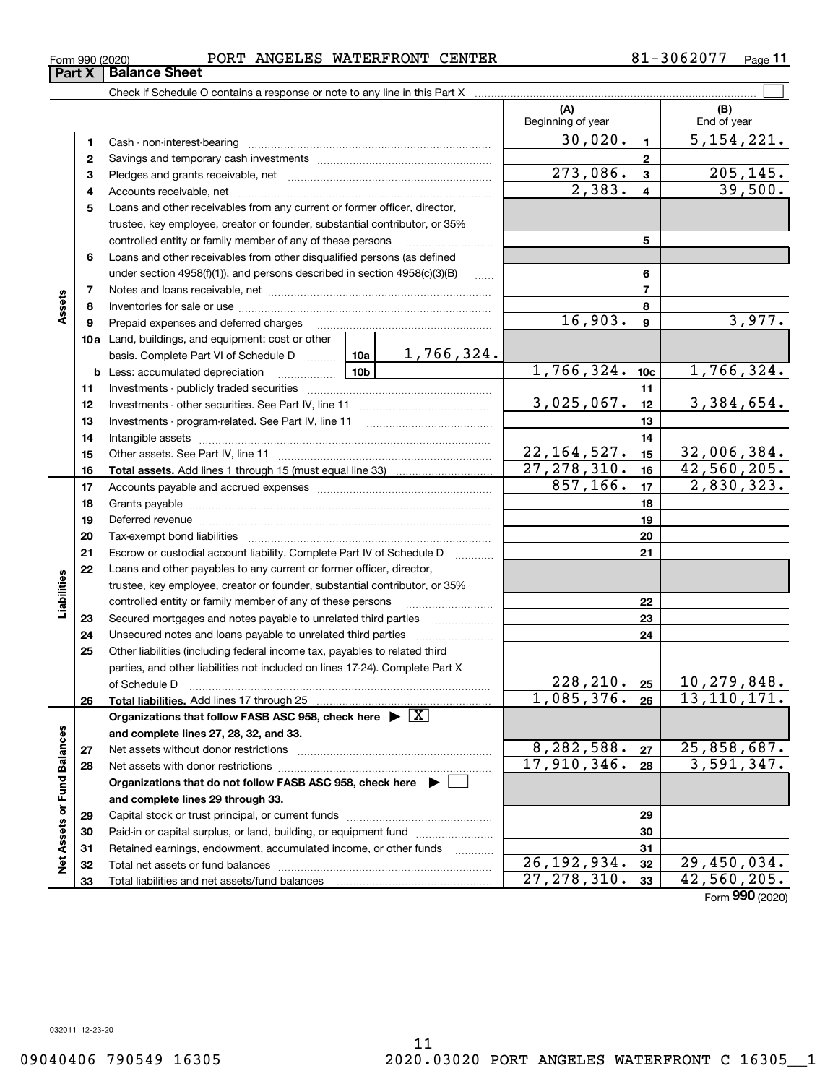# $_{\rm Form}$   $_{990}$  (2020)  $_{\rm PQB}$  PORT ANGELES WATERFRONT CENTER  $_{\rm 81-3062077 \quad \rm Page}$ Form 990 (2020)<br>**Part X | Balance Sheet**

|                             |    |                                                                                                                              |               |                     | (A)<br>Beginning of year |                | (B)<br>End of year |
|-----------------------------|----|------------------------------------------------------------------------------------------------------------------------------|---------------|---------------------|--------------------------|----------------|--------------------|
|                             | 1  |                                                                                                                              |               |                     | 30,020.                  | $\mathbf{1}$   | 5, 154, 221.       |
|                             | 2  |                                                                                                                              |               |                     |                          | $\overline{2}$ |                    |
|                             | з  |                                                                                                                              |               |                     | 273,086.                 | $\mathbf{3}$   | 205, 145.          |
|                             | 4  |                                                                                                                              |               | 2,383.              | $\overline{\mathbf{4}}$  | 39,500.        |                    |
|                             | 5  | Loans and other receivables from any current or former officer, director,                                                    |               |                     |                          |                |                    |
|                             |    | trustee, key employee, creator or founder, substantial contributor, or 35%                                                   |               |                     |                          |                |                    |
|                             |    | controlled entity or family member of any of these persons                                                                   |               | 5                   |                          |                |                    |
|                             | 6  | Loans and other receivables from other disqualified persons (as defined                                                      |               |                     |                          |                |                    |
|                             |    | under section $4958(f)(1)$ , and persons described in section $4958(c)(3)(B)$                                                |               | $\ldots$            |                          | 6              |                    |
|                             | 7  |                                                                                                                              |               | $\overline{7}$      |                          |                |                    |
| Assets                      | 8  |                                                                                                                              |               |                     |                          | 8              |                    |
|                             | 9  | Prepaid expenses and deferred charges                                                                                        |               |                     | 16,903.                  | $\mathbf{9}$   | 3,977.             |
|                             |    | 10a Land, buildings, and equipment: cost or other                                                                            |               |                     |                          |                |                    |
|                             |    | basis. Complete Part VI of Schedule D  10a                                                                                   |               | 1,766,324.          |                          |                |                    |
|                             |    | 10b<br><b>b</b> Less: accumulated depreciation                                                                               | 1,766,324.    | 10 <sub>c</sub>     | 1,766,324.               |                |                    |
|                             | 11 |                                                                                                                              |               | 11                  |                          |                |                    |
|                             | 12 |                                                                                                                              | 3,025,067.    | 12                  | 3,384,654.               |                |                    |
|                             | 13 |                                                                                                                              |               | 13                  |                          |                |                    |
|                             | 14 |                                                                                                                              |               | 14                  |                          |                |                    |
|                             | 15 |                                                                                                                              |               | 22, 164, 527.       | 15                       | 32,006,384.    |                    |
|                             | 16 |                                                                                                                              |               |                     | 27, 278, 310.            | 16             | 42,560,205.        |
|                             | 17 |                                                                                                                              | 857,166.      | 17                  | 2,830,323.               |                |                    |
|                             | 18 |                                                                                                                              |               | 18                  |                          |                |                    |
|                             | 19 |                                                                                                                              |               |                     | 19                       |                |                    |
|                             | 20 |                                                                                                                              |               |                     |                          | 20             |                    |
|                             | 21 | Escrow or custodial account liability. Complete Part IV of Schedule D                                                        |               | 1.1.1.1.1.1.1.1.1.1 |                          | 21             |                    |
|                             | 22 | Loans and other payables to any current or former officer, director,                                                         |               |                     |                          |                |                    |
| Liabilities                 |    | trustee, key employee, creator or founder, substantial contributor, or 35%                                                   |               |                     |                          | 22             |                    |
|                             | 23 | controlled entity or family member of any of these persons<br>Secured mortgages and notes payable to unrelated third parties |               |                     |                          | 23             |                    |
|                             | 24 |                                                                                                                              |               |                     |                          | 24             |                    |
|                             | 25 | Other liabilities (including federal income tax, payables to related third                                                   |               |                     |                          |                |                    |
|                             |    | parties, and other liabilities not included on lines 17-24). Complete Part X                                                 |               |                     |                          |                |                    |
|                             |    |                                                                                                                              |               |                     | 228, 210.  25            |                | 10,279,848.        |
|                             | 26 | Total liabilities. Add lines 17 through 25                                                                                   |               |                     | 1,085,376.               | 26             | 13, 110, 171.      |
|                             |    | Organizations that follow FASB ASC 958, check here $\blacktriangleright \boxed{X}$                                           |               |                     |                          |                |                    |
|                             |    | and complete lines 27, 28, 32, and 33.                                                                                       |               |                     |                          |                |                    |
|                             | 27 | Net assets without donor restrictions                                                                                        |               |                     | 8,282,588.               | 27             | 25,858,687.        |
|                             | 28 | Net assets with donor restrictions                                                                                           |               |                     | 17,910,346.              | 28             | 3,591,347.         |
|                             |    | Organizations that do not follow FASB ASC 958, check here $\blacktriangleright$                                              |               |                     |                          |                |                    |
| Net Assets or Fund Balances |    | and complete lines 29 through 33.                                                                                            |               |                     |                          |                |                    |
|                             | 29 |                                                                                                                              |               |                     |                          | 29             |                    |
|                             | 30 | Paid-in or capital surplus, or land, building, or equipment fund                                                             |               |                     |                          | 30             |                    |
|                             | 31 | Retained earnings, endowment, accumulated income, or other funds                                                             |               | .                   |                          | 31             |                    |
|                             | 32 | Total net assets or fund balances                                                                                            |               |                     | 26, 192, 934.            | 32             | 29,450,034.        |
|                             | 33 | Total liabilities and net assets/fund balances                                                                               | 27, 278, 310. | 33                  | 42,560,205.              |                |                    |

Page 11

Form 990 (2020)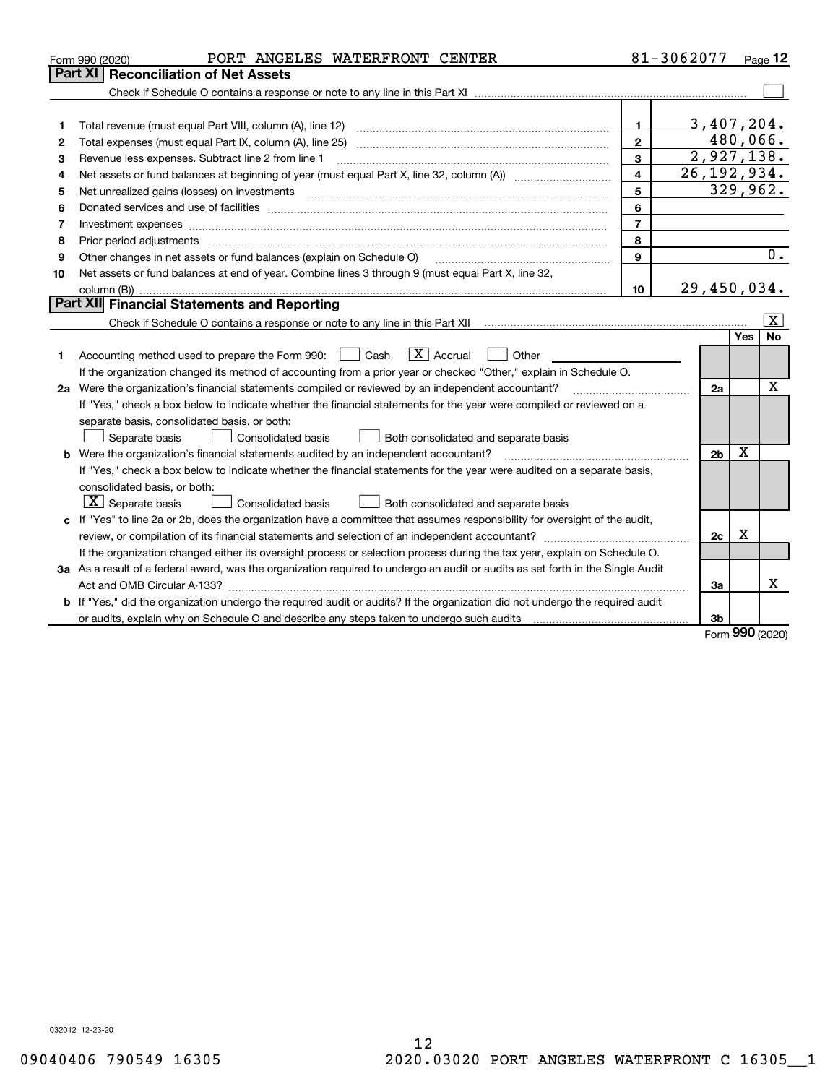|    | PORT ANGELES WATERFRONT CENTER<br>Form 990 (2020)                                                                               |                | 81-3062077 |                           |          | Page 12          |
|----|---------------------------------------------------------------------------------------------------------------------------------|----------------|------------|---------------------------|----------|------------------|
|    | Part XI   Reconciliation of Net Assets                                                                                          |                |            |                           |          |                  |
|    |                                                                                                                                 |                |            |                           |          |                  |
|    |                                                                                                                                 |                |            |                           |          |                  |
| 1  |                                                                                                                                 | $\mathbf{1}$   |            | 3,407,204.                |          |                  |
| 2  | Total expenses (must equal Part IX, column (A), line 25) [11] [20] [12] [20] [20] [20] [20] [30] [20] [20] [20                  | $\mathbf{2}$   |            |                           | 480,066. |                  |
| 3  | Revenue less expenses. Subtract line 2 from line 1                                                                              | 3              |            | 2,927,138.                |          |                  |
| 4  |                                                                                                                                 | 4              |            | $\overline{26,192,934}$ . |          |                  |
| 5  |                                                                                                                                 | 5              |            |                           | 329,962. |                  |
| 6  |                                                                                                                                 | 6              |            |                           |          |                  |
| 7  | Investment expenses                                                                                                             | $\overline{7}$ |            |                           |          |                  |
| 8  |                                                                                                                                 | 8              |            |                           |          |                  |
| 9  | Other changes in net assets or fund balances (explain on Schedule O)                                                            | 9              |            |                           |          | $\overline{0}$ . |
| 10 | Net assets or fund balances at end of year. Combine lines 3 through 9 (must equal Part X, line 32,                              |                |            |                           |          |                  |
|    | column (B))                                                                                                                     | 10             |            | 29,450,034.               |          |                  |
|    | <b>Part XII</b> Financial Statements and Reporting                                                                              |                |            |                           |          |                  |
|    |                                                                                                                                 |                |            |                           |          | $ \mathbf{X} $   |
|    |                                                                                                                                 |                |            |                           | Yes      | No               |
| 1  | $\boxed{\mathbf{X}}$ Accrual<br>Accounting method used to prepare the Form 990: <u>I</u> Cash<br>Other                          |                |            |                           |          |                  |
|    | If the organization changed its method of accounting from a prior year or checked "Other," explain in Schedule O.               |                |            |                           |          |                  |
|    | 2a Were the organization's financial statements compiled or reviewed by an independent accountant?                              |                |            | 2a                        |          | X                |
|    | If "Yes," check a box below to indicate whether the financial statements for the year were compiled or reviewed on a            |                |            |                           |          |                  |
|    | separate basis, consolidated basis, or both:                                                                                    |                |            |                           |          |                  |
|    | Both consolidated and separate basis<br>Separate basis<br><b>Consolidated basis</b>                                             |                |            |                           |          |                  |
|    | <b>b</b> Were the organization's financial statements audited by an independent accountant?                                     |                |            | 2 <sub>b</sub>            | X        |                  |
|    | If "Yes," check a box below to indicate whether the financial statements for the year were audited on a separate basis,         |                |            |                           |          |                  |
|    | consolidated basis, or both:                                                                                                    |                |            |                           |          |                  |
|    | $X$ Separate basis<br>Consolidated basis<br>Both consolidated and separate basis                                                |                |            |                           |          |                  |
|    | c If "Yes" to line 2a or 2b, does the organization have a committee that assumes responsibility for oversight of the audit,     |                |            |                           |          |                  |
|    |                                                                                                                                 |                |            | 2c                        | X        |                  |
|    | If the organization changed either its oversight process or selection process during the tax year, explain on Schedule O.       |                |            |                           |          |                  |
|    | 3a As a result of a federal award, was the organization required to undergo an audit or audits as set forth in the Single Audit |                |            |                           |          |                  |
|    |                                                                                                                                 |                |            | За                        |          | x                |
|    | b If "Yes," did the organization undergo the required audit or audits? If the organization did not undergo the required audit   |                |            |                           |          |                  |
|    | or audits, explain why on Schedule O and describe any steps taken to undergo such audits manufactured university                |                |            | 3b                        | $\Omega$ |                  |
|    |                                                                                                                                 |                |            |                           |          |                  |

Form 990 (2020)

032012 12-23-20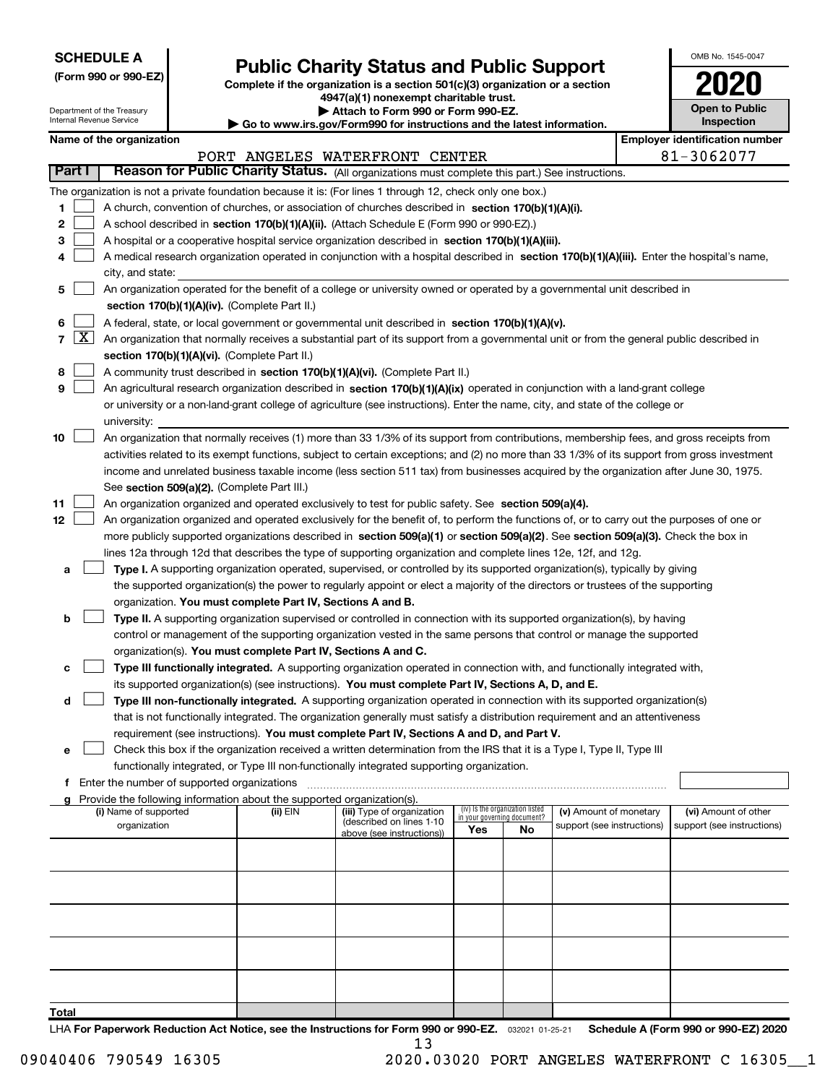| <b>SCHEDULE A</b> |
|-------------------|
|-------------------|

| (Form 990 or 990-EZ) |  |  |  |  |
|----------------------|--|--|--|--|
|----------------------|--|--|--|--|

# Public Charity Status and Public Support<br>
omplete if the organization is a section 501(c)(3) organization or a section<br>  $4947(3)$  (1) nonexempt charitable trust

(Form 990 or 990-EZ) Complete if the organization is a section 501(c)(3) organization or a section 4947(a)(1) nonexempt charitable trust.

| OMB No. 1545-0047                   |  |
|-------------------------------------|--|
| <b>U2</b>                           |  |
| <b>Open to Public</b><br>Inspection |  |

| Department of the Treasury<br>Internal Revenue Service |                                                      |  | Attach to Form 990 or Form 990-EZ.                                     |                                                                                                                                                                                                                                                           |     |                                                                | <b>Open to Public</b><br><b>Inspection</b> |                                       |
|--------------------------------------------------------|------------------------------------------------------|--|------------------------------------------------------------------------|-----------------------------------------------------------------------------------------------------------------------------------------------------------------------------------------------------------------------------------------------------------|-----|----------------------------------------------------------------|--------------------------------------------|---------------------------------------|
|                                                        | Name of the organization                             |  |                                                                        | $\blacktriangleright$ Go to www.irs.gov/Form990 for instructions and the latest information.                                                                                                                                                              |     |                                                                |                                            | <b>Employer identification number</b> |
|                                                        |                                                      |  |                                                                        | PORT ANGELES WATERFRONT CENTER                                                                                                                                                                                                                            |     |                                                                |                                            | 81-3062077                            |
| Part I                                                 |                                                      |  |                                                                        | Reason for Public Charity Status. (All organizations must complete this part.) See instructions.                                                                                                                                                          |     |                                                                |                                            |                                       |
|                                                        |                                                      |  |                                                                        | The organization is not a private foundation because it is: (For lines 1 through 12, check only one box.)                                                                                                                                                 |     |                                                                |                                            |                                       |
| 1                                                      |                                                      |  |                                                                        | A church, convention of churches, or association of churches described in section 170(b)(1)(A)(i).                                                                                                                                                        |     |                                                                |                                            |                                       |
| 2                                                      |                                                      |  |                                                                        | A school described in section 170(b)(1)(A)(ii). (Attach Schedule E (Form 990 or 990-EZ).)                                                                                                                                                                 |     |                                                                |                                            |                                       |
| 3                                                      |                                                      |  |                                                                        | A hospital or a cooperative hospital service organization described in section 170(b)(1)(A)(iii).                                                                                                                                                         |     |                                                                |                                            |                                       |
| 4                                                      |                                                      |  |                                                                        | A medical research organization operated in conjunction with a hospital described in section 170(b)(1)(A)(iii). Enter the hospital's name,                                                                                                                |     |                                                                |                                            |                                       |
|                                                        | city, and state:                                     |  |                                                                        |                                                                                                                                                                                                                                                           |     |                                                                |                                            |                                       |
| 5                                                      |                                                      |  |                                                                        | An organization operated for the benefit of a college or university owned or operated by a governmental unit described in                                                                                                                                 |     |                                                                |                                            |                                       |
|                                                        |                                                      |  | section 170(b)(1)(A)(iv). (Complete Part II.)                          |                                                                                                                                                                                                                                                           |     |                                                                |                                            |                                       |
| 6                                                      |                                                      |  |                                                                        | A federal, state, or local government or governmental unit described in section 170(b)(1)(A)(v).                                                                                                                                                          |     |                                                                |                                            |                                       |
| $7 \vert X \vert$                                      |                                                      |  |                                                                        | An organization that normally receives a substantial part of its support from a governmental unit or from the general public described in                                                                                                                 |     |                                                                |                                            |                                       |
|                                                        |                                                      |  | section 170(b)(1)(A)(vi). (Complete Part II.)                          |                                                                                                                                                                                                                                                           |     |                                                                |                                            |                                       |
| 8                                                      |                                                      |  |                                                                        | A community trust described in section 170(b)(1)(A)(vi). (Complete Part II.)                                                                                                                                                                              |     |                                                                |                                            |                                       |
| 9                                                      |                                                      |  |                                                                        | An agricultural research organization described in section 170(b)(1)(A)(ix) operated in conjunction with a land-grant college                                                                                                                             |     |                                                                |                                            |                                       |
|                                                        |                                                      |  |                                                                        | or university or a non-land-grant college of agriculture (see instructions). Enter the name, city, and state of the college or                                                                                                                            |     |                                                                |                                            |                                       |
|                                                        | university:                                          |  |                                                                        |                                                                                                                                                                                                                                                           |     |                                                                |                                            |                                       |
| 10                                                     |                                                      |  |                                                                        | An organization that normally receives (1) more than 33 1/3% of its support from contributions, membership fees, and gross receipts from                                                                                                                  |     |                                                                |                                            |                                       |
|                                                        |                                                      |  |                                                                        | activities related to its exempt functions, subject to certain exceptions; and (2) no more than 33 1/3% of its support from gross investment                                                                                                              |     |                                                                |                                            |                                       |
|                                                        |                                                      |  |                                                                        | income and unrelated business taxable income (less section 511 tax) from businesses acquired by the organization after June 30, 1975.                                                                                                                     |     |                                                                |                                            |                                       |
|                                                        |                                                      |  | See section 509(a)(2). (Complete Part III.)                            |                                                                                                                                                                                                                                                           |     |                                                                |                                            |                                       |
| 11                                                     |                                                      |  |                                                                        | An organization organized and operated exclusively to test for public safety. See section 509(a)(4).                                                                                                                                                      |     |                                                                |                                            |                                       |
| 12                                                     |                                                      |  |                                                                        | An organization organized and operated exclusively for the benefit of, to perform the functions of, or to carry out the purposes of one or                                                                                                                |     |                                                                |                                            |                                       |
|                                                        |                                                      |  |                                                                        | more publicly supported organizations described in section 509(a)(1) or section 509(a)(2). See section 509(a)(3). Check the box in                                                                                                                        |     |                                                                |                                            |                                       |
|                                                        |                                                      |  |                                                                        | lines 12a through 12d that describes the type of supporting organization and complete lines 12e, 12f, and 12g.                                                                                                                                            |     |                                                                |                                            |                                       |
| a                                                      |                                                      |  |                                                                        | Type I. A supporting organization operated, supervised, or controlled by its supported organization(s), typically by giving                                                                                                                               |     |                                                                |                                            |                                       |
|                                                        |                                                      |  |                                                                        | the supported organization(s) the power to regularly appoint or elect a majority of the directors or trustees of the supporting                                                                                                                           |     |                                                                |                                            |                                       |
|                                                        |                                                      |  | organization. You must complete Part IV, Sections A and B.             |                                                                                                                                                                                                                                                           |     |                                                                |                                            |                                       |
| b                                                      |                                                      |  |                                                                        | Type II. A supporting organization supervised or controlled in connection with its supported organization(s), by having                                                                                                                                   |     |                                                                |                                            |                                       |
|                                                        |                                                      |  |                                                                        | control or management of the supporting organization vested in the same persons that control or manage the supported                                                                                                                                      |     |                                                                |                                            |                                       |
|                                                        |                                                      |  | organization(s). You must complete Part IV, Sections A and C.          |                                                                                                                                                                                                                                                           |     |                                                                |                                            |                                       |
| с                                                      |                                                      |  |                                                                        | Type III functionally integrated. A supporting organization operated in connection with, and functionally integrated with,                                                                                                                                |     |                                                                |                                            |                                       |
|                                                        |                                                      |  |                                                                        | its supported organization(s) (see instructions). You must complete Part IV, Sections A, D, and E.                                                                                                                                                        |     |                                                                |                                            |                                       |
| d                                                      |                                                      |  |                                                                        | Type III non-functionally integrated. A supporting organization operated in connection with its supported organization(s)<br>that is not functionally integrated. The organization generally must satisfy a distribution requirement and an attentiveness |     |                                                                |                                            |                                       |
|                                                        |                                                      |  |                                                                        | requirement (see instructions). You must complete Part IV, Sections A and D, and Part V.                                                                                                                                                                  |     |                                                                |                                            |                                       |
| е                                                      |                                                      |  |                                                                        | Check this box if the organization received a written determination from the IRS that it is a Type I, Type II, Type III                                                                                                                                   |     |                                                                |                                            |                                       |
|                                                        |                                                      |  |                                                                        | functionally integrated, or Type III non-functionally integrated supporting organization.                                                                                                                                                                 |     |                                                                |                                            |                                       |
|                                                        | <b>f</b> Enter the number of supported organizations |  |                                                                        |                                                                                                                                                                                                                                                           |     |                                                                |                                            |                                       |
|                                                        |                                                      |  | Provide the following information about the supported organization(s). |                                                                                                                                                                                                                                                           |     |                                                                |                                            |                                       |
|                                                        | (i) Name of supported                                |  | (ii) EIN                                                               | (iii) Type of organization                                                                                                                                                                                                                                |     | (iv) Is the organization listed<br>in vour aovernina document? | (v) Amount of monetary                     | (vi) Amount of other                  |
|                                                        | organization                                         |  |                                                                        | (described on lines 1-10<br>above (see instructions))                                                                                                                                                                                                     | Yes | No                                                             | support (see instructions)                 | support (see instructions)            |
|                                                        |                                                      |  |                                                                        |                                                                                                                                                                                                                                                           |     |                                                                |                                            |                                       |
|                                                        |                                                      |  |                                                                        |                                                                                                                                                                                                                                                           |     |                                                                |                                            |                                       |
|                                                        |                                                      |  |                                                                        |                                                                                                                                                                                                                                                           |     |                                                                |                                            |                                       |
|                                                        |                                                      |  |                                                                        |                                                                                                                                                                                                                                                           |     |                                                                |                                            |                                       |
|                                                        |                                                      |  |                                                                        |                                                                                                                                                                                                                                                           |     |                                                                |                                            |                                       |
|                                                        |                                                      |  |                                                                        |                                                                                                                                                                                                                                                           |     |                                                                |                                            |                                       |
|                                                        |                                                      |  |                                                                        |                                                                                                                                                                                                                                                           |     |                                                                |                                            |                                       |
|                                                        |                                                      |  |                                                                        |                                                                                                                                                                                                                                                           |     |                                                                |                                            |                                       |
|                                                        |                                                      |  |                                                                        |                                                                                                                                                                                                                                                           |     |                                                                |                                            |                                       |

**Total** 

LHA For Paperwork Reduction Act Notice, see the Instructions for Form 990 or 990-EZ. 032021 01-25-21 Schedule A (Form 990 or 990-EZ) 2020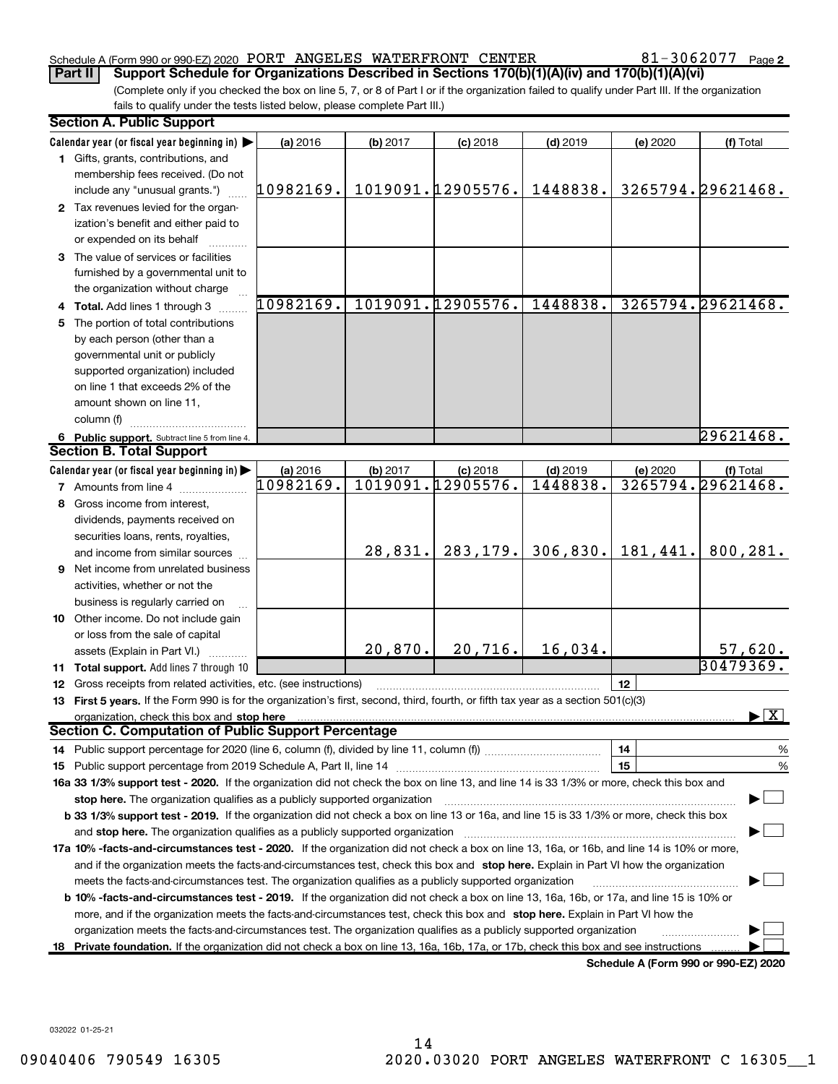# Schedule A (Form 990 or 990-EZ) 2020 PORT ANGELES WATERFRONT CENTER  $\,$  81-3062077  $\,$  Page

 $81 - 3062077$  Page 2

(Complete only if you checked the box on line 5, 7, or 8 of Part I or if the organization failed to qualify under Part III. If the organization fails to qualify under the tests listed below, please complete Part III.) Part II | Support Schedule for Organizations Described in Sections 170(b)(1)(A)(iv) and 170(b)(1)(A)(vi)

| <b>Section A. Public Support</b>                                                                                                           |           |          |                   |            |                                      |                    |
|--------------------------------------------------------------------------------------------------------------------------------------------|-----------|----------|-------------------|------------|--------------------------------------|--------------------|
| Calendar year (or fiscal year beginning in)                                                                                                | (a) 2016  | (b) 2017 | $(c)$ 2018        | $(d)$ 2019 | (e) 2020                             | (f) Total          |
| 1 Gifts, grants, contributions, and                                                                                                        |           |          |                   |            |                                      |                    |
| membership fees received. (Do not                                                                                                          |           |          |                   |            |                                      |                    |
| include any "unusual grants.")                                                                                                             | 10982169. |          | 1019091.12905576. | 1448838.   |                                      | 3265794.29621468.  |
| 2 Tax revenues levied for the organ-                                                                                                       |           |          |                   |            |                                      |                    |
| ization's benefit and either paid to                                                                                                       |           |          |                   |            |                                      |                    |
| or expended on its behalf                                                                                                                  |           |          |                   |            |                                      |                    |
| 3 The value of services or facilities                                                                                                      |           |          |                   |            |                                      |                    |
| furnished by a governmental unit to                                                                                                        |           |          |                   |            |                                      |                    |
| the organization without charge                                                                                                            |           |          |                   |            |                                      |                    |
| 4 Total. Add lines 1 through 3                                                                                                             | 10982169. |          | 1019091.12905576. | 1448838.   |                                      | 3265794.29621468.  |
| The portion of total contributions                                                                                                         |           |          |                   |            |                                      |                    |
| by each person (other than a                                                                                                               |           |          |                   |            |                                      |                    |
| governmental unit or publicly                                                                                                              |           |          |                   |            |                                      |                    |
| supported organization) included                                                                                                           |           |          |                   |            |                                      |                    |
| on line 1 that exceeds 2% of the                                                                                                           |           |          |                   |            |                                      |                    |
| amount shown on line 11,                                                                                                                   |           |          |                   |            |                                      |                    |
| column (f)                                                                                                                                 |           |          |                   |            |                                      |                    |
| 6 Public support. Subtract line 5 from line 4.                                                                                             |           |          |                   |            |                                      | 29621468.          |
| <b>Section B. Total Support</b>                                                                                                            |           |          |                   |            |                                      |                    |
| Calendar year (or fiscal year beginning in)                                                                                                | (a) 2016  | (b) 2017 | $(c)$ 2018        | $(d)$ 2019 | (e) 2020                             | (f) Total          |
| <b>7</b> Amounts from line 4                                                                                                               | 10982169. |          | 1019091.12905576. | 1448838.   |                                      | 3265794.29621468.  |
| 8 Gross income from interest,                                                                                                              |           |          |                   |            |                                      |                    |
| dividends, payments received on                                                                                                            |           |          |                   |            |                                      |                    |
| securities loans, rents, royalties,                                                                                                        |           |          |                   |            |                                      |                    |
| and income from similar sources                                                                                                            |           | 28,831.  | 283, 179.         | 306,830.   | 181,441.                             | 800, 281.          |
| <b>9</b> Net income from unrelated business                                                                                                |           |          |                   |            |                                      |                    |
| activities, whether or not the                                                                                                             |           |          |                   |            |                                      |                    |
| business is regularly carried on                                                                                                           |           |          |                   |            |                                      |                    |
| 10 Other income. Do not include gain                                                                                                       |           |          |                   |            |                                      |                    |
| or loss from the sale of capital                                                                                                           |           |          |                   |            |                                      |                    |
| assets (Explain in Part VI.)                                                                                                               |           | 20,870.  | 20,716.           | 16,034.    |                                      | <u>57,620.</u>     |
| 11 Total support. Add lines 7 through 10                                                                                                   |           |          |                   |            |                                      | 30479369.          |
| 12 Gross receipts from related activities, etc. (see instructions)                                                                         |           |          |                   |            | 12                                   |                    |
| 13 First 5 years. If the Form 990 is for the organization's first, second, third, fourth, or fifth tax year as a section 501(c)(3)         |           |          |                   |            |                                      |                    |
| organization, check this box and stop here                                                                                                 |           |          |                   |            |                                      | $\boxed{\text{X}}$ |
| <b>Section C. Computation of Public Support Percentage</b>                                                                                 |           |          |                   |            |                                      |                    |
|                                                                                                                                            |           |          |                   |            | 14                                   | %                  |
| 15 Public support percentage from 2019 Schedule A, Part II, line 14                                                                        |           |          |                   |            | 15                                   | %                  |
| 16a 33 1/3% support test - 2020. If the organization did not check the box on line 13, and line 14 is 33 1/3% or more, check this box and  |           |          |                   |            |                                      |                    |
| stop here. The organization qualifies as a publicly supported organization                                                                 |           |          |                   |            |                                      |                    |
| b 33 1/3% support test - 2019. If the organization did not check a box on line 13 or 16a, and line 15 is 33 1/3% or more, check this box   |           |          |                   |            |                                      |                    |
| and stop here. The organization qualifies as a publicly supported organization                                                             |           |          |                   |            |                                      |                    |
| 17a 10% -facts-and-circumstances test - 2020. If the organization did not check a box on line 13, 16a, or 16b, and line 14 is 10% or more, |           |          |                   |            |                                      |                    |
| and if the organization meets the facts-and-circumstances test, check this box and stop here. Explain in Part VI how the organization      |           |          |                   |            |                                      |                    |
| meets the facts-and-circumstances test. The organization qualifies as a publicly supported organization                                    |           |          |                   |            |                                      |                    |
| b 10% -facts-and-circumstances test - 2019. If the organization did not check a box on line 13, 16a, 16b, or 17a, and line 15 is 10% or    |           |          |                   |            |                                      |                    |
| more, and if the organization meets the facts-and-circumstances test, check this box and stop here. Explain in Part VI how the             |           |          |                   |            |                                      |                    |
| organization meets the facts-and-circumstances test. The organization qualifies as a publicly supported organization                       |           |          |                   |            |                                      |                    |
| 18 Private foundation. If the organization did not check a box on line 13, 16a, 16b, 17a, or 17b, check this box and see instructions      |           |          |                   |            |                                      |                    |
|                                                                                                                                            |           |          |                   |            | Schedule A (Form 990 or 990-EZ) 2020 |                    |

032022 01-25-21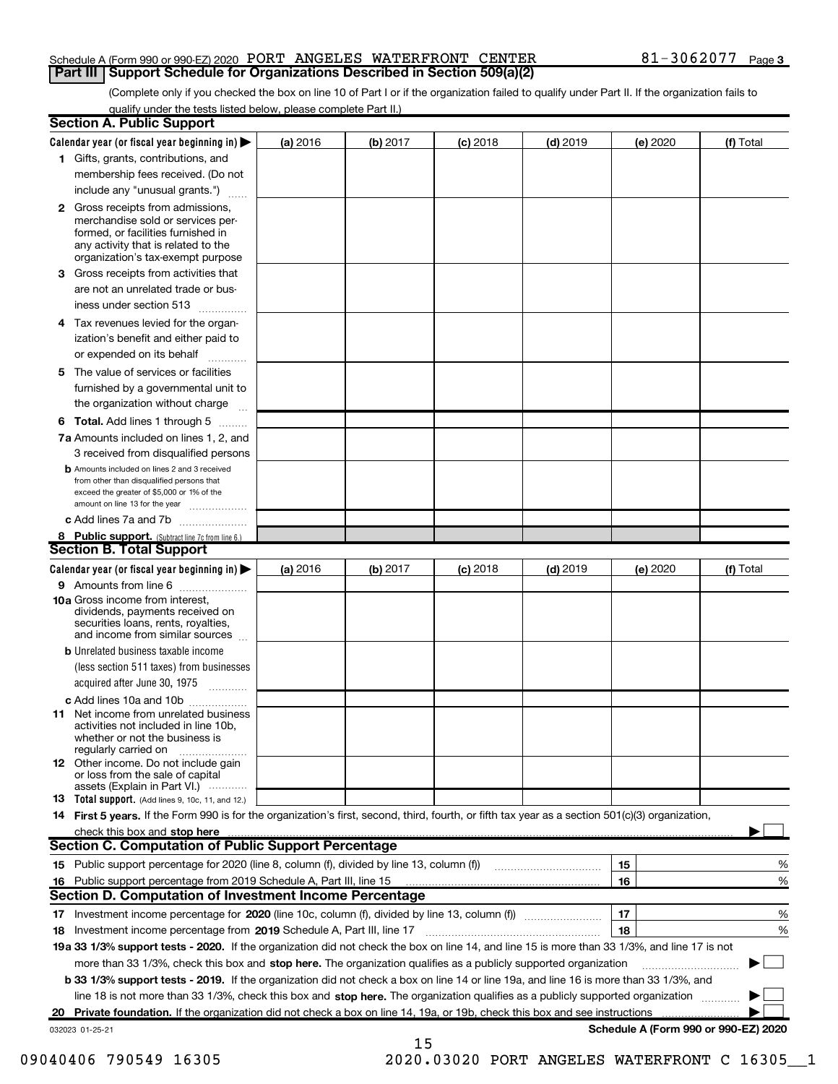# Schedule A (Form 990 or 990-EZ) 2020 PORT ANGELES WATERFRONT CENTER  $\,$  81-3062077  $\,$  Page **Part III | Support Schedule for Organizations Described in Section 509(a)(2)**

(Complete only if you checked the box on line 10 of Part I or if the organization failed to qualify under Part II. If the organization fails to qualify under the tests listed below, please complete Part II.)

|    | <b>Section A. Public Support</b>                                                                                                                                                         |          |          |                 |            |                                      |           |
|----|------------------------------------------------------------------------------------------------------------------------------------------------------------------------------------------|----------|----------|-----------------|------------|--------------------------------------|-----------|
|    | Calendar year (or fiscal year beginning in) $\blacktriangleright$                                                                                                                        | (a) 2016 | (b) 2017 | <b>(c)</b> 2018 | $(d)$ 2019 | (e) 2020                             | (f) Total |
|    | 1 Gifts, grants, contributions, and                                                                                                                                                      |          |          |                 |            |                                      |           |
|    | membership fees received. (Do not                                                                                                                                                        |          |          |                 |            |                                      |           |
|    | include any "unusual grants.")                                                                                                                                                           |          |          |                 |            |                                      |           |
|    | 2 Gross receipts from admissions,<br>merchandise sold or services per-<br>formed, or facilities furnished in<br>any activity that is related to the<br>organization's tax-exempt purpose |          |          |                 |            |                                      |           |
| З  | Gross receipts from activities that                                                                                                                                                      |          |          |                 |            |                                      |           |
|    | are not an unrelated trade or bus-                                                                                                                                                       |          |          |                 |            |                                      |           |
|    | iness under section 513                                                                                                                                                                  |          |          |                 |            |                                      |           |
|    | 4 Tax revenues levied for the organ-<br>ization's benefit and either paid to                                                                                                             |          |          |                 |            |                                      |           |
|    | or expended on its behalf                                                                                                                                                                |          |          |                 |            |                                      |           |
| 5. | The value of services or facilities                                                                                                                                                      |          |          |                 |            |                                      |           |
|    | furnished by a governmental unit to                                                                                                                                                      |          |          |                 |            |                                      |           |
|    | the organization without charge                                                                                                                                                          |          |          |                 |            |                                      |           |
|    | <b>6 Total.</b> Add lines 1 through 5                                                                                                                                                    |          |          |                 |            |                                      |           |
|    | 7a Amounts included on lines 1, 2, and<br>3 received from disqualified persons                                                                                                           |          |          |                 |            |                                      |           |
|    | <b>b</b> Amounts included on lines 2 and 3 received<br>from other than disqualified persons that<br>exceed the greater of \$5,000 or 1% of the<br>amount on line 13 for the year         |          |          |                 |            |                                      |           |
|    | c Add lines 7a and 7b                                                                                                                                                                    |          |          |                 |            |                                      |           |
|    | 8 Public support. (Subtract line 7c from line 6.)<br><b>Section B. Total Support</b>                                                                                                     |          |          |                 |            |                                      |           |
|    |                                                                                                                                                                                          |          |          |                 |            |                                      |           |
|    | Calendar year (or fiscal year beginning in) $\blacktriangleright$<br>9 Amounts from line 6                                                                                               | (a) 2016 | (b) 2017 | $(c)$ 2018      | $(d)$ 2019 | (e) 2020                             | (f) Total |
|    | 10a Gross income from interest,<br>dividends, payments received on<br>securities loans, rents, royalties,<br>and income from similar sources                                             |          |          |                 |            |                                      |           |
|    | <b>b</b> Unrelated business taxable income<br>(less section 511 taxes) from businesses                                                                                                   |          |          |                 |            |                                      |           |
|    | acquired after June 30, 1975<br>$\overline{\phantom{a}}$                                                                                                                                 |          |          |                 |            |                                      |           |
|    | c Add lines 10a and 10b                                                                                                                                                                  |          |          |                 |            |                                      |           |
|    | <b>11</b> Net income from unrelated business<br>activities not included in line 10b,<br>whether or not the business is<br>regularly carried on                                           |          |          |                 |            |                                      |           |
|    | 12 Other income. Do not include gain<br>or loss from the sale of capital<br>assets (Explain in Part VI.)                                                                                 |          |          |                 |            |                                      |           |
|    | 13 Total support. (Add lines 9, 10c, 11, and 12.)                                                                                                                                        |          |          |                 |            |                                      |           |
|    | 14 First 5 years. If the Form 990 is for the organization's first, second, third, fourth, or fifth tax year as a section 501(c)(3) organization,                                         |          |          |                 |            |                                      |           |
|    | check this box and stop here                                                                                                                                                             |          |          |                 |            |                                      |           |
|    | <b>Section C. Computation of Public Support Percentage</b>                                                                                                                               |          |          |                 |            |                                      |           |
|    | 15 Public support percentage for 2020 (line 8, column (f), divided by line 13, column (f))                                                                                               |          |          |                 |            | 15                                   | %         |
|    | 16 Public support percentage from 2019 Schedule A, Part III, line 15                                                                                                                     |          |          |                 |            | 16                                   | %         |
|    | Section D. Computation of Investment Income Percentage                                                                                                                                   |          |          |                 |            |                                      |           |
|    |                                                                                                                                                                                          |          |          |                 |            | 17                                   | %         |
|    | 18 Investment income percentage from 2019 Schedule A, Part III, line 17                                                                                                                  |          |          |                 |            | 18                                   | %         |
|    | 19a 33 1/3% support tests - 2020. If the organization did not check the box on line 14, and line 15 is more than 33 1/3%, and line 17 is not                                             |          |          |                 |            |                                      |           |
|    | more than 33 1/3%, check this box and stop here. The organization qualifies as a publicly supported organization                                                                         |          |          |                 |            |                                      |           |
|    | <b>b 33 1/3% support tests - 2019.</b> If the organization did not check a box on line 14 or line 19a, and line 16 is more than 33 1/3%, and                                             |          |          |                 |            |                                      |           |
|    | line 18 is not more than 33 1/3%, check this box and stop here. The organization qualifies as a publicly supported organization                                                          |          |          |                 |            |                                      |           |
|    | 20 Private foundation. If the organization did not check a box on line 14, 19a, or 19b, check this box and see instructions                                                              |          |          |                 |            |                                      |           |
|    | 032023 01-25-21                                                                                                                                                                          |          | 15       |                 |            | Schedule A (Form 990 or 990-EZ) 2020 |           |

09040406 790549 16305 2020.03020 PORT ANGELES WATERFRONT C 16305 1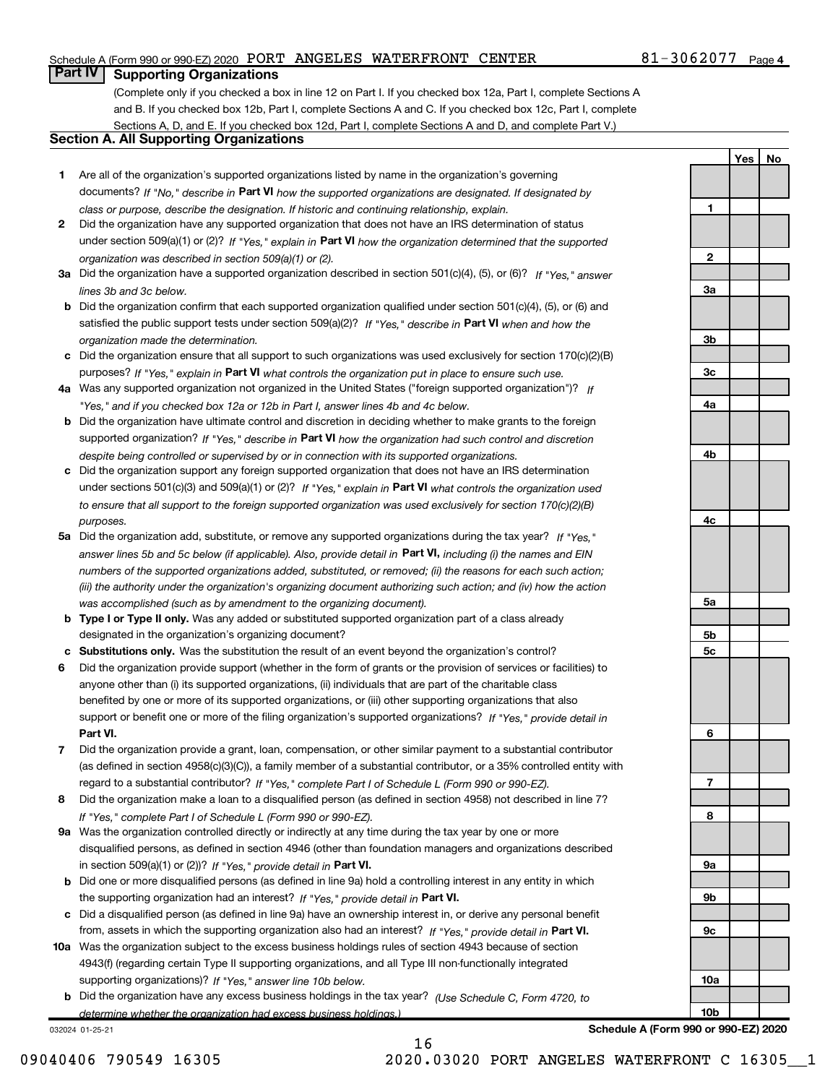# Schedule A (Form 990 or 990-EZ) 2020 PORT ANGELES WATERFRONT CENTER  $\,$  81-3062077  $\,$  Page

# **Part IV | Supporting Organizations**

(Complete only if you checked a box in line 12 on Part I. If you checked box 12a, Part I, complete Sections A and B. If you checked box 12b, Part I, complete Sections A and C. If you checked box 12c, Part I, complete Sections A, D, and E. If you checked box 12d, Part I, complete Sections A and D, and complete Part V.)

# Section A. All Supporting Organizations

- 1 Are all of the organization's supported organizations listed by name in the organization's governing documents? If "No," describe in Part VI how the supported organizations are designated. If designated by class or purpose, describe the designation. If historic and continuing relationship, explain.
- 2 Did the organization have any supported organization that does not have an IRS determination of status under section 509(a)(1) or (2)? If "Yes," explain in Part VI how the organization determined that the supported organization was described in section 509(a)(1) or (2).
- 3a Did the organization have a supported organization described in section 501(c)(4), (5), or (6)? If "Yes," answer lines 3b and 3c below.
- b Did the organization confirm that each supported organization qualified under section 501(c)(4), (5), or (6) and satisfied the public support tests under section 509(a)(2)? If "Yes," describe in Part VI when and how the organization made the determination.
- c Did the organization ensure that all support to such organizations was used exclusively for section 170(c)(2)(B) purposes? If "Yes," explain in Part VI what controls the organization put in place to ensure such use.
- 4a Was any supported organization not organized in the United States ("foreign supported organization")? If "Yes," and if you checked box 12a or 12b in Part I, answer lines 4b and 4c below.
- b Did the organization have ultimate control and discretion in deciding whether to make grants to the foreign supported organization? If "Yes," describe in Part VI how the organization had such control and discretion despite being controlled or supervised by or in connection with its supported organizations.
- c Did the organization support any foreign supported organization that does not have an IRS determination under sections 501(c)(3) and 509(a)(1) or (2)? If "Yes," explain in Part VI what controls the organization used to ensure that all support to the foreign supported organization was used exclusively for section 170(c)(2)(B) purposes.
- 5a Did the organization add, substitute, or remove any supported organizations during the tax year? If "Yes," answer lines 5b and 5c below (if applicable). Also, provide detail in **Part VI,** including (i) the names and EIN numbers of the supported organizations added, substituted, or removed; (ii) the reasons for each such action; (iii) the authority under the organization's organizing document authorizing such action; and (iv) how the action was accomplished (such as by amendment to the organizing document).
- **b Type I or Type II only.** Was any added or substituted supported organization part of a class already designated in the organization's organizing document?
- c Substitutions only. Was the substitution the result of an event beyond the organization's control?
- 6 Did the organization provide support (whether in the form of grants or the provision of services or facilities) to Part VI. support or benefit one or more of the filing organization's supported organizations? If "Yes," provide detail in anyone other than (i) its supported organizations, (ii) individuals that are part of the charitable class benefited by one or more of its supported organizations, or (iii) other supporting organizations that also
- 7 Did the organization provide a grant, loan, compensation, or other similar payment to a substantial contributor regard to a substantial contributor? If "Yes," complete Part I of Schedule L (Form 990 or 990-EZ). (as defined in section 4958(c)(3)(C)), a family member of a substantial contributor, or a 35% controlled entity with
- 8 Did the organization make a loan to a disqualified person (as defined in section 4958) not described in line 7? If "Yes," complete Part I of Schedule L (Form 990 or 990-EZ).
- **9a** Was the organization controlled directly or indirectly at any time during the tax year by one or more in section 509(a)(1) or (2))? If "Yes," provide detail in Part VI. disqualified persons, as defined in section 4946 (other than foundation managers and organizations described
- b Did one or more disqualified persons (as defined in line 9a) hold a controlling interest in any entity in which the supporting organization had an interest? If "Yes," provide detail in Part VI.
- c Did a disqualified person (as defined in line 9a) have an ownership interest in, or derive any personal benefit from, assets in which the supporting organization also had an interest? If "Yes," provide detail in Part VI.
- 10a Was the organization subject to the excess business holdings rules of section 4943 because of section supporting organizations)? If "Yes," answer line 10b below. 4943(f) (regarding certain Type II supporting organizations, and all Type III non-functionally integrated
- **b** Did the organization have any excess business holdings in the tax year? (Use Schedule C, Form 4720, to determine whether the organization had excess business holdings.)

16

032024 01-25-21



Schedule A (Form 990 or 990-EZ) 2020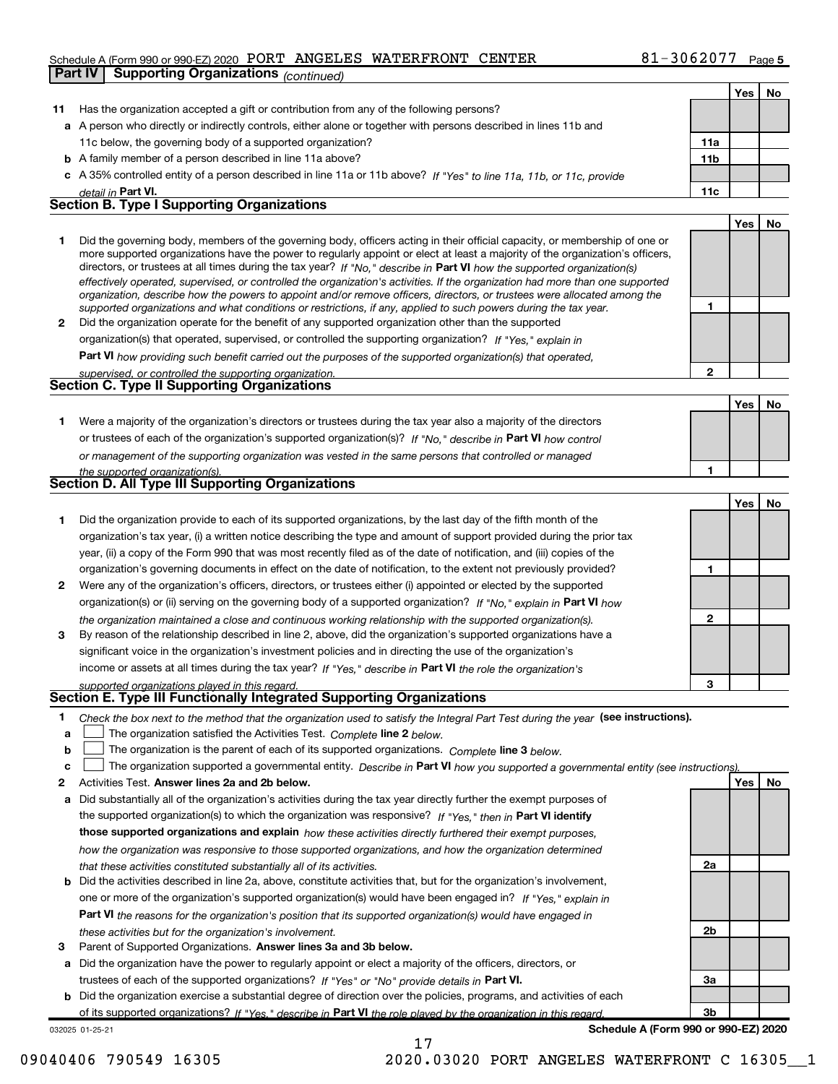# Schedule A (Form 990 or 990-EZ) 2020 PORT ANGELES WATERFRONT CENTER  $\,$  81-3062077  $\,$  Page **Part IV Supporting Organizations**  $_{(continued)}$

|    | $\sim$ and $\sim$ summations (commuted)                                                                                                                                                                                                                  |                 |     |    |
|----|----------------------------------------------------------------------------------------------------------------------------------------------------------------------------------------------------------------------------------------------------------|-----------------|-----|----|
|    |                                                                                                                                                                                                                                                          |                 | Yes | No |
| 11 | Has the organization accepted a gift or contribution from any of the following persons?                                                                                                                                                                  |                 |     |    |
|    | a A person who directly or indirectly controls, either alone or together with persons described in lines 11b and                                                                                                                                         |                 |     |    |
|    | 11c below, the governing body of a supported organization?                                                                                                                                                                                               | 11a             |     |    |
|    | <b>b</b> A family member of a person described in line 11a above?                                                                                                                                                                                        | 11 <sub>b</sub> |     |    |
|    | c A 35% controlled entity of a person described in line 11a or 11b above? If "Yes" to line 11a, 11b, or 11c, provide                                                                                                                                     |                 |     |    |
|    | <i>detail in</i> <b>Part VI.</b>                                                                                                                                                                                                                         | 11c             |     |    |
|    | <b>Section B. Type I Supporting Organizations</b>                                                                                                                                                                                                        |                 |     |    |
|    |                                                                                                                                                                                                                                                          |                 | Yes | No |
| 1. | Did the governing body, members of the governing body, officers acting in their official capacity, or membership of one or                                                                                                                               |                 |     |    |
|    | more supported organizations have the power to regularly appoint or elect at least a majority of the organization's officers,<br>directors, or trustees at all times during the tax year? If "No," describe in Part VI how the supported organization(s) |                 |     |    |
|    | effectively operated, supervised, or controlled the organization's activities. If the organization had more than one supported                                                                                                                           |                 |     |    |
|    | organization, describe how the powers to appoint and/or remove officers, directors, or trustees were allocated among the                                                                                                                                 |                 |     |    |
|    | supported organizations and what conditions or restrictions, if any, applied to such powers during the tax year.                                                                                                                                         | 1               |     |    |
| 2  | Did the organization operate for the benefit of any supported organization other than the supported                                                                                                                                                      |                 |     |    |
|    | organization(s) that operated, supervised, or controlled the supporting organization? If "Yes," explain in                                                                                                                                               |                 |     |    |
|    | Part VI how providing such benefit carried out the purposes of the supported organization(s) that operated,                                                                                                                                              |                 |     |    |
|    | supervised, or controlled the supporting organization.                                                                                                                                                                                                   | $\overline{2}$  |     |    |
|    | Section C. Type II Supporting Organizations                                                                                                                                                                                                              |                 |     |    |
|    |                                                                                                                                                                                                                                                          |                 | Yes | No |
| 1. | Were a majority of the organization's directors or trustees during the tax year also a majority of the directors                                                                                                                                         |                 |     |    |
|    | or trustees of each of the organization's supported organization(s)? If "No," describe in Part VI how control                                                                                                                                            |                 |     |    |
|    | or management of the supporting organization was vested in the same persons that controlled or managed                                                                                                                                                   |                 |     |    |
|    | the supported organization(s).                                                                                                                                                                                                                           | 1               |     |    |
|    | Section D. All Type III Supporting Organizations                                                                                                                                                                                                         |                 |     |    |
|    |                                                                                                                                                                                                                                                          |                 | Yes | No |
| 1. | Did the organization provide to each of its supported organizations, by the last day of the fifth month of the                                                                                                                                           |                 |     |    |
|    | organization's tax year, (i) a written notice describing the type and amount of support provided during the prior tax                                                                                                                                    |                 |     |    |
|    | year, (ii) a copy of the Form 990 that was most recently filed as of the date of notification, and (iii) copies of the                                                                                                                                   |                 |     |    |
|    | organization's governing documents in effect on the date of notification, to the extent not previously provided?                                                                                                                                         | 1               |     |    |
| 2  | Were any of the organization's officers, directors, or trustees either (i) appointed or elected by the supported                                                                                                                                         |                 |     |    |
|    | organization(s) or (ii) serving on the governing body of a supported organization? If "No," explain in Part VI how                                                                                                                                       |                 |     |    |
|    | the organization maintained a close and continuous working relationship with the supported organization(s).                                                                                                                                              | $\mathbf{2}$    |     |    |
| 3  | By reason of the relationship described in line 2, above, did the organization's supported organizations have a                                                                                                                                          |                 |     |    |
|    | significant voice in the organization's investment policies and in directing the use of the organization's                                                                                                                                               |                 |     |    |
|    | income or assets at all times during the tax year? If "Yes," describe in Part VI the role the organization's                                                                                                                                             |                 |     |    |
|    |                                                                                                                                                                                                                                                          | 3               |     |    |
|    | supported organizations played in this regard.<br>Section E. Type III Functionally Integrated Supporting Organizations                                                                                                                                   |                 |     |    |
| 1  | Check the box next to the method that the organization used to satisfy the Integral Part Test during the year (see instructions).                                                                                                                        |                 |     |    |
| a  | The organization satisfied the Activities Test. Complete line 2 below.                                                                                                                                                                                   |                 |     |    |
| b  | The organization is the parent of each of its supported organizations. Complete line 3 below.                                                                                                                                                            |                 |     |    |
| с  | The organization supported a governmental entity. Describe in Part VI how you supported a governmental entity (see instructions).                                                                                                                        |                 |     |    |
| 2  | Activities Test. Answer lines 2a and 2b below.                                                                                                                                                                                                           |                 | Yes | No |
| а  | Did substantially all of the organization's activities during the tax year directly further the exempt purposes of                                                                                                                                       |                 |     |    |
|    | the supported organization(s) to which the organization was responsive? If "Yes," then in Part VI identify                                                                                                                                               |                 |     |    |
|    | those supported organizations and explain how these activities directly furthered their exempt purposes,                                                                                                                                                 |                 |     |    |
|    | how the organization was responsive to those supported organizations, and how the organization determined                                                                                                                                                |                 |     |    |
|    | that these activities constituted substantially all of its activities.                                                                                                                                                                                   | 2a              |     |    |
| b  | Did the activities described in line 2a, above, constitute activities that, but for the organization's involvement,                                                                                                                                      |                 |     |    |
|    | one or more of the organization's supported organization(s) would have been engaged in? If "Yes," explain in                                                                                                                                             |                 |     |    |
|    | Part VI the reasons for the organization's position that its supported organization(s) would have engaged in                                                                                                                                             |                 |     |    |
|    | these activities but for the organization's involvement.                                                                                                                                                                                                 | 2b              |     |    |
| 3  | Parent of Supported Organizations. Answer lines 3a and 3b below.                                                                                                                                                                                         |                 |     |    |
| а  | Did the organization have the power to regularly appoint or elect a majority of the officers, directors, or                                                                                                                                              |                 |     |    |
|    | trustees of each of the supported organizations? If "Yes" or "No" provide details in Part VI.                                                                                                                                                            | За              |     |    |
| b  | Did the organization exercise a substantial degree of direction over the policies, programs, and activities of each                                                                                                                                      |                 |     |    |
|    | of its supported organizations? If "Yes." describe in Part VI the role played by the organization in this regard.                                                                                                                                        | 3 <sub>b</sub>  |     |    |

17

032025 01-25-21

Schedule A (Form 990 or 990-EZ) 2020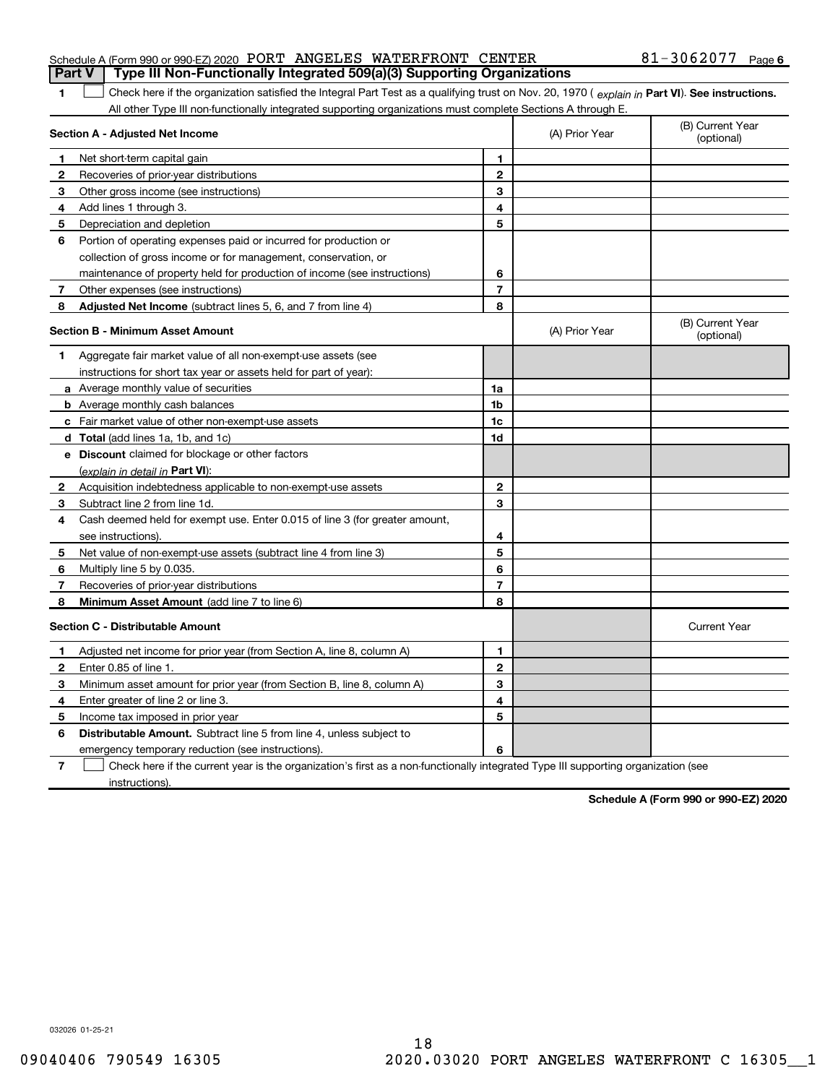| <b>Part V</b>   Type III Non-Functionally Integrated 509(a)(3) Supporting Organizations |  |  |                       |  |
|-----------------------------------------------------------------------------------------|--|--|-----------------------|--|
| Schedule A (Form 990 or 990-EZ) 2020 PORT ANGELES WATERFRONT CENTER                     |  |  | $81 - 3062077$ Page 6 |  |

The Check here if the organization satisfied the Integral Part Test as a qualifying trust on Nov. 20, 1970 ( explain in Part VI). See instructions. All other Type III non-functionally integrated supporting organizations must complete Sections A through E.

|                | Section A - Adjusted Net Income                                                                                                   |                | (A) Prior Year | (B) Current Year<br>(optional) |
|----------------|-----------------------------------------------------------------------------------------------------------------------------------|----------------|----------------|--------------------------------|
| 1              | Net short-term capital gain                                                                                                       | 1              |                |                                |
| $\mathbf{2}$   | Recoveries of prior-year distributions                                                                                            | $\mathbf{2}$   |                |                                |
| 3              | Other gross income (see instructions)                                                                                             | 3              |                |                                |
| 4              | Add lines 1 through 3.                                                                                                            | 4              |                |                                |
| 5              | Depreciation and depletion                                                                                                        | 5              |                |                                |
| 6              | Portion of operating expenses paid or incurred for production or                                                                  |                |                |                                |
|                | collection of gross income or for management, conservation, or                                                                    |                |                |                                |
|                | maintenance of property held for production of income (see instructions)                                                          | 6              |                |                                |
| 7              | Other expenses (see instructions)                                                                                                 | $\overline{7}$ |                |                                |
| 8              | Adjusted Net Income (subtract lines 5, 6, and 7 from line 4)                                                                      | 8              |                |                                |
|                | <b>Section B - Minimum Asset Amount</b>                                                                                           |                | (A) Prior Year | (B) Current Year<br>(optional) |
| 1              | Aggregate fair market value of all non-exempt-use assets (see                                                                     |                |                |                                |
|                | instructions for short tax year or assets held for part of year):                                                                 |                |                |                                |
|                | <b>a</b> Average monthly value of securities                                                                                      | 1a             |                |                                |
|                | <b>b</b> Average monthly cash balances                                                                                            | 1 <sub>b</sub> |                |                                |
|                | c Fair market value of other non-exempt-use assets                                                                                | 1c             |                |                                |
|                | d Total (add lines 1a, 1b, and 1c)                                                                                                | 1d             |                |                                |
|                | e Discount claimed for blockage or other factors                                                                                  |                |                |                                |
|                | (explain in detail in Part VI):                                                                                                   |                |                |                                |
| 2              | Acquisition indebtedness applicable to non-exempt-use assets                                                                      | $\mathbf{2}$   |                |                                |
| 3              | Subtract line 2 from line 1d.                                                                                                     | 3              |                |                                |
| 4              | Cash deemed held for exempt use. Enter 0.015 of line 3 (for greater amount,                                                       |                |                |                                |
|                | see instructions).                                                                                                                | 4              |                |                                |
| 5              | Net value of non-exempt-use assets (subtract line 4 from line 3)                                                                  | 5              |                |                                |
| 6              | Multiply line 5 by 0.035.                                                                                                         | 6              |                |                                |
| 7              | Recoveries of prior-year distributions                                                                                            | $\overline{7}$ |                |                                |
| 8              | Minimum Asset Amount (add line 7 to line 6)                                                                                       | 8              |                |                                |
|                | <b>Section C - Distributable Amount</b>                                                                                           |                |                | <b>Current Year</b>            |
| 1.             | Adjusted net income for prior year (from Section A, line 8, column A)                                                             | 1              |                |                                |
| $\mathbf{2}$   | Enter 0.85 of line 1.                                                                                                             | $\overline{2}$ |                |                                |
| 3              | Minimum asset amount for prior year (from Section B, line 8, column A)                                                            | 3              |                |                                |
| 4              | Enter greater of line 2 or line 3.                                                                                                | 4              |                |                                |
| 5              | Income tax imposed in prior year                                                                                                  | 5              |                |                                |
| 6              | <b>Distributable Amount.</b> Subtract line 5 from line 4, unless subject to                                                       |                |                |                                |
|                | emergency temporary reduction (see instructions).                                                                                 | 6              |                |                                |
| $\overline{7}$ | Check here if the current year is the organization's first as a non-functionally integrated Type III supporting organization (see |                |                |                                |

instructions).

Schedule A (Form 990 or 990-EZ) 2020

032026 01-25-21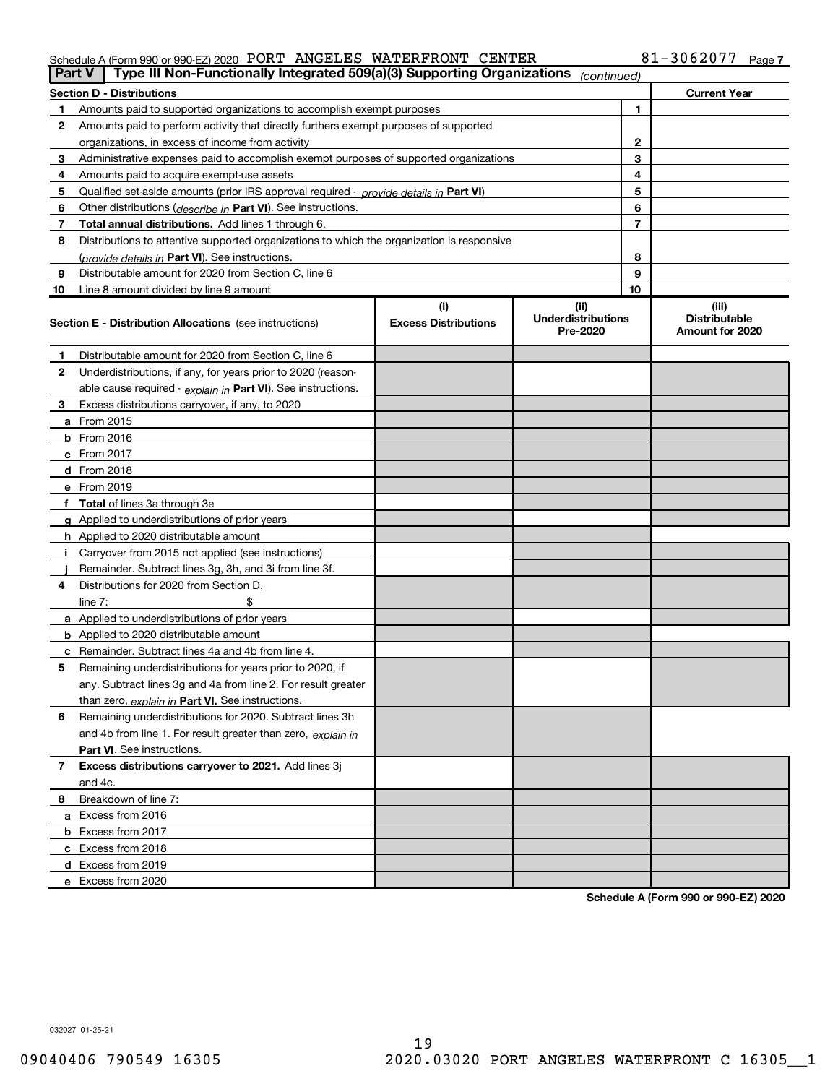# Schedule A (Form 990 or 990-EZ) 2020 PORT ANGELES WATERFRONT CENTER  $\,$  81-3062077  $\,$  Page

| <b>Part V</b> | Type III Non-Functionally Integrated 509(a)(3) Supporting Organizations                    |                             | (continued)                           |                |                                         |
|---------------|--------------------------------------------------------------------------------------------|-----------------------------|---------------------------------------|----------------|-----------------------------------------|
|               | <b>Section D - Distributions</b>                                                           |                             |                                       |                | <b>Current Year</b>                     |
|               | Amounts paid to supported organizations to accomplish exempt purposes                      |                             |                                       | 1              |                                         |
| 2             | Amounts paid to perform activity that directly furthers exempt purposes of supported       |                             |                                       |                |                                         |
|               | organizations, in excess of income from activity                                           |                             |                                       | 2              |                                         |
| з             | Administrative expenses paid to accomplish exempt purposes of supported organizations      |                             |                                       | 3              |                                         |
| 4             | Amounts paid to acquire exempt-use assets                                                  |                             |                                       | 4              |                                         |
| 5             | Qualified set-aside amounts (prior IRS approval required - provide details in Part VI)     |                             |                                       | 5              |                                         |
| 6             | Other distributions ( <i>describe in</i> Part VI). See instructions.                       |                             |                                       | 6              |                                         |
| 7             | <b>Total annual distributions.</b> Add lines 1 through 6.                                  |                             |                                       | $\overline{7}$ |                                         |
| 8             | Distributions to attentive supported organizations to which the organization is responsive |                             |                                       |                |                                         |
|               | (provide details in Part VI). See instructions.                                            |                             |                                       | 8              |                                         |
| 9             | Distributable amount for 2020 from Section C, line 6                                       |                             |                                       | 9              |                                         |
| 10            | Line 8 amount divided by line 9 amount                                                     |                             |                                       | 10             |                                         |
|               |                                                                                            | (i)                         | (iii)                                 |                | (iii)                                   |
|               | <b>Section E - Distribution Allocations</b> (see instructions)                             | <b>Excess Distributions</b> | <b>Underdistributions</b><br>Pre-2020 |                | <b>Distributable</b><br>Amount for 2020 |
| 1             | Distributable amount for 2020 from Section C, line 6                                       |                             |                                       |                |                                         |
| 2             | Underdistributions, if any, for years prior to 2020 (reason-                               |                             |                                       |                |                                         |
|               | able cause required - explain in Part VI). See instructions.                               |                             |                                       |                |                                         |
| з             | Excess distributions carryover, if any, to 2020                                            |                             |                                       |                |                                         |
|               | <b>a</b> From 2015                                                                         |                             |                                       |                |                                         |
|               | <b>b</b> From $2016$                                                                       |                             |                                       |                |                                         |
|               | $c$ From 2017                                                                              |                             |                                       |                |                                         |
|               | <b>d</b> From 2018                                                                         |                             |                                       |                |                                         |
|               | e From 2019                                                                                |                             |                                       |                |                                         |
|               | f Total of lines 3a through 3e                                                             |                             |                                       |                |                                         |
|               | <b>g</b> Applied to underdistributions of prior years                                      |                             |                                       |                |                                         |
|               | <b>h</b> Applied to 2020 distributable amount                                              |                             |                                       |                |                                         |
|               | Carryover from 2015 not applied (see instructions)                                         |                             |                                       |                |                                         |
|               | Remainder. Subtract lines 3g, 3h, and 3i from line 3f.                                     |                             |                                       |                |                                         |
| 4             | Distributions for 2020 from Section D,                                                     |                             |                                       |                |                                         |
|               | line $7:$                                                                                  |                             |                                       |                |                                         |
|               | a Applied to underdistributions of prior years                                             |                             |                                       |                |                                         |
|               | <b>b</b> Applied to 2020 distributable amount                                              |                             |                                       |                |                                         |
| c             | Remainder. Subtract lines 4a and 4b from line 4.                                           |                             |                                       |                |                                         |
| 5             | Remaining underdistributions for years prior to 2020, if                                   |                             |                                       |                |                                         |
|               | any. Subtract lines 3g and 4a from line 2. For result greater                              |                             |                                       |                |                                         |
|               | than zero, explain in Part VI. See instructions.                                           |                             |                                       |                |                                         |
| 6             | Remaining underdistributions for 2020. Subtract lines 3h                                   |                             |                                       |                |                                         |
|               | and 4b from line 1. For result greater than zero, explain in                               |                             |                                       |                |                                         |
|               | Part VI. See instructions.                                                                 |                             |                                       |                |                                         |
| 7             | Excess distributions carryover to 2021. Add lines 3j                                       |                             |                                       |                |                                         |
|               | and 4c.                                                                                    |                             |                                       |                |                                         |
| 8             | Breakdown of line 7:                                                                       |                             |                                       |                |                                         |
|               | a Excess from 2016                                                                         |                             |                                       |                |                                         |
|               | <b>b</b> Excess from 2017                                                                  |                             |                                       |                |                                         |
|               | c Excess from 2018                                                                         |                             |                                       |                |                                         |
|               | <b>d</b> Excess from 2019                                                                  |                             |                                       |                |                                         |
|               | e Excess from 2020                                                                         |                             |                                       |                |                                         |

Schedule A (Form 990 or 990-EZ) 2020

032027 01-25-21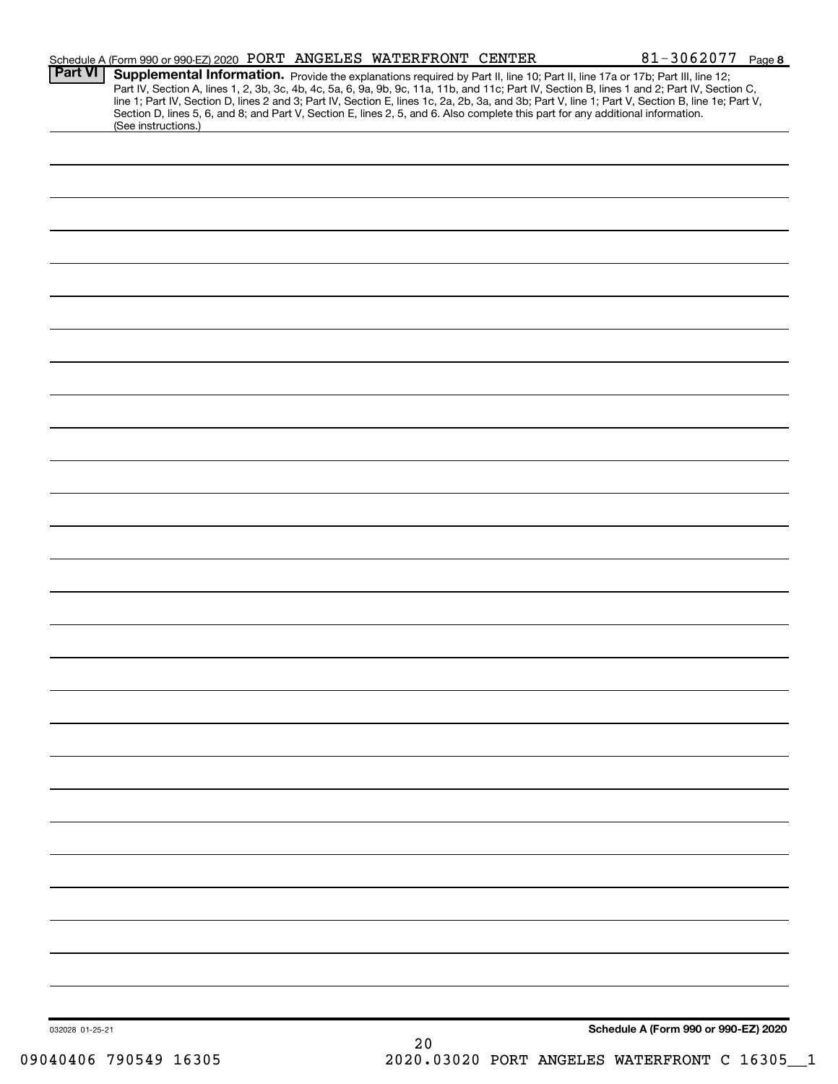| <b>Part VI</b>  | Schedule A (Form 990 or 990-EZ) 2020 PORT ANGELES WATERFRONT CENTER                                                                                    |      | 81-3062077 Page 8                                                                                                                                                                                                                                                                                                                                                                                                                 |  |
|-----------------|--------------------------------------------------------------------------------------------------------------------------------------------------------|------|-----------------------------------------------------------------------------------------------------------------------------------------------------------------------------------------------------------------------------------------------------------------------------------------------------------------------------------------------------------------------------------------------------------------------------------|--|
|                 | Section D, lines 5, 6, and 8; and Part V, Section E, lines 2, 5, and 6. Also complete this part for any additional information.<br>(See instructions.) |      | Supplemental Information. Provide the explanations required by Part II, line 10; Part II, line 17a or 17b; Part III, line 12;<br>Part IV, Section A, lines 1, 2, 3b, 3c, 4b, 4c, 5a, 6, 9a, 9b, 9c, 11a, 11b, and 11c; Part IV, Section B, lines 1 and 2; Part IV, Section C,<br>line 1; Part IV, Section D, lines 2 and 3; Part IV, Section E, lines 1c, 2a, 2b, 3a, and 3b; Part V, line 1; Part V, Section B, line 1e; Part V, |  |
|                 |                                                                                                                                                        |      |                                                                                                                                                                                                                                                                                                                                                                                                                                   |  |
|                 |                                                                                                                                                        |      |                                                                                                                                                                                                                                                                                                                                                                                                                                   |  |
|                 |                                                                                                                                                        |      |                                                                                                                                                                                                                                                                                                                                                                                                                                   |  |
|                 |                                                                                                                                                        |      |                                                                                                                                                                                                                                                                                                                                                                                                                                   |  |
|                 |                                                                                                                                                        |      |                                                                                                                                                                                                                                                                                                                                                                                                                                   |  |
|                 |                                                                                                                                                        |      |                                                                                                                                                                                                                                                                                                                                                                                                                                   |  |
|                 |                                                                                                                                                        |      |                                                                                                                                                                                                                                                                                                                                                                                                                                   |  |
|                 |                                                                                                                                                        |      |                                                                                                                                                                                                                                                                                                                                                                                                                                   |  |
|                 |                                                                                                                                                        |      |                                                                                                                                                                                                                                                                                                                                                                                                                                   |  |
|                 |                                                                                                                                                        |      |                                                                                                                                                                                                                                                                                                                                                                                                                                   |  |
|                 |                                                                                                                                                        |      |                                                                                                                                                                                                                                                                                                                                                                                                                                   |  |
|                 |                                                                                                                                                        |      |                                                                                                                                                                                                                                                                                                                                                                                                                                   |  |
|                 |                                                                                                                                                        |      |                                                                                                                                                                                                                                                                                                                                                                                                                                   |  |
|                 |                                                                                                                                                        |      |                                                                                                                                                                                                                                                                                                                                                                                                                                   |  |
|                 |                                                                                                                                                        |      |                                                                                                                                                                                                                                                                                                                                                                                                                                   |  |
|                 |                                                                                                                                                        |      |                                                                                                                                                                                                                                                                                                                                                                                                                                   |  |
|                 |                                                                                                                                                        |      |                                                                                                                                                                                                                                                                                                                                                                                                                                   |  |
|                 |                                                                                                                                                        |      |                                                                                                                                                                                                                                                                                                                                                                                                                                   |  |
|                 |                                                                                                                                                        |      |                                                                                                                                                                                                                                                                                                                                                                                                                                   |  |
|                 |                                                                                                                                                        |      |                                                                                                                                                                                                                                                                                                                                                                                                                                   |  |
|                 |                                                                                                                                                        |      |                                                                                                                                                                                                                                                                                                                                                                                                                                   |  |
|                 |                                                                                                                                                        |      |                                                                                                                                                                                                                                                                                                                                                                                                                                   |  |
|                 |                                                                                                                                                        |      |                                                                                                                                                                                                                                                                                                                                                                                                                                   |  |
|                 |                                                                                                                                                        |      |                                                                                                                                                                                                                                                                                                                                                                                                                                   |  |
|                 |                                                                                                                                                        |      |                                                                                                                                                                                                                                                                                                                                                                                                                                   |  |
|                 |                                                                                                                                                        |      |                                                                                                                                                                                                                                                                                                                                                                                                                                   |  |
|                 |                                                                                                                                                        |      |                                                                                                                                                                                                                                                                                                                                                                                                                                   |  |
|                 |                                                                                                                                                        |      |                                                                                                                                                                                                                                                                                                                                                                                                                                   |  |
|                 |                                                                                                                                                        |      |                                                                                                                                                                                                                                                                                                                                                                                                                                   |  |
|                 |                                                                                                                                                        |      |                                                                                                                                                                                                                                                                                                                                                                                                                                   |  |
|                 |                                                                                                                                                        |      |                                                                                                                                                                                                                                                                                                                                                                                                                                   |  |
| 032028 01-25-21 |                                                                                                                                                        |      | Schedule A (Form 990 or 990-EZ) 2020                                                                                                                                                                                                                                                                                                                                                                                              |  |
|                 |                                                                                                                                                        | $20$ |                                                                                                                                                                                                                                                                                                                                                                                                                                   |  |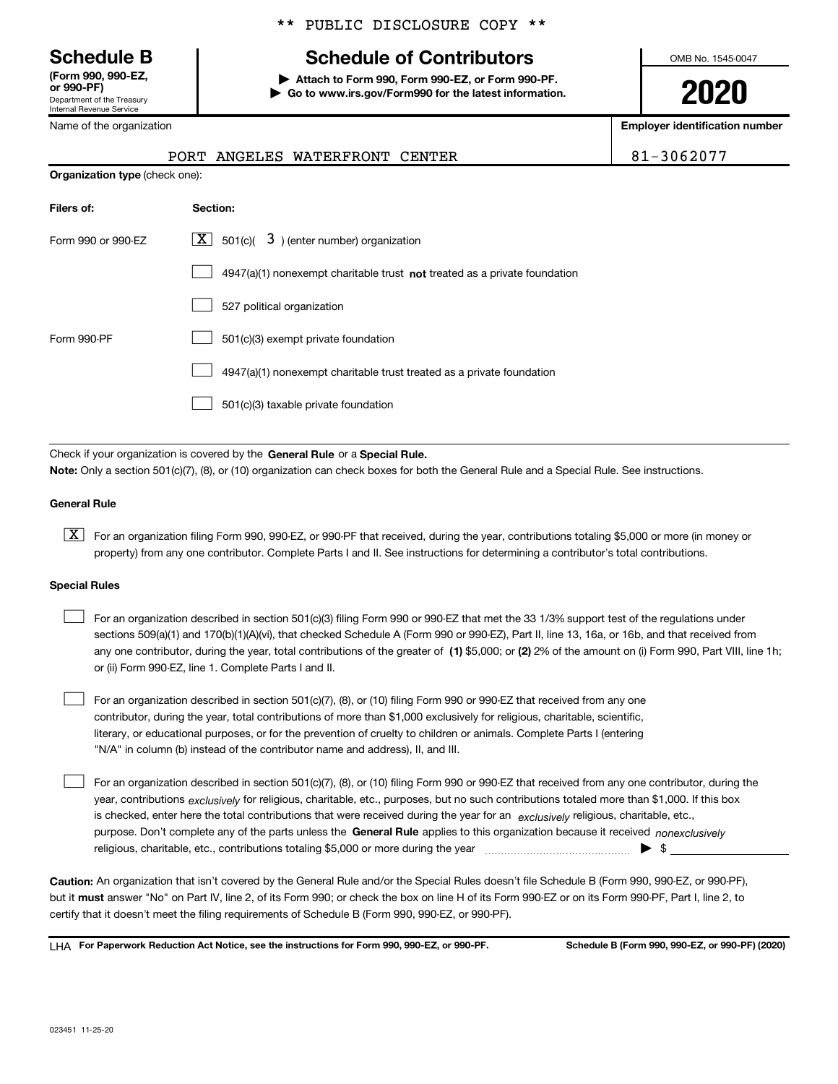Department of the Treasury Internal Revenue Service (Form 990, 990-EZ,

Name of the organization

Organization type (check one):

# \*\* PUBLIC DISCLOSURE COPY \*\*

# Schedule B The Schedule of Contributors

Attach to Form 990, Form 990-EZ, or Form 990-PF. | Go to www.irs.gov/Form990 for the latest information. OMB No. 1545-0047

2020

Employer identification number

| 31-3062077 |  |  |
|------------|--|--|
|------------|--|--|

| ame of the organization |                                |  |
|-------------------------|--------------------------------|--|
|                         | PORT ANGELES WATERFRONT CENTER |  |

| Filers of:         | Section:                                                                  |
|--------------------|---------------------------------------------------------------------------|
| Form 990 or 990-EZ | $ \mathbf{X} $ 501(c)( 3) (enter number) organization                     |
|                    | 4947(a)(1) nonexempt charitable trust not treated as a private foundation |
|                    | 527 political organization                                                |
| Form 990-PF        | 501(c)(3) exempt private foundation                                       |
|                    | 4947(a)(1) nonexempt charitable trust treated as a private foundation     |
|                    | 501(c)(3) taxable private foundation                                      |

Check if your organization is covered by the General Rule or a Special Rule. Note: Only a section 501(c)(7), (8), or (10) organization can check boxes for both the General Rule and a Special Rule. See instructions.

# General Rule

[X] For an organization filing Form 990, 990-EZ, or 990-PF that received, during the year, contributions totaling \$5,000 or more (in money or property) from any one contributor. Complete Parts I and II. See instructions for determining a contributor's total contributions.

### Special Rules

| For an organization described in section 501(c)(3) filing Form 990 or 990-EZ that met the 33 1/3% support test of the regulations under               |
|-------------------------------------------------------------------------------------------------------------------------------------------------------|
| sections 509(a)(1) and 170(b)(1)(A)(vi), that checked Schedule A (Form 990 or 990-EZ), Part II, line 13, 16a, or 16b, and that received from          |
| any one contributor, during the year, total contributions of the greater of (1) \$5,000; or (2) 2% of the amount on (i) Form 990, Part VIII, line 1h; |
| or (ii) Form 990-EZ, line 1. Complete Parts I and II.                                                                                                 |

For an organization described in section 501(c)(7), (8), or (10) filing Form 990 or 990-EZ that received from any one contributor, during the year, total contributions of more than \$1,000 exclusively for religious, charitable, scientific, literary, or educational purposes, or for the prevention of cruelty to children or animals. Complete Parts I (entering "N/A" in column (b) instead of the contributor name and address), II, and III.  $\begin{array}{c} \hline \end{array}$ 

purpose. Don't complete any of the parts unless the General Rule applies to this organization because it received nonexclusively year, contributions <sub>exclusively</sub> for religious, charitable, etc., purposes, but no such contributions totaled more than \$1,000. If this box is checked, enter here the total contributions that were received during the year for an exclusively religious, charitable, etc., For an organization described in section 501(c)(7), (8), or (10) filing Form 990 or 990-EZ that received from any one contributor, during the religious, charitable, etc., contributions totaling \$5,000 or more during the year  $\Box$ — $\Box$  =  $\Box$  $\begin{array}{c} \hline \end{array}$ 

Caution: An organization that isn't covered by the General Rule and/or the Special Rules doesn't file Schedule B (Form 990, 990-EZ, or 990-PF), but it **must** answer "No" on Part IV, line 2, of its Form 990; or check the box on line H of its Form 990-EZ or on its Form 990-PF, Part I, line 2, to certify that it doesn't meet the filing requirements of Schedule B (Form 990, 990-EZ, or 990-PF).

LHA For Paperwork Reduction Act Notice, see the instructions for Form 990, 990-EZ, or 990-PF. Schedule B (Form 990, 990-EZ, or 990-PF) (2020)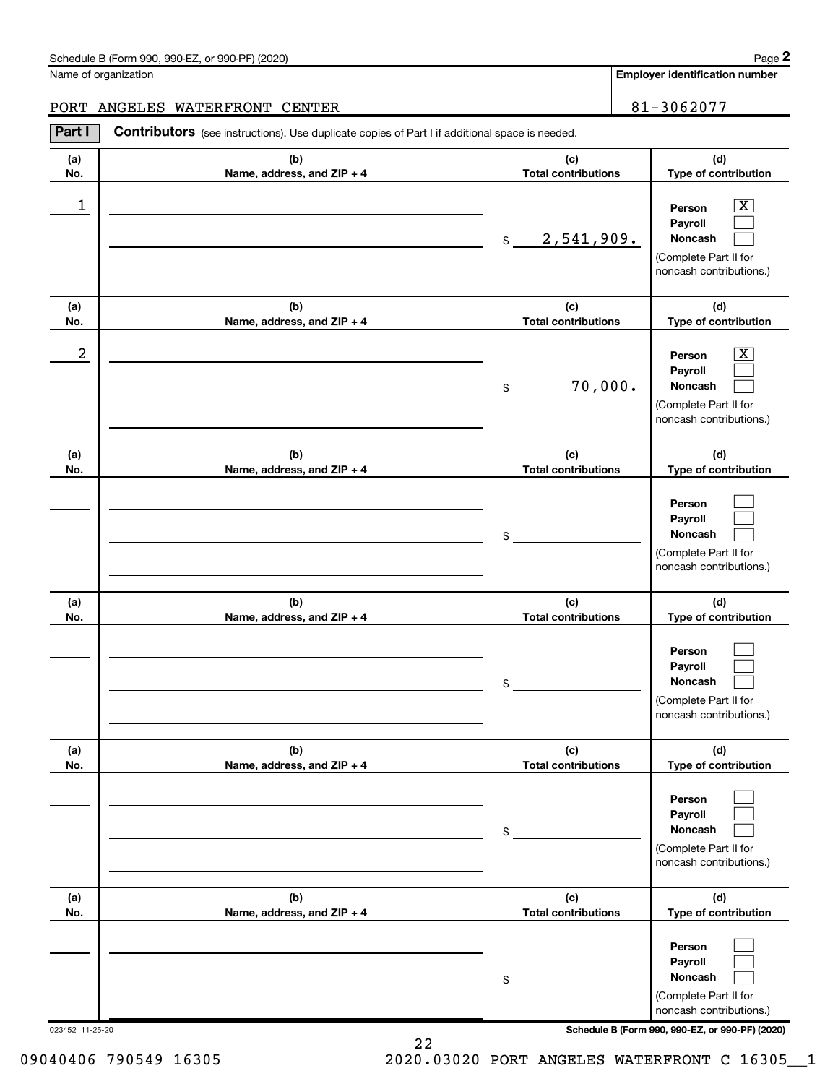### Schedule B (Form 990, 990-EZ, or 990-PF) (2020)

Name of organization

# PORT ANGELES WATERFRONT CENTER **81-3062077**

(a) No. (b) Name, address, and ZIP + 4 (c) Total contributions (d) Type of contribution Person Payroll Noncash (a) No. (b) Name, address, and ZIP + 4 (c) Total contributions (d) Type of contribution Person Payroll Noncash (a) No. (b) Name, address, and ZIP + 4 (c) Total contributions (d) Type of contribution Person Payroll Noncash (a) No. (b) Name, address, and ZIP + 4 (c) Total contributions (d) Type of contribution Person Payroll Noncash (a) No. (b) Name, address, and ZIP + 4 (c) Total contributions (d) Type of contribution Person Payroll Noncash (a) No. (b) Name, address, and ZIP + 4 (c) Total contributions (d) Type of contribution Person Payroll Noncash Part I Contributors (see instructions). Use duplicate copies of Part I if additional space is needed. \$ (Complete Part II for noncash contributions.) \$ (Complete Part II for noncash contributions.) \$ (Complete Part II for noncash contributions.) \$ (Complete Part II for noncash contributions.) \$ (Complete Part II for noncash contributions.) \$ (Complete Part II for noncash contributions.)  $\overline{\mathbf{x}}$  $\begin{array}{c} \hline \end{array}$  $\begin{array}{c} \hline \end{array}$  $\boxed{\text{X}}$  $\begin{array}{c} \hline \end{array}$  $\begin{array}{c} \hline \end{array}$  $\begin{array}{c} \hline \end{array}$  $\begin{array}{c} \hline \end{array}$  $\begin{array}{c} \hline \end{array}$  $\begin{array}{c} \hline \end{array}$  $\begin{array}{c} \hline \end{array}$  $\begin{array}{c} \hline \end{array}$  $\begin{array}{c} \hline \end{array}$  $\begin{array}{c} \hline \end{array}$  $\begin{array}{c} \hline \end{array}$  $\begin{array}{c} \hline \end{array}$  $\begin{array}{c} \hline \end{array}$  $\begin{array}{c} \hline \end{array}$ 1 X 2,541,909.  $2$  Person  $\overline{\text{X}}$ 70,000.

023452 11-25-20 Schedule B (Form 990, 990-EZ, or 990-PF) (2020)

09040406 790549 16305 2020.03020 PORT ANGELES WATERFRONT C 16305 1

22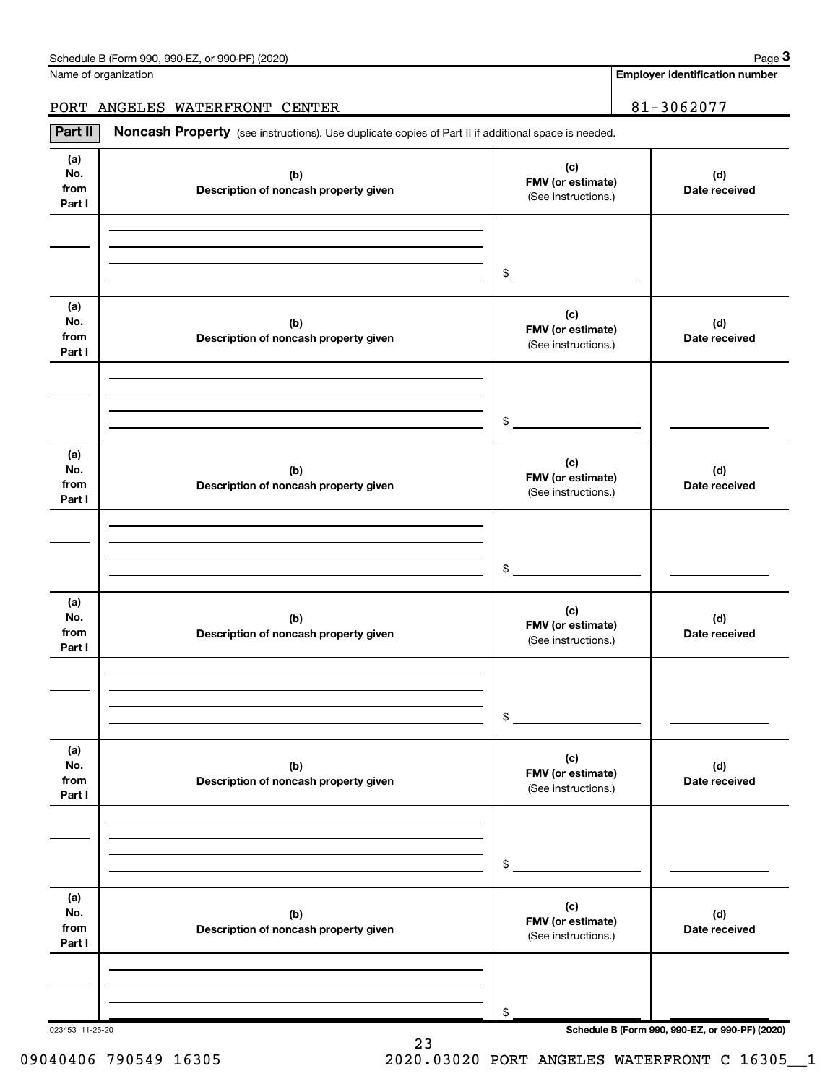| Schedule B (Form 990, 990-EZ, or 990-PF) (2020) | Page |
|-------------------------------------------------|------|
|-------------------------------------------------|------|

Name of organization

Employer identification number

PORT ANGELES WATERFRONT CENTER 81-3062077

Part II | Noncash Property (see instructions). Use duplicate copies of Part II if additional space is needed.

| (a)<br>No.<br>from<br>Part I | (b)<br>Description of noncash property given | (c)<br>FMV (or estimate)<br>(See instructions.) | (d)<br>Date received |
|------------------------------|----------------------------------------------|-------------------------------------------------|----------------------|
|                              |                                              |                                                 |                      |
|                              |                                              |                                                 |                      |
|                              |                                              | $$\overbrace{\hspace{2.5cm}}$                   |                      |
| (a)<br>No.<br>from<br>Part I | (b)<br>Description of noncash property given | (c)<br>FMV (or estimate)<br>(See instructions.) | (d)<br>Date received |
|                              |                                              |                                                 |                      |
|                              |                                              |                                                 |                      |
|                              |                                              | $\sim$                                          |                      |
| (a)<br>No.<br>from<br>Part I | (b)<br>Description of noncash property given | (c)<br>FMV (or estimate)<br>(See instructions.) | (d)<br>Date received |
|                              |                                              |                                                 |                      |
|                              |                                              |                                                 |                      |
|                              |                                              | $\frac{1}{2}$                                   |                      |
| (a)<br>No.<br>from<br>Part I | (b)<br>Description of noncash property given | (c)<br>FMV (or estimate)<br>(See instructions.) | (d)<br>Date received |
|                              |                                              |                                                 |                      |
|                              |                                              |                                                 |                      |
|                              |                                              | \$                                              |                      |
| (a)<br>No.<br>from<br>Part I | (b)<br>Description of noncash property given | (c)<br>FMV (or estimate)<br>(See instructions.) | (d)<br>Date received |
|                              |                                              |                                                 |                      |
|                              |                                              |                                                 |                      |
|                              |                                              | $\, \, \raisebox{12pt}{$\scriptstyle \$}$       |                      |
| (a)<br>No.<br>from<br>Part I | (b)<br>Description of noncash property given | (c)<br>FMV (or estimate)<br>(See instructions.) | (d)<br>Date received |
|                              |                                              |                                                 |                      |
|                              |                                              | \$                                              |                      |
|                              |                                              |                                                 |                      |

23

023453 11-25-20 Schedule B (Form 990, 990-EZ, or 990-PF) (2020)

09040406 790549 16305 2020.03020 PORT ANGELES WATERFRONT C 16305\_1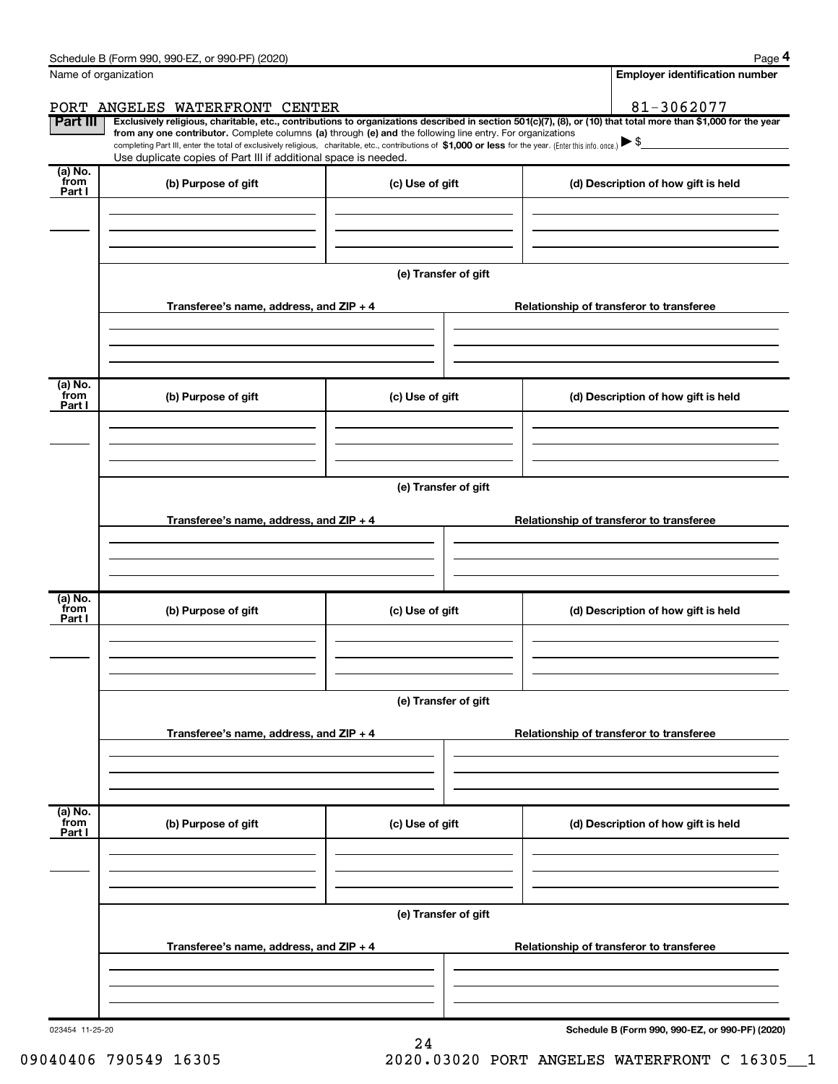| Schedule B (Form 990, 990-EZ,<br>or 990-PF) (2020) | Page |
|----------------------------------------------------|------|
|----------------------------------------------------|------|

|--|--|

|                           | Name of organization                                                                                                                                                              |                      | <b>Employer identification number</b>                                                                                                                          |
|---------------------------|-----------------------------------------------------------------------------------------------------------------------------------------------------------------------------------|----------------------|----------------------------------------------------------------------------------------------------------------------------------------------------------------|
|                           | PORT ANGELES WATERFRONT CENTER                                                                                                                                                    |                      | 81-3062077                                                                                                                                                     |
| <b>Part III</b>           | from any one contributor. Complete columns (a) through (e) and the following line entry. For organizations                                                                        |                      | Exclusively religious, charitable, etc., contributions to organizations described in section 501(c)(7), (8), or (10) that total more than \$1,000 for the year |
|                           | completing Part III, enter the total of exclusively religious, charitable, etc., contributions of \$1,000 or less for the year. (Enter this info. once.) $\blacktriangleright$ \$ |                      |                                                                                                                                                                |
| (a) No.                   | Use duplicate copies of Part III if additional space is needed.                                                                                                                   |                      |                                                                                                                                                                |
| from<br>Part I            | (b) Purpose of gift                                                                                                                                                               | (c) Use of gift      | (d) Description of how gift is held                                                                                                                            |
|                           |                                                                                                                                                                                   |                      |                                                                                                                                                                |
|                           |                                                                                                                                                                                   |                      |                                                                                                                                                                |
|                           |                                                                                                                                                                                   |                      |                                                                                                                                                                |
|                           |                                                                                                                                                                                   |                      |                                                                                                                                                                |
|                           |                                                                                                                                                                                   | (e) Transfer of gift |                                                                                                                                                                |
|                           | Transferee's name, address, and ZIP + 4                                                                                                                                           |                      | Relationship of transferor to transferee                                                                                                                       |
|                           |                                                                                                                                                                                   |                      |                                                                                                                                                                |
|                           |                                                                                                                                                                                   |                      |                                                                                                                                                                |
|                           |                                                                                                                                                                                   |                      |                                                                                                                                                                |
|                           |                                                                                                                                                                                   |                      |                                                                                                                                                                |
| (a) No.<br>from           | (b) Purpose of gift                                                                                                                                                               | (c) Use of gift      | (d) Description of how gift is held                                                                                                                            |
| Part I                    |                                                                                                                                                                                   |                      |                                                                                                                                                                |
|                           |                                                                                                                                                                                   |                      |                                                                                                                                                                |
|                           |                                                                                                                                                                                   |                      |                                                                                                                                                                |
|                           |                                                                                                                                                                                   |                      |                                                                                                                                                                |
|                           |                                                                                                                                                                                   | (e) Transfer of gift |                                                                                                                                                                |
|                           |                                                                                                                                                                                   |                      |                                                                                                                                                                |
|                           | Transferee's name, address, and ZIP + 4                                                                                                                                           |                      | Relationship of transferor to transferee                                                                                                                       |
|                           |                                                                                                                                                                                   |                      |                                                                                                                                                                |
|                           |                                                                                                                                                                                   |                      |                                                                                                                                                                |
|                           |                                                                                                                                                                                   |                      |                                                                                                                                                                |
| (a) No.<br>from           | (b) Purpose of gift                                                                                                                                                               | (c) Use of gift      | (d) Description of how gift is held                                                                                                                            |
| Part I                    |                                                                                                                                                                                   |                      |                                                                                                                                                                |
|                           |                                                                                                                                                                                   |                      |                                                                                                                                                                |
|                           |                                                                                                                                                                                   |                      |                                                                                                                                                                |
|                           |                                                                                                                                                                                   |                      |                                                                                                                                                                |
|                           |                                                                                                                                                                                   |                      |                                                                                                                                                                |
|                           |                                                                                                                                                                                   | (e) Transfer of gift |                                                                                                                                                                |
|                           |                                                                                                                                                                                   |                      |                                                                                                                                                                |
|                           | Transferee's name, address, and ZIP + 4                                                                                                                                           |                      | Relationship of transferor to transferee                                                                                                                       |
|                           |                                                                                                                                                                                   |                      |                                                                                                                                                                |
|                           |                                                                                                                                                                                   |                      |                                                                                                                                                                |
|                           |                                                                                                                                                                                   |                      |                                                                                                                                                                |
|                           | (b) Purpose of gift                                                                                                                                                               | (c) Use of gift      | (d) Description of how gift is held                                                                                                                            |
|                           |                                                                                                                                                                                   |                      |                                                                                                                                                                |
|                           |                                                                                                                                                                                   |                      |                                                                                                                                                                |
|                           |                                                                                                                                                                                   |                      |                                                                                                                                                                |
|                           |                                                                                                                                                                                   |                      |                                                                                                                                                                |
|                           |                                                                                                                                                                                   | (e) Transfer of gift |                                                                                                                                                                |
|                           |                                                                                                                                                                                   |                      |                                                                                                                                                                |
|                           | Transferee's name, address, and ZIP + 4                                                                                                                                           |                      | Relationship of transferor to transferee                                                                                                                       |
| (a) No.<br>from<br>Part I |                                                                                                                                                                                   |                      |                                                                                                                                                                |
|                           |                                                                                                                                                                                   |                      |                                                                                                                                                                |

24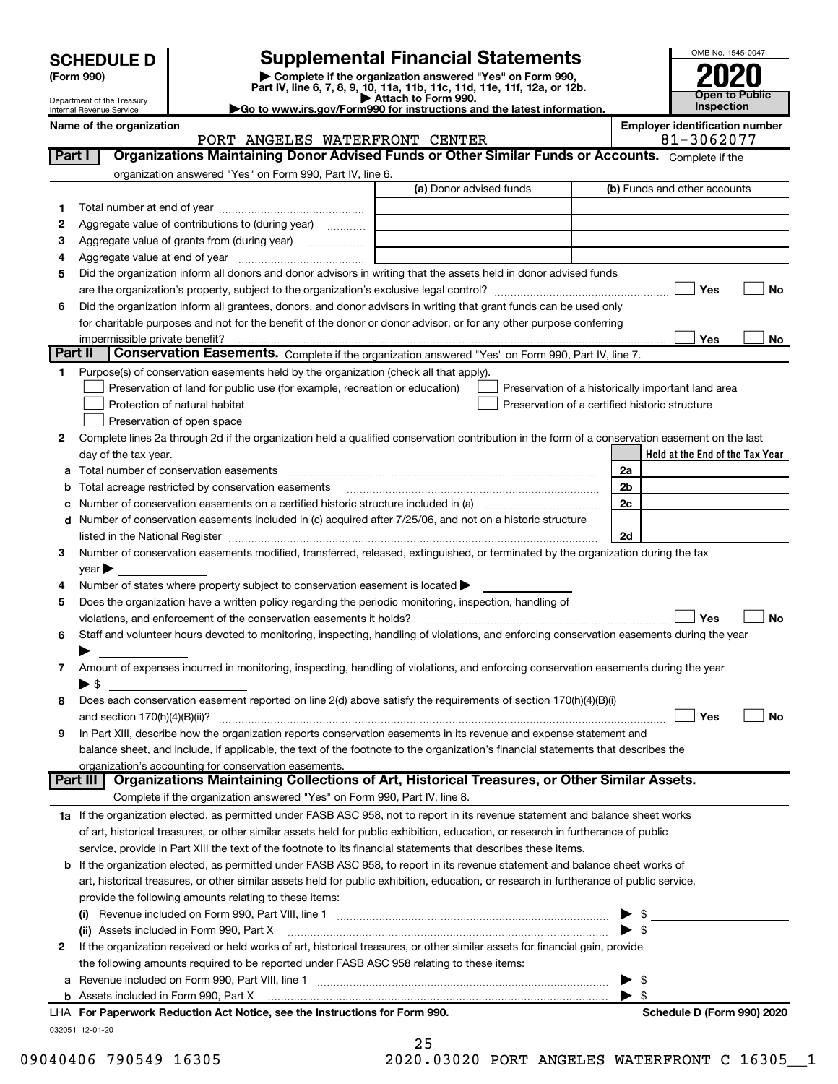| <b>SCHEDULE D</b> |  |  |
|-------------------|--|--|
|                   |  |  |

Department of the Treasury

(Form 990) | Complete if the organization answered "Yes" on Form 990, Part IV, line 6, 7, 8, 9, 10, 11a, 11b, 11c, 11d, 11e, 11f, 12a, or 12b. SCHEDULE D<br>
Supplemental Financial Statements<br>
Form 990)<br>
Part IV, line 6, 7, 8, 9, 10, 11a, 11b, 11c, 11d, 11e, 11f, 12a, or 12b.

▶ Attach to Form 990.<br>► Go to www.irs.gov/Form990 for instructions and the latest information.



|         | Internal Revenue Service                                                                                                                       | $\blacktriangleright$ Go to www.irs.gov/Form990 for instructions and the latest information. |    | <b>Inspection</b>                                  |           |
|---------|------------------------------------------------------------------------------------------------------------------------------------------------|----------------------------------------------------------------------------------------------|----|----------------------------------------------------|-----------|
|         | Name of the organization                                                                                                                       |                                                                                              |    | <b>Employer identification number</b>              |           |
| Part I  | PORT ANGELES WATERFRONT CENTER<br>Organizations Maintaining Donor Advised Funds or Other Similar Funds or Accounts. Complete if the            |                                                                                              |    | 81-3062077                                         |           |
|         |                                                                                                                                                |                                                                                              |    |                                                    |           |
|         | organization answered "Yes" on Form 990, Part IV, line 6.                                                                                      |                                                                                              |    |                                                    |           |
|         |                                                                                                                                                | (a) Donor advised funds                                                                      |    | (b) Funds and other accounts                       |           |
| 1.      |                                                                                                                                                |                                                                                              |    |                                                    |           |
| 2       | Aggregate value of contributions to (during year)                                                                                              |                                                                                              |    |                                                    |           |
| з       | Aggregate value of grants from (during year)                                                                                                   |                                                                                              |    |                                                    |           |
| 4       |                                                                                                                                                |                                                                                              |    |                                                    |           |
| 5       | Did the organization inform all donors and donor advisors in writing that the assets held in donor advised funds                               |                                                                                              |    |                                                    |           |
|         |                                                                                                                                                |                                                                                              |    | Yes                                                | No        |
| 6       | Did the organization inform all grantees, donors, and donor advisors in writing that grant funds can be used only                              |                                                                                              |    |                                                    |           |
|         | for charitable purposes and not for the benefit of the donor or donor advisor, or for any other purpose conferring                             |                                                                                              |    |                                                    |           |
| Part II | impermissible private benefit?<br>Conservation Easements. Complete if the organization answered "Yes" on Form 990, Part IV, line 7.            |                                                                                              |    | Yes                                                | No        |
|         |                                                                                                                                                |                                                                                              |    |                                                    |           |
| 1.      | Purpose(s) of conservation easements held by the organization (check all that apply).                                                          |                                                                                              |    |                                                    |           |
|         | Preservation of land for public use (for example, recreation or education)                                                                     |                                                                                              |    | Preservation of a historically important land area |           |
|         | Protection of natural habitat                                                                                                                  | Preservation of a certified historic structure                                               |    |                                                    |           |
|         | Preservation of open space                                                                                                                     |                                                                                              |    |                                                    |           |
| 2       | Complete lines 2a through 2d if the organization held a qualified conservation contribution in the form of a conservation easement on the last |                                                                                              |    |                                                    |           |
|         | day of the tax year.                                                                                                                           |                                                                                              |    | Held at the End of the Tax Year                    |           |
| а       | Total number of conservation easements                                                                                                         |                                                                                              | 2a |                                                    |           |
| b       | Total acreage restricted by conservation easements                                                                                             |                                                                                              | 2b |                                                    |           |
| с       | Number of conservation easements included in (c) acquired after 7/25/06, and not on a historic structure                                       |                                                                                              | 2c |                                                    |           |
| d       |                                                                                                                                                |                                                                                              | 2d |                                                    |           |
| 3       | Number of conservation easements modified, transferred, released, extinguished, or terminated by the organization during the tax               |                                                                                              |    |                                                    |           |
|         | year                                                                                                                                           |                                                                                              |    |                                                    |           |
| 4       | Number of states where property subject to conservation easement is located >                                                                  |                                                                                              |    |                                                    |           |
| 5       | Does the organization have a written policy regarding the periodic monitoring, inspection, handling of                                         |                                                                                              |    |                                                    |           |
|         | violations, and enforcement of the conservation easements it holds?                                                                            |                                                                                              |    | Yes                                                | <b>No</b> |
| 6       | Staff and volunteer hours devoted to monitoring, inspecting, handling of violations, and enforcing conservation easements during the year      |                                                                                              |    |                                                    |           |
|         |                                                                                                                                                |                                                                                              |    |                                                    |           |
| 7       | Amount of expenses incurred in monitoring, inspecting, handling of violations, and enforcing conservation easements during the year            |                                                                                              |    |                                                    |           |
|         | $\blacktriangleright$ \$                                                                                                                       |                                                                                              |    |                                                    |           |
| 8       | Does each conservation easement reported on line $2(d)$ above satisfy the requirements of section 170(h)(4)(B)(i)                              |                                                                                              |    |                                                    |           |
|         |                                                                                                                                                |                                                                                              |    | Yes                                                | No.       |
| 9       | In Part XIII, describe how the organization reports conservation easements in its revenue and expense statement and                            |                                                                                              |    |                                                    |           |
|         | balance sheet, and include, if applicable, the text of the footnote to the organization's financial statements that describes the              |                                                                                              |    |                                                    |           |
|         | organization's accounting for conservation easements.                                                                                          |                                                                                              |    |                                                    |           |
|         | Organizations Maintaining Collections of Art, Historical Treasures, or Other Similar Assets.<br>Part III                                       |                                                                                              |    |                                                    |           |
|         | Complete if the organization answered "Yes" on Form 990, Part IV, line 8.                                                                      |                                                                                              |    |                                                    |           |
|         | 1a If the organization elected, as permitted under FASB ASC 958, not to report in its revenue statement and balance sheet works                |                                                                                              |    |                                                    |           |
|         | of art, historical treasures, or other similar assets held for public exhibition, education, or research in furtherance of public              |                                                                                              |    |                                                    |           |
|         | service, provide in Part XIII the text of the footnote to its financial statements that describes these items.                                 |                                                                                              |    |                                                    |           |
| b       | If the organization elected, as permitted under FASB ASC 958, to report in its revenue statement and balance sheet works of                    |                                                                                              |    |                                                    |           |
|         | art, historical treasures, or other similar assets held for public exhibition, education, or research in furtherance of public service,        |                                                                                              |    |                                                    |           |
|         | provide the following amounts relating to these items:                                                                                         |                                                                                              |    |                                                    |           |
|         |                                                                                                                                                |                                                                                              |    | - \$                                               |           |
|         | (ii) Assets included in Form 990, Part X                                                                                                       |                                                                                              |    | $\frac{1}{2}$                                      |           |
| 2       | If the organization received or held works of art, historical treasures, or other similar assets for financial gain, provide                   |                                                                                              |    |                                                    |           |
|         | the following amounts required to be reported under FASB ASC 958 relating to these items:                                                      |                                                                                              |    |                                                    |           |
| а       |                                                                                                                                                |                                                                                              |    | \$                                                 |           |
|         | <b>b</b> Assets included in Form 990, Part X                                                                                                   |                                                                                              |    | \$                                                 |           |
|         | LHA For Paperwork Reduction Act Notice, see the Instructions for Form 990.                                                                     |                                                                                              |    | Schedule D (Form 990) 2020                         |           |

032051 12-01-20

25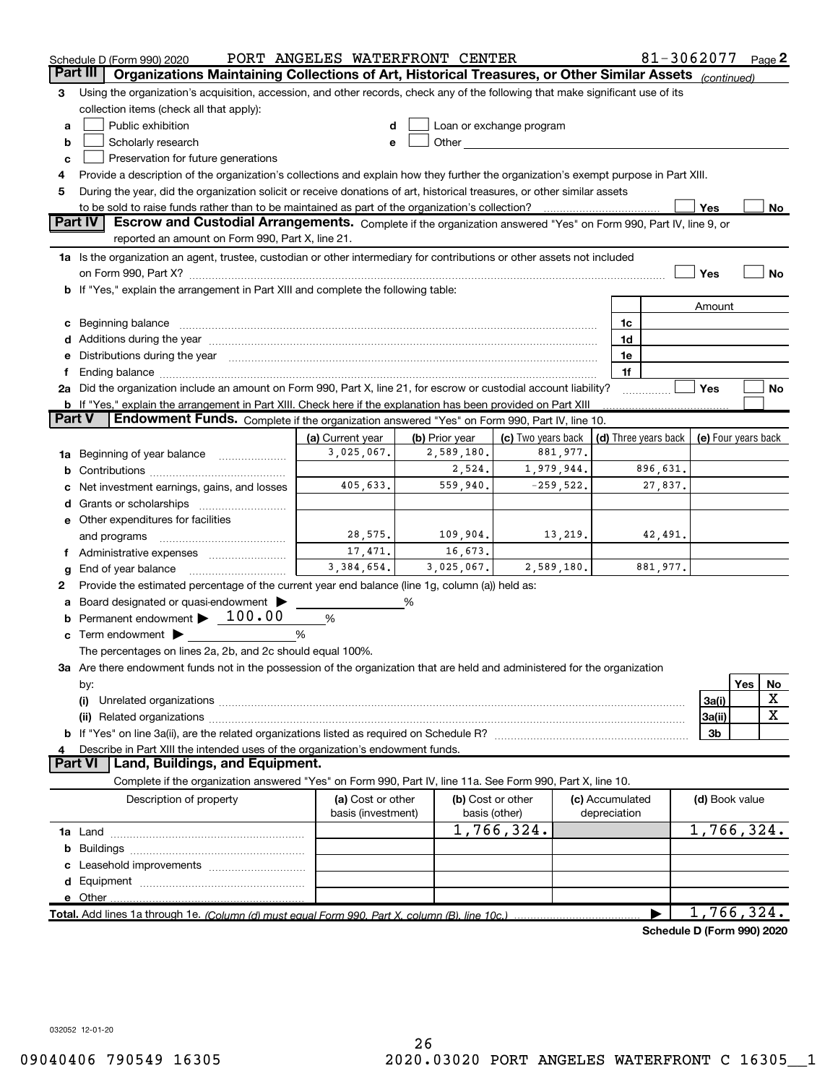|        | Schedule D (Form 990) 2020                                                                                                                                                                                                     | PORT ANGELES WATERFRONT CENTER          |                |                                                                                                                                                                                                                                 |                                 |    | 81-3062077                 |                     |     | Page 2    |
|--------|--------------------------------------------------------------------------------------------------------------------------------------------------------------------------------------------------------------------------------|-----------------------------------------|----------------|---------------------------------------------------------------------------------------------------------------------------------------------------------------------------------------------------------------------------------|---------------------------------|----|----------------------------|---------------------|-----|-----------|
|        | Part III<br>Organizations Maintaining Collections of Art, Historical Treasures, or Other Similar Assets (continued)                                                                                                            |                                         |                |                                                                                                                                                                                                                                 |                                 |    |                            |                     |     |           |
| 3      | Using the organization's acquisition, accession, and other records, check any of the following that make significant use of its                                                                                                |                                         |                |                                                                                                                                                                                                                                 |                                 |    |                            |                     |     |           |
|        | collection items (check all that apply):                                                                                                                                                                                       |                                         |                |                                                                                                                                                                                                                                 |                                 |    |                            |                     |     |           |
| a      | Public exhibition                                                                                                                                                                                                              |                                         |                | Loan or exchange program                                                                                                                                                                                                        |                                 |    |                            |                     |     |           |
| b      | Scholarly research                                                                                                                                                                                                             |                                         |                | Other and the contract of the contract of the contract of the contract of the contract of the contract of the contract of the contract of the contract of the contract of the contract of the contract of the contract of the c |                                 |    |                            |                     |     |           |
| c      | Preservation for future generations                                                                                                                                                                                            |                                         |                |                                                                                                                                                                                                                                 |                                 |    |                            |                     |     |           |
| 4      | Provide a description of the organization's collections and explain how they further the organization's exempt purpose in Part XIII.                                                                                           |                                         |                |                                                                                                                                                                                                                                 |                                 |    |                            |                     |     |           |
| 5      | During the year, did the organization solicit or receive donations of art, historical treasures, or other similar assets                                                                                                       |                                         |                |                                                                                                                                                                                                                                 |                                 |    |                            |                     |     |           |
|        | to be sold to raise funds rather than to be maintained as part of the organization's collection?                                                                                                                               |                                         |                |                                                                                                                                                                                                                                 |                                 |    |                            | Yes                 |     | No        |
|        | Part IV<br>Escrow and Custodial Arrangements. Complete if the organization answered "Yes" on Form 990, Part IV, line 9, or                                                                                                     |                                         |                |                                                                                                                                                                                                                                 |                                 |    |                            |                     |     |           |
|        | reported an amount on Form 990, Part X, line 21.                                                                                                                                                                               |                                         |                |                                                                                                                                                                                                                                 |                                 |    |                            |                     |     |           |
|        | 1a Is the organization an agent, trustee, custodian or other intermediary for contributions or other assets not included                                                                                                       |                                         |                |                                                                                                                                                                                                                                 |                                 |    |                            |                     |     |           |
|        |                                                                                                                                                                                                                                |                                         |                |                                                                                                                                                                                                                                 |                                 |    |                            | Yes                 |     | <b>No</b> |
|        | <b>b</b> If "Yes," explain the arrangement in Part XIII and complete the following table:                                                                                                                                      |                                         |                |                                                                                                                                                                                                                                 |                                 |    |                            |                     |     |           |
|        |                                                                                                                                                                                                                                |                                         |                |                                                                                                                                                                                                                                 |                                 |    |                            | Amount              |     |           |
|        | c Beginning balance measurements and the contract of the contract of the contract of the contract of the contract of the contract of the contract of the contract of the contract of the contract of the contract of the contr |                                         |                |                                                                                                                                                                                                                                 |                                 | 1c |                            |                     |     |           |
|        |                                                                                                                                                                                                                                |                                         |                |                                                                                                                                                                                                                                 |                                 | 1d |                            |                     |     |           |
|        | e Distributions during the year manufactured and continuum and contact the year manufactured and contact the year manufactured and contact the year manufactured and contact the year manufactured and contact the year manufa |                                         |                |                                                                                                                                                                                                                                 |                                 | 1e |                            |                     |     |           |
|        | 2a Did the organization include an amount on Form 990, Part X, line 21, for escrow or custodial account liability?                                                                                                             |                                         |                |                                                                                                                                                                                                                                 |                                 | 1f |                            | Yes                 |     | No        |
|        | <b>b</b> If "Yes," explain the arrangement in Part XIII. Check here if the explanation has been provided on Part XIII                                                                                                          |                                         |                |                                                                                                                                                                                                                                 |                                 |    |                            |                     |     |           |
| Part V | Endowment Funds. Complete if the organization answered "Yes" on Form 990, Part IV, line 10.                                                                                                                                    |                                         |                |                                                                                                                                                                                                                                 |                                 |    |                            |                     |     |           |
|        |                                                                                                                                                                                                                                | (a) Current year                        | (b) Prior year | (c) Two years back                                                                                                                                                                                                              |                                 |    | (d) Three years back       | (e) Four years back |     |           |
| 1a     | Beginning of year balance                                                                                                                                                                                                      | 3,025,067.                              | 2,589,180.     | 881,977.                                                                                                                                                                                                                        |                                 |    |                            |                     |     |           |
|        |                                                                                                                                                                                                                                |                                         | 2,524.         | 1,979,944.                                                                                                                                                                                                                      |                                 |    | 896,631.                   |                     |     |           |
|        | Net investment earnings, gains, and losses                                                                                                                                                                                     | 405,633.                                | 559,940.       | $-259,522.$                                                                                                                                                                                                                     |                                 |    | 27,837.                    |                     |     |           |
|        |                                                                                                                                                                                                                                |                                         |                |                                                                                                                                                                                                                                 |                                 |    |                            |                     |     |           |
|        | e Other expenditures for facilities                                                                                                                                                                                            |                                         |                |                                                                                                                                                                                                                                 |                                 |    |                            |                     |     |           |
|        | and programs                                                                                                                                                                                                                   | 28,575.                                 | 109,904.       | 13,219.                                                                                                                                                                                                                         |                                 |    | 42,491.                    |                     |     |           |
|        | f Administrative expenses                                                                                                                                                                                                      | 17,471.                                 | 16,673.        |                                                                                                                                                                                                                                 |                                 |    |                            |                     |     |           |
| g      |                                                                                                                                                                                                                                | 3,384,654.                              | 3,025,067.     | 2,589,180.                                                                                                                                                                                                                      |                                 |    | 881,977.                   |                     |     |           |
| 2      | Provide the estimated percentage of the current year end balance (line 1g, column (a)) held as:                                                                                                                                |                                         |                |                                                                                                                                                                                                                                 |                                 |    |                            |                     |     |           |
| a      | Board designated or quasi-endowment                                                                                                                                                                                            |                                         | ℅              |                                                                                                                                                                                                                                 |                                 |    |                            |                     |     |           |
| b      | Permanent endowment $\blacktriangleright$ 100.00                                                                                                                                                                               | %                                       |                |                                                                                                                                                                                                                                 |                                 |    |                            |                     |     |           |
|        | <b>c</b> Term endowment $\blacktriangleright$                                                                                                                                                                                  | %                                       |                |                                                                                                                                                                                                                                 |                                 |    |                            |                     |     |           |
|        | The percentages on lines 2a, 2b, and 2c should equal 100%.                                                                                                                                                                     |                                         |                |                                                                                                                                                                                                                                 |                                 |    |                            |                     |     |           |
|        | 3a Are there endowment funds not in the possession of the organization that are held and administered for the organization                                                                                                     |                                         |                |                                                                                                                                                                                                                                 |                                 |    |                            |                     |     |           |
|        | by:                                                                                                                                                                                                                            |                                         |                |                                                                                                                                                                                                                                 |                                 |    |                            |                     | Yes | No        |
|        | (i)                                                                                                                                                                                                                            |                                         |                |                                                                                                                                                                                                                                 |                                 |    |                            | 3a(i)               |     | х         |
|        |                                                                                                                                                                                                                                |                                         |                |                                                                                                                                                                                                                                 |                                 |    |                            | 3a(ii)              |     | х         |
|        |                                                                                                                                                                                                                                |                                         |                |                                                                                                                                                                                                                                 |                                 |    |                            | 3b                  |     |           |
| 4      | Describe in Part XIII the intended uses of the organization's endowment funds.                                                                                                                                                 |                                         |                |                                                                                                                                                                                                                                 |                                 |    |                            |                     |     |           |
|        | Land, Buildings, and Equipment.<br>Part VI                                                                                                                                                                                     |                                         |                |                                                                                                                                                                                                                                 |                                 |    |                            |                     |     |           |
|        | Complete if the organization answered "Yes" on Form 990, Part IV, line 11a. See Form 990, Part X, line 10.                                                                                                                     |                                         |                |                                                                                                                                                                                                                                 |                                 |    |                            |                     |     |           |
|        | Description of property                                                                                                                                                                                                        | (a) Cost or other<br>basis (investment) |                | (b) Cost or other<br>basis (other)                                                                                                                                                                                              | (c) Accumulated<br>depreciation |    |                            | (d) Book value      |     |           |
|        |                                                                                                                                                                                                                                |                                         |                | 1,766,324.                                                                                                                                                                                                                      |                                 |    |                            | 1,766,324.          |     |           |
| b      |                                                                                                                                                                                                                                |                                         |                |                                                                                                                                                                                                                                 |                                 |    |                            |                     |     |           |
|        |                                                                                                                                                                                                                                |                                         |                |                                                                                                                                                                                                                                 |                                 |    |                            |                     |     |           |
|        |                                                                                                                                                                                                                                |                                         |                |                                                                                                                                                                                                                                 |                                 |    |                            |                     |     |           |
|        | e Other                                                                                                                                                                                                                        |                                         |                |                                                                                                                                                                                                                                 |                                 |    |                            |                     |     |           |
|        | Total. Add lines 1a through 1e. (Column (d) must equal Form 990. Part X, column (B), line 10c.)                                                                                                                                |                                         |                |                                                                                                                                                                                                                                 |                                 |    |                            | 1,766,324.          |     |           |
|        |                                                                                                                                                                                                                                |                                         |                |                                                                                                                                                                                                                                 |                                 |    | Schodule D (Form 000) 2020 |                     |     |           |

Schedule D (Form 990) 2020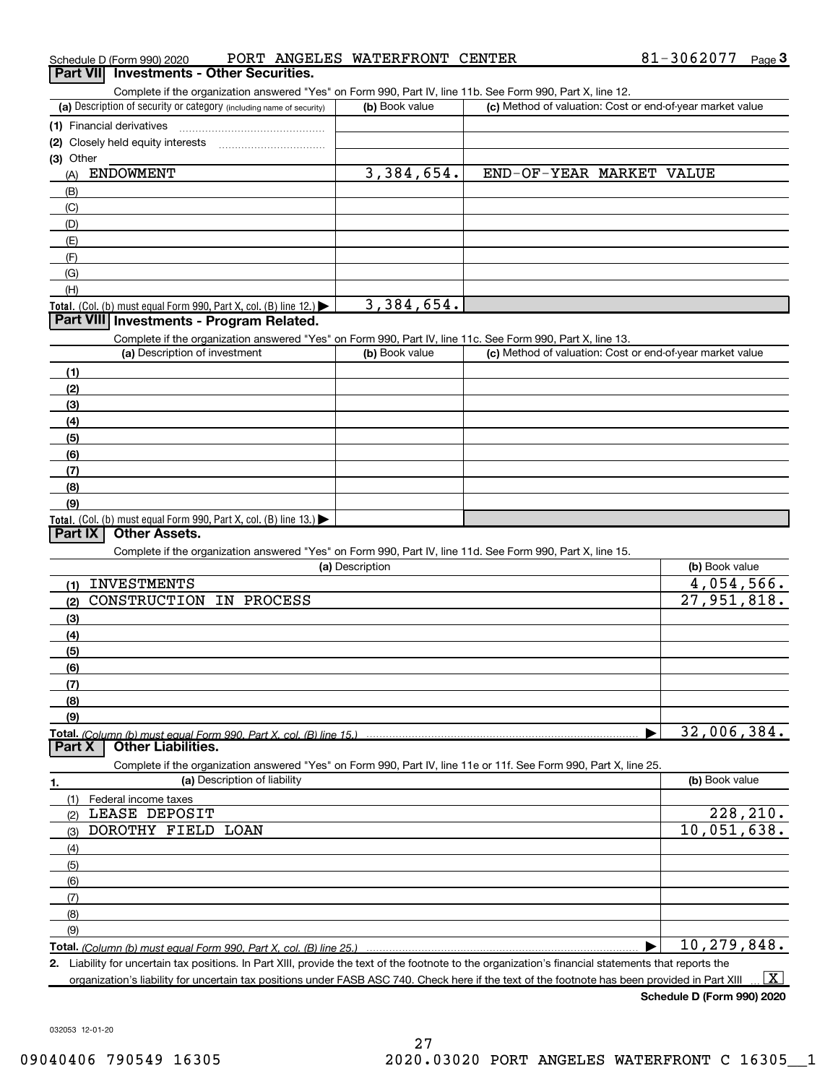| Complete if the organization answered "Yes" on Form 990, Part IV, line 11b. See Form 990, Part X, line 12.        |                 |                                                           |                             |
|-------------------------------------------------------------------------------------------------------------------|-----------------|-----------------------------------------------------------|-----------------------------|
| (a) Description of security or category (including name of security)                                              | (b) Book value  | (c) Method of valuation: Cost or end-of-year market value |                             |
| (1) Financial derivatives                                                                                         |                 |                                                           |                             |
| (2) Closely held equity interests                                                                                 |                 |                                                           |                             |
| (3) Other                                                                                                         |                 |                                                           |                             |
| <b>ENDOWMENT</b><br>(A)                                                                                           | 3,384,654.      | END-OF-YEAR MARKET VALUE                                  |                             |
| (B)                                                                                                               |                 |                                                           |                             |
| (C)                                                                                                               |                 |                                                           |                             |
| (D)                                                                                                               |                 |                                                           |                             |
| (E)                                                                                                               |                 |                                                           |                             |
| (F)                                                                                                               |                 |                                                           |                             |
| (G)                                                                                                               |                 |                                                           |                             |
| (H)                                                                                                               |                 |                                                           |                             |
| Total. (Col. (b) must equal Form 990, Part X, col. (B) line $12$ .)                                               | 3,384,654.      |                                                           |                             |
| Part VIII Investments - Program Related.                                                                          |                 |                                                           |                             |
| Complete if the organization answered "Yes" on Form 990, Part IV, line 11c. See Form 990, Part X, line 13.        |                 |                                                           |                             |
| (a) Description of investment                                                                                     | (b) Book value  | (c) Method of valuation: Cost or end-of-year market value |                             |
| (1)                                                                                                               |                 |                                                           |                             |
| (2)                                                                                                               |                 |                                                           |                             |
| (3)                                                                                                               |                 |                                                           |                             |
| (4)                                                                                                               |                 |                                                           |                             |
| (5)                                                                                                               |                 |                                                           |                             |
| (6)                                                                                                               |                 |                                                           |                             |
| (7)                                                                                                               |                 |                                                           |                             |
| (8)                                                                                                               |                 |                                                           |                             |
| (9)                                                                                                               |                 |                                                           |                             |
| Total. (Col. (b) must equal Form 990, Part X, col. (B) line $13.$ )                                               |                 |                                                           |                             |
| <b>Other Assets.</b><br>Part IX                                                                                   |                 |                                                           |                             |
| Complete if the organization answered "Yes" on Form 990, Part IV, line 11d. See Form 990, Part X, line 15.        |                 |                                                           |                             |
|                                                                                                                   | (a) Description |                                                           | (b) Book value              |
| <b>INVESTMENTS</b><br>(1)                                                                                         |                 |                                                           | 4,054,566.                  |
| CONSTRUCTION IN PROCESS<br>(2)                                                                                    |                 |                                                           | 27,951,818.                 |
| (3)                                                                                                               |                 |                                                           |                             |
| (4)                                                                                                               |                 |                                                           |                             |
| (5)                                                                                                               |                 |                                                           |                             |
| (6)                                                                                                               |                 |                                                           |                             |
| (7)                                                                                                               |                 |                                                           |                             |
| (8)                                                                                                               |                 |                                                           |                             |
| (9)                                                                                                               |                 |                                                           |                             |
| Total. (Column (b) must equal Form 990, Part X, col. (B) line 15.)                                                |                 |                                                           | 32,006,384.                 |
| <b>Other Liabilities.</b><br>Part X                                                                               |                 |                                                           |                             |
| Complete if the organization answered "Yes" on Form 990, Part IV, line 11e or 11f. See Form 990, Part X, line 25. |                 |                                                           |                             |
| (a) Description of liability<br>1.                                                                                |                 |                                                           | (b) Book value              |
| (1)<br>Federal income taxes                                                                                       |                 |                                                           |                             |
| LEASE DEPOSIT<br>(2)                                                                                              |                 |                                                           | 228,210.                    |
| DOROTHY FIELD LOAN<br>(3)                                                                                         |                 |                                                           | $\overline{10}$ , 051, 638. |
| (4)                                                                                                               |                 |                                                           |                             |
| (5)                                                                                                               |                 |                                                           |                             |
|                                                                                                                   |                 |                                                           |                             |
| (6)                                                                                                               |                 |                                                           |                             |
| (7)                                                                                                               |                 |                                                           |                             |
| (8)                                                                                                               |                 |                                                           |                             |
| (9)                                                                                                               |                 |                                                           | 10,279,848.                 |

organization's liability for uncertain tax positions under FASB ASC 740. Check here if the text of the footnote has been provided in Part XIII

Schedule D (Form 990) 2020

 $\boxed{\text{X}}$ 

032053 12-01-20

# Schedule D (Form 990) 2020 Page PORT ANGELES WATERFRONT CENTER

81-3062077 <sub>Page</sub> 3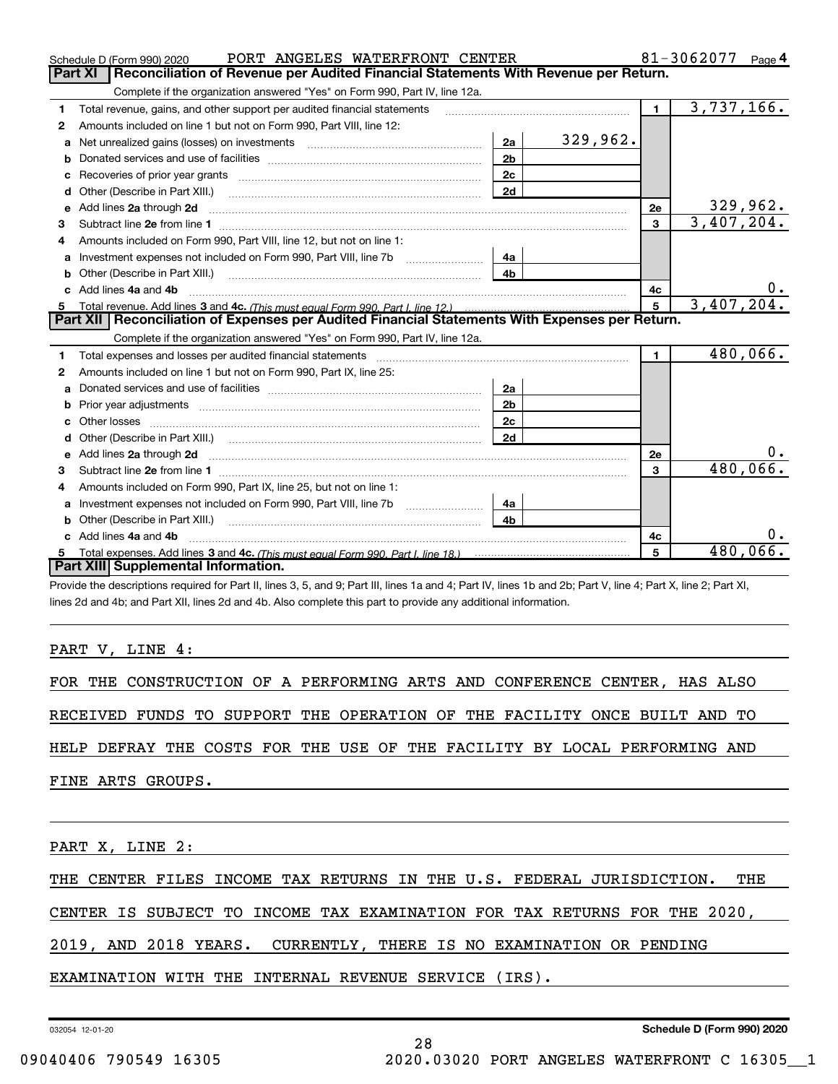|    | PORT ANGELES WATERFRONT CENTER<br>Schedule D (Form 990) 2020                                                                                                                                                                        |                |          |                | 81-3062077 $_{Page}$ 4 |    |
|----|-------------------------------------------------------------------------------------------------------------------------------------------------------------------------------------------------------------------------------------|----------------|----------|----------------|------------------------|----|
|    | Reconciliation of Revenue per Audited Financial Statements With Revenue per Return.<br>Part XI                                                                                                                                      |                |          |                |                        |    |
|    | Complete if the organization answered "Yes" on Form 990, Part IV, line 12a.                                                                                                                                                         |                |          |                |                        |    |
| 1  | Total revenue, gains, and other support per audited financial statements                                                                                                                                                            |                |          | $\blacksquare$ | 3,737,166.             |    |
| 2  | Amounts included on line 1 but not on Form 990, Part VIII, line 12:                                                                                                                                                                 |                |          |                |                        |    |
| a  | Net unrealized gains (losses) on investments [11] matter contracts and the unrealized gains (losses) on investments                                                                                                                 | 2a             | 329,962. |                |                        |    |
| b  | Donated services and use of facilities Donated Services and use of facilities                                                                                                                                                       | 2 <sub>b</sub> |          |                |                        |    |
| c  |                                                                                                                                                                                                                                     | 2c             |          |                |                        |    |
| d  | Other (Describe in Part XIII.)                                                                                                                                                                                                      | 2d             |          |                |                        |    |
| е  | Add lines 2a through 2d <b>must be a constructed as the constant of the constant of the constant of the construction</b>                                                                                                            |                |          | 2e             | 329,962.               |    |
| 3  |                                                                                                                                                                                                                                     |                |          | $\mathbf{3}$   | 3,407,204.             |    |
| 4  | Amounts included on Form 990, Part VIII, line 12, but not on line 1:                                                                                                                                                                |                |          |                |                        |    |
| a  | Investment expenses not included on Form 990, Part VIII, line 7b                                                                                                                                                                    | 4a             |          |                |                        |    |
| b  | Other (Describe in Part XIII.) [100] [100] [100] [100] [100] [100] [100] [100] [100] [100] [100] [100] [100] [                                                                                                                      | 4 <sub>b</sub> |          |                |                        |    |
| c. | Add lines 4a and 4b                                                                                                                                                                                                                 |                |          | 4c             |                        | 0. |
| 5  |                                                                                                                                                                                                                                     |                |          | 5 <sup>1</sup> | 3,407,204.             |    |
|    | Part XII   Reconciliation of Expenses per Audited Financial Statements With Expenses per Return.                                                                                                                                    |                |          |                |                        |    |
|    | Complete if the organization answered "Yes" on Form 990, Part IV, line 12a.                                                                                                                                                         |                |          |                |                        |    |
| 1  |                                                                                                                                                                                                                                     |                |          | $\blacksquare$ | 480,066.               |    |
| 2  | Amounts included on line 1 but not on Form 990, Part IX, line 25:                                                                                                                                                                   |                |          |                |                        |    |
| a  |                                                                                                                                                                                                                                     | 2a             |          |                |                        |    |
| b  |                                                                                                                                                                                                                                     | 2 <sub>b</sub> |          |                |                        |    |
| c  |                                                                                                                                                                                                                                     | 2c             |          |                |                        |    |
| d  |                                                                                                                                                                                                                                     | 2d             |          |                |                        |    |
| е  | Add lines 2a through 2d <b>contained a contained a contained a contained a</b> contained a contact the state of the state of the state of the state of the state of the state of the state of the state of the state of the state o |                |          | 2e             |                        |    |
| 3  |                                                                                                                                                                                                                                     |                |          | 3              | 480,066.               |    |
| 4  | Amounts included on Form 990, Part IX, line 25, but not on line 1:                                                                                                                                                                  |                |          |                |                        |    |
| a  |                                                                                                                                                                                                                                     | 4a             |          |                |                        |    |
| b  |                                                                                                                                                                                                                                     | 4b             |          |                |                        |    |
|    | Add lines 4a and 4b                                                                                                                                                                                                                 |                |          | 4c             |                        |    |
|    |                                                                                                                                                                                                                                     |                |          | 5              | $480,066$ .            |    |
|    | Part XIII Supplemental Information.                                                                                                                                                                                                 |                |          |                |                        |    |

Provide the descriptions required for Part II, lines 3, 5, and 9; Part III, lines 1a and 4; Part IV, lines 1b and 2b; Part V, line 4; Part X, line 2; Part XI, lines 2d and 4b; and Part XII, lines 2d and 4b. Also complete this part to provide any additional information.

PART V, LINE 4:

FOR THE CONSTRUCTION OF A PERFORMING ARTS AND CONFERENCE CENTER, HAS ALSO

RECEIVED FUNDS TO SUPPORT THE OPERATION OF THE FACILITY ONCE BUILT AND TO

HELP DEFRAY THE COSTS FOR THE USE OF THE FACILITY BY LOCAL PERFORMING AND

FINE ARTS GROUPS.

PART X, LINE 2:

THE CENTER FILES INCOME TAX RETURNS IN THE U.S. FEDERAL JURISDICTION. THE

28

CENTER IS SUBJECT TO INCOME TAX EXAMINATION FOR TAX RETURNS FOR THE 2020,

2019, AND 2018 YEARS. CURRENTLY, THERE IS NO EXAMINATION OR PENDING

EXAMINATION WITH THE INTERNAL REVENUE SERVICE (IRS).

032054 12-01-20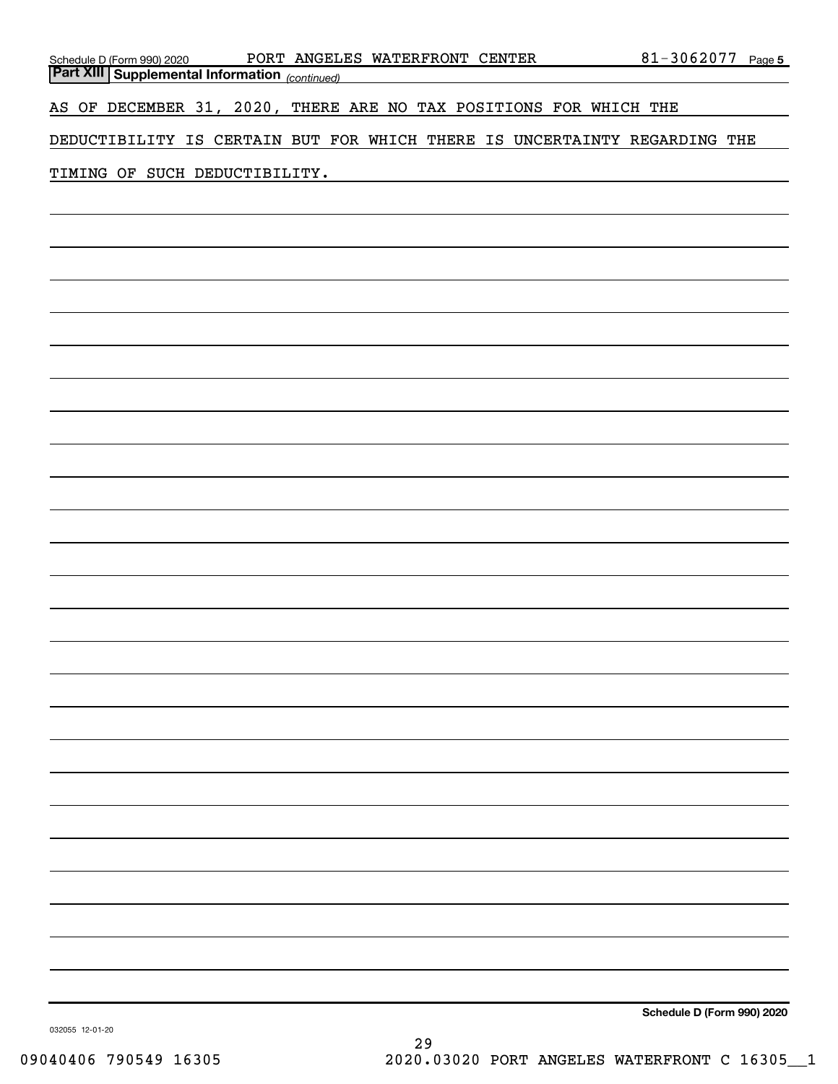| PORT ANGELES WATERFRONT CENTER                                                                | 81-3062077 Page 5 |
|-----------------------------------------------------------------------------------------------|-------------------|
| Schedule D (Form 990) 2020 PORT ANGELI<br>Part XIII Supplemental Information (continued)      |                   |
| AS OF DECEMBER 31, 2020, THERE ARE NO TAX POSITIONS FOR WHICH THE                             |                   |
| DEDUCTIBILITY IS CERTAIN BUT FOR WHICH THERE IS UNCERTAINTY REGARDING THE                     |                   |
|                                                                                               |                   |
| TIMING OF SUCH DEDUCTIBILITY.<br><u> 1989 - Johann Barbara, martxa eta idazlea (h. 1989).</u> |                   |
|                                                                                               |                   |
|                                                                                               |                   |
|                                                                                               |                   |
|                                                                                               |                   |
|                                                                                               |                   |
|                                                                                               |                   |
|                                                                                               |                   |
|                                                                                               |                   |
|                                                                                               |                   |
|                                                                                               |                   |
|                                                                                               |                   |
|                                                                                               |                   |
|                                                                                               |                   |
|                                                                                               |                   |
|                                                                                               |                   |
|                                                                                               |                   |
|                                                                                               |                   |
|                                                                                               |                   |
|                                                                                               |                   |
|                                                                                               |                   |
|                                                                                               |                   |
|                                                                                               |                   |
|                                                                                               |                   |
|                                                                                               |                   |
|                                                                                               |                   |
|                                                                                               |                   |
|                                                                                               |                   |
|                                                                                               |                   |
|                                                                                               |                   |
|                                                                                               |                   |
|                                                                                               |                   |
|                                                                                               |                   |
|                                                                                               |                   |

Schedule D (Form 990) 2020

032055 12-01-20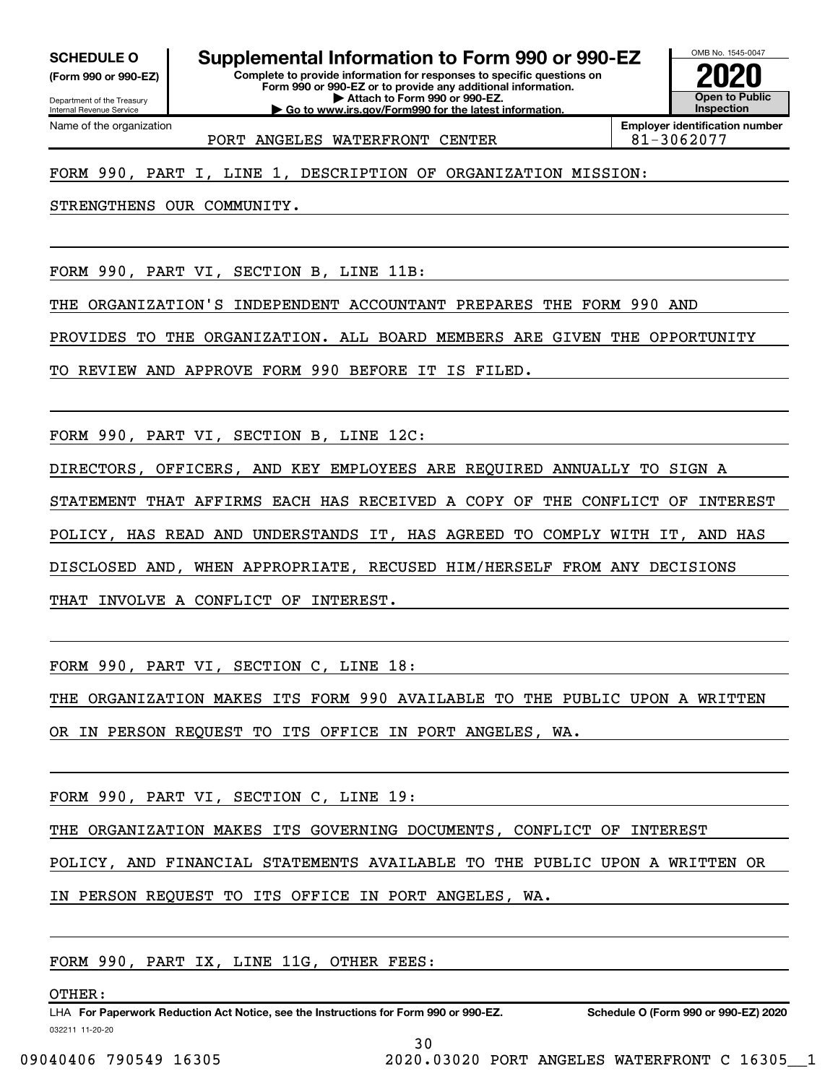(Form 990 or 990-EZ)

Department of the Treasury

Internal Revenue Service Name of the organization

SCHEDULE 0 | Supplemental Information to Form 990 or 990-EZ

Complete to provide information for responses to specific questions on Form 990 or 990-EZ or to provide any additional information. | Attach to Form 990 or 990-EZ. | Go to www.irs.gov/Form990 for the latest information.



Employer identification number PORT ANGELES WATERFRONT CENTER  $\vert$  81-3062077

# FORM 990, PART I, LINE 1, DESCRIPTION OF ORGANIZATION MISSION:

STRENGTHENS OUR COMMUNITY.

FORM 990, PART VI, SECTION B, LINE 11B:

THE ORGANIZATION'S INDEPENDENT ACCOUNTANT PREPARES THE FORM 990 AND

PROVIDES TO THE ORGANIZATION. ALL BOARD MEMBERS ARE GIVEN THE OPPORTUNITY

TO REVIEW AND APPROVE FORM 990 BEFORE IT IS FILED.

FORM 990, PART VI, SECTION B, LINE 12C:

DIRECTORS, OFFICERS, AND KEY EMPLOYEES ARE REQUIRED ANNUALLY TO SIGN A STATEMENT THAT AFFIRMS EACH HAS RECEIVED A COPY OF THE CONFLICT OF INTEREST POLICY, HAS READ AND UNDERSTANDS IT, HAS AGREED TO COMPLY WITH IT, AND HAS DISCLOSED AND, WHEN APPROPRIATE, RECUSED HIM/HERSELF FROM ANY DECISIONS THAT INVOLVE A CONFLICT OF INTEREST.

FORM 990, PART VI, SECTION C, LINE 18:

THE ORGANIZATION MAKES ITS FORM 990 AVAILABLE TO THE PUBLIC UPON A WRITTEN

OR IN PERSON REQUEST TO ITS OFFICE IN PORT ANGELES, WA.

FORM 990, PART VI, SECTION C, LINE 19:

THE ORGANIZATION MAKES ITS GOVERNING DOCUMENTS, CONFLICT OF INTEREST

POLICY, AND FINANCIAL STATEMENTS AVAILABLE TO THE PUBLIC UPON A WRITTEN OR

IN PERSON REQUEST TO ITS OFFICE IN PORT ANGELES, WA.

FORM 990, PART IX, LINE 11G, OTHER FEES:

OTHER:

032211 11-20-20 LHA For Paperwork Reduction Act Notice, see the Instructions for Form 990 or 990-EZ. Schedule O (Form 990 or 990-EZ) 2020 LET (1990 or 990-EZ) 2020

30